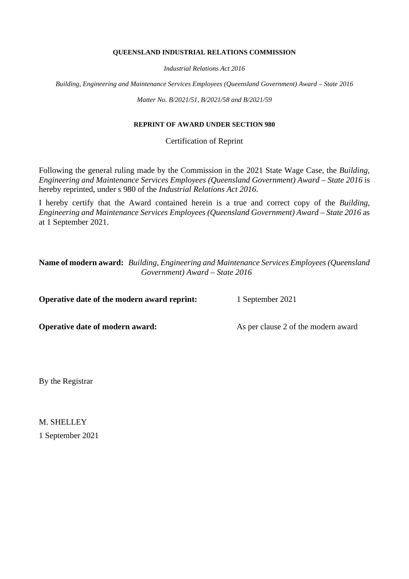### **QUEENSLAND INDUSTRIAL RELATIONS COMMISSION**

*Industrial Relations Act 2016*

*Building, Engineering and Maintenance Services Employees (Queensland Government) Award – State 2016*

*Matter No. B/2021/51, B/2021/58 and B/2021/59*

# **REPRINT OF AWARD UNDER SECTION 980**

Certification of Reprint

Following the general ruling made by the Commission in the 2021 State Wage Case, the *Building, Engineering and Maintenance Services Employees (Queensland Government) Award – State 2016* is hereby reprinted, under s 980 of the *Industrial Relations Act 2016*.

I hereby certify that the Award contained herein is a true and correct copy of the *Building, Engineering and Maintenance Services Employees (Queensland Government) Award – State 2016* as at 1 September 2021.

**Name of modern award:** *Building, Engineering and Maintenance Services Employees (Queensland Government) Award – State 2016*

**Operative date of the modern award reprint:** 1 September 2021

**Operative date of modern award:** As per clause 2 of the modern award

By the Registrar

M. SHELLEY 1 September 2021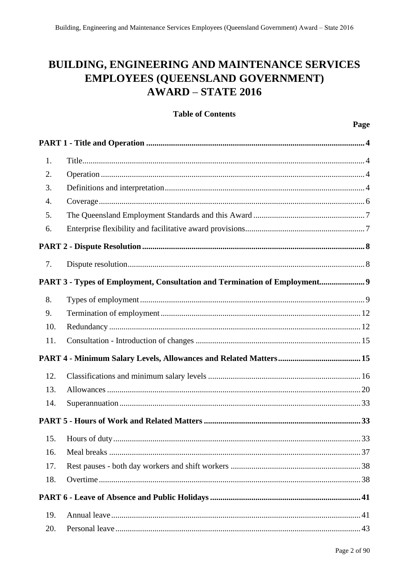# **BUILDING, ENGINEERING AND MAINTENANCE SERVICES EMPLOYEES (OUEENSLAND GOVERNMENT)**  $AWARD - STATE 2016$

**Table of Contents** 

# Page  $1<sub>1</sub>$  $\overline{2}$ . 3.  $\overline{4}$  $\overline{5}$ . 6.  $7<sub>1</sub>$ PART 3 - Types of Employment, Consultation and Termination of Employment............................ 9  $\mathbf{R}$  $\mathbf{Q}$  $10<sub>l</sub>$ 11. 12.  $13<sub>1</sub>$  $14.$ 15.  $16.$ 17. 18 19. 20.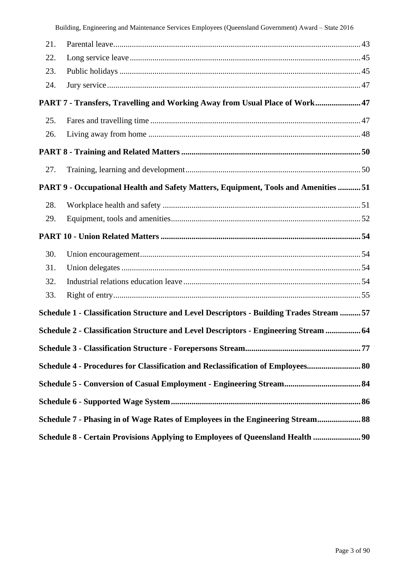|  |  | Building, Engineering and Maintenance Services Employees (Queensland Government) Award - State 2016 |  |  |  |  |  |  |
|--|--|-----------------------------------------------------------------------------------------------------|--|--|--|--|--|--|
|--|--|-----------------------------------------------------------------------------------------------------|--|--|--|--|--|--|

| 21. |                                                                                          |  |
|-----|------------------------------------------------------------------------------------------|--|
| 22. |                                                                                          |  |
| 23. |                                                                                          |  |
| 24. |                                                                                          |  |
|     | PART 7 - Transfers, Travelling and Working Away from Usual Place of Work 47              |  |
| 25. |                                                                                          |  |
| 26. |                                                                                          |  |
|     |                                                                                          |  |
| 27. |                                                                                          |  |
|     | PART 9 - Occupational Health and Safety Matters, Equipment, Tools and Amenities  51      |  |
| 28. |                                                                                          |  |
| 29. |                                                                                          |  |
|     |                                                                                          |  |
| 30. |                                                                                          |  |
| 31. |                                                                                          |  |
| 32. |                                                                                          |  |
| 33. |                                                                                          |  |
|     | Schedule 1 - Classification Structure and Level Descriptors - Building Trades Stream  57 |  |
|     | Schedule 2 - Classification Structure and Level Descriptors - Engineering Stream  64     |  |
|     |                                                                                          |  |
|     | Schedule 4 - Procedures for Classification and Reclassification of Employees 80          |  |
|     |                                                                                          |  |
|     |                                                                                          |  |
|     | Schedule 7 - Phasing in of Wage Rates of Employees in the Engineering Stream 88          |  |
|     | Schedule 8 - Certain Provisions Applying to Employees of Queensland Health  90           |  |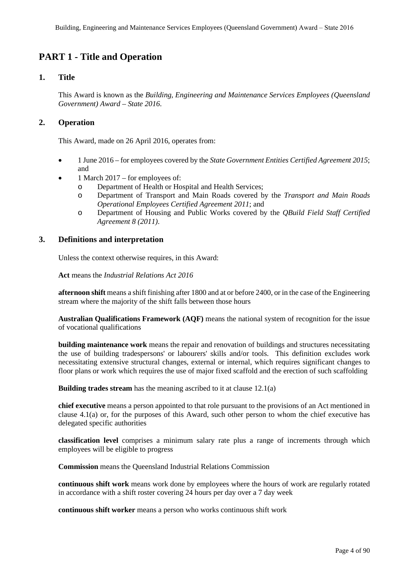# **PART 1 - Title and Operation**

# **1. Title**

This Award is known as the *Building, Engineering and Maintenance Services Employees (Queensland Government) Award – State 2016*.

# **2. Operation**

This Award, made on 26 April 2016, operates from:

- 1 June 2016 for employees covered by the *State Government Entities Certified Agreement 2015*; and
- 1 March 2017 for employees of:
	- o Department of Health or Hospital and Health Services;
	- o Department of Transport and Main Roads covered by the *Transport and Main Roads Operational Employees Certified Agreement 2011*; and
	- o Department of Housing and Public Works covered by the *QBuild Field Staff Certified Agreement 8 (2011)*.

# **3. Definitions and interpretation**

Unless the context otherwise requires, in this Award:

**Act** means the *Industrial Relations Act 2016*

**afternoon shift** means a shift finishing after 1800 and at or before 2400, or in the case of the Engineering stream where the majority of the shift falls between those hours

**Australian Qualifications Framework (AQF)** means the national system of recognition for the issue of vocational qualifications

**building maintenance work** means the repair and renovation of buildings and structures necessitating the use of building tradespersons' or labourers' skills and/or tools. This definition excludes work necessitating extensive structural changes, external or internal, which requires significant changes to floor plans or work which requires the use of major fixed scaffold and the erection of such scaffolding

**Building trades stream** has the meaning ascribed to it at clause 12.1(a)

**chief executive** means a person appointed to that role pursuant to the provisions of an Act mentioned in clause 4.1(a) or, for the purposes of this Award, such other person to whom the chief executive has delegated specific authorities

**classification level** comprises a minimum salary rate plus a range of increments through which employees will be eligible to progress

**Commission** means the Queensland Industrial Relations Commission

**continuous shift work** means work done by employees where the hours of work are regularly rotated in accordance with a shift roster covering 24 hours per day over a 7 day week

**continuous shift worker** means a person who works continuous shift work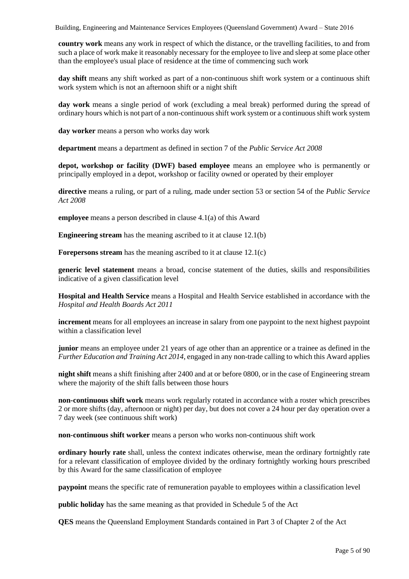**country work** means any work in respect of which the distance, or the travelling facilities, to and from such a place of work make it reasonably necessary for the employee to live and sleep at some place other than the employee's usual place of residence at the time of commencing such work

**day shift** means any shift worked as part of a non-continuous shift work system or a continuous shift work system which is not an afternoon shift or a night shift

**day work** means a single period of work (excluding a meal break) performed during the spread of ordinary hours which is not part of a non-continuous shift work system or a continuous shift work system

**day worker** means a person who works day work

**department** means a department as defined in section 7 of the *Public Service Act 2008*

**depot, workshop or facility (DWF) based employee** means an employee who is permanently or principally employed in a depot, workshop or facility owned or operated by their employer

**directive** means a ruling, or part of a ruling, made under section 53 or section 54 of the *Public Service Act 2008*

**employee** means a person described in clause 4.1(a) of this Award

**Engineering stream** has the meaning ascribed to it at clause 12.1(b)

**Forepersons stream** has the meaning ascribed to it at clause 12.1(c)

**generic level statement** means a broad, concise statement of the duties, skills and responsibilities indicative of a given classification level

**Hospital and Health Service** means a Hospital and Health Service established in accordance with the *Hospital and Health Boards Act 2011*

**increment** means for all employees an increase in salary from one paypoint to the next highest paypoint within a classification level

**junior** means an employee under 21 years of age other than an apprentice or a trainee as defined in the *Further Education and Training Act 2014*, engaged in any non-trade calling to which this Award applies

**night shift** means a shift finishing after 2400 and at or before 0800, or in the case of Engineering stream where the majority of the shift falls between those hours

**non-continuous shift work** means work regularly rotated in accordance with a roster which prescribes 2 or more shifts (day, afternoon or night) per day, but does not cover a 24 hour per day operation over a 7 day week (see continuous shift work)

**non-continuous shift worker** means a person who works non-continuous shift work

**ordinary hourly rate** shall, unless the context indicates otherwise, mean the ordinary fortnightly rate for a relevant classification of employee divided by the ordinary fortnightly working hours prescribed by this Award for the same classification of employee

**paypoint** means the specific rate of remuneration payable to employees within a classification level

**public holiday** has the same meaning as that provided in Schedule 5 of the Act

**QES** means the Queensland Employment Standards contained in Part 3 of Chapter 2 of the Act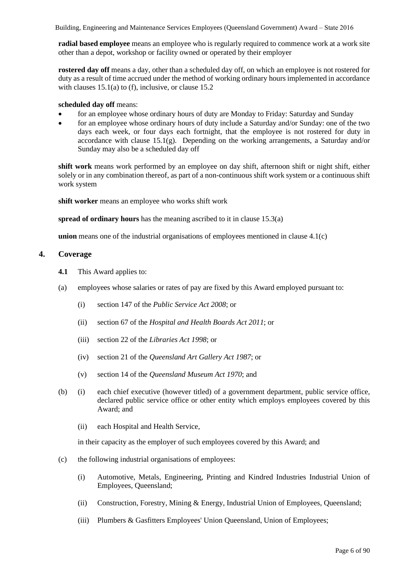**radial based employee** means an employee who is regularly required to commence work at a work site other than a depot, workshop or facility owned or operated by their employer

**rostered day off** means a day, other than a scheduled day off, on which an employee is not rostered for duty as a result of time accrued under the method of working ordinary hours implemented in accordance with clauses 15.1(a) to (f), inclusive, or clause 15.2

### **scheduled day off** means:

- for an employee whose ordinary hours of duty are Monday to Friday: Saturday and Sunday
- for an employee whose ordinary hours of duty include a Saturday and/or Sunday: one of the two days each week, or four days each fortnight, that the employee is not rostered for duty in accordance with clause 15.1(g). Depending on the working arrangements, a Saturday and/or Sunday may also be a scheduled day off

**shift work** means work performed by an employee on day shift, afternoon shift or night shift, either solely or in any combination thereof, as part of a non-continuous shift work system or a continuous shift work system

**shift worker** means an employee who works shift work

**spread of ordinary hours** has the meaning ascribed to it in clause 15.3(a)

**union** means one of the industrial organisations of employees mentioned in clause 4.1(c)

### **4. Coverage**

- **4.1** This Award applies to:
- (a) employees whose salaries or rates of pay are fixed by this Award employed pursuant to:
	- (i) section 147 of the *Public Service Act 2008*; or
	- (ii) section 67 of the *Hospital and Health Boards Act 2011*; or
	- (iii) section 22 of the *Libraries Act 1998*; or
	- (iv) section 21 of the *Queensland Art Gallery Act 1987*; or
	- (v) section 14 of the *Queensland Museum Act 1970*; and
- (b) (i) each chief executive (however titled) of a government department, public service office, declared public service office or other entity which employs employees covered by this Award; and
	- (ii) each Hospital and Health Service,

in their capacity as the employer of such employees covered by this Award; and

- (c) the following industrial organisations of employees:
	- (i) Automotive, Metals, Engineering, Printing and Kindred Industries Industrial Union of Employees, Queensland;
	- (ii) Construction, Forestry, Mining & Energy, Industrial Union of Employees, Queensland;
	- (iii) Plumbers & Gasfitters Employees' Union Queensland, Union of Employees;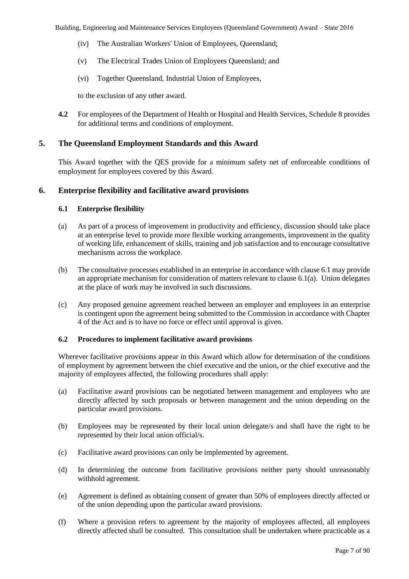- (iv) The Australian Workers' Union of Employees, Queensland;
- (v) The Electrical Trades Union of Employees Queensland; and
- (vi) Together Queensland, Industrial Union of Employees,

to the exclusion of any other award.

**4.2** For employees of the Department of Health or Hospital and Health Services, Schedule 8 provides for additional terms and conditions of employment.

# **5. The Queensland Employment Standards and this Award**

This Award together with the QES provide for a minimum safety net of enforceable conditions of employment for employees covered by this Award.

# **6. Enterprise flexibility and facilitative award provisions**

# **6.1 Enterprise flexibility**

- (a) As part of a process of improvement in productivity and efficiency, discussion should take place at an enterprise level to provide more flexible working arrangements, improvement in the quality of working life, enhancement of skills, training and job satisfaction and to encourage consultative mechanisms across the workplace.
- (b) The consultative processes established in an enterprise in accordance with clause 6.1 may provide an appropriate mechanism for consideration of matters relevant to clause 6.1(a). Union delegates at the place of work may be involved in such discussions.
- (c) Any proposed genuine agreement reached between an employer and employees in an enterprise is contingent upon the agreement being submitted to the Commission in accordance with Chapter 4 of the Act and is to have no force or effect until approval is given.

# **6.2 Procedures to implement facilitative award provisions**

Wherever facilitative provisions appear in this Award which allow for determination of the conditions of employment by agreement between the chief executive and the union, or the chief executive and the majority of employees affected, the following procedures shall apply:

- (a) Facilitative award provisions can be negotiated between management and employees who are directly affected by such proposals or between management and the union depending on the particular award provisions.
- (b) Employees may be represented by their local union delegate/s and shall have the right to be represented by their local union official/s.
- (c) Facilitative award provisions can only be implemented by agreement.
- (d) In determining the outcome from facilitative provisions neither party should unreasonably withhold agreement.
- (e) Agreement is defined as obtaining consent of greater than 50% of employees directly affected or of the union depending upon the particular award provisions.
- (f) Where a provision refers to agreement by the majority of employees affected, all employees directly affected shall be consulted. This consultation shall be undertaken where practicable as a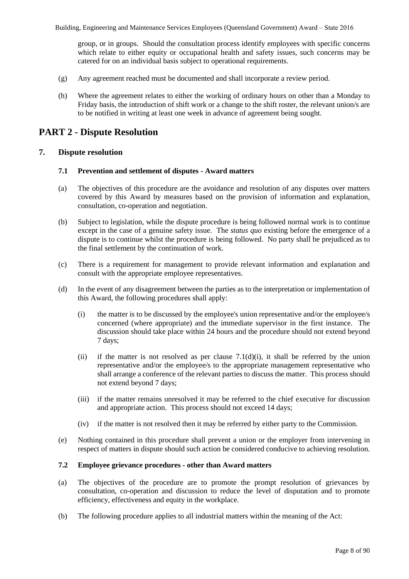group, or in groups. Should the consultation process identify employees with specific concerns which relate to either equity or occupational health and safety issues, such concerns may be catered for on an individual basis subject to operational requirements.

- (g) Any agreement reached must be documented and shall incorporate a review period.
- (h) Where the agreement relates to either the working of ordinary hours on other than a Monday to Friday basis, the introduction of shift work or a change to the shift roster, the relevant union/s are to be notified in writing at least one week in advance of agreement being sought.

# **PART 2 - Dispute Resolution**

# **7. Dispute resolution**

### **7.1 Prevention and settlement of disputes - Award matters**

- (a) The objectives of this procedure are the avoidance and resolution of any disputes over matters covered by this Award by measures based on the provision of information and explanation, consultation, co-operation and negotiation.
- (b) Subject to legislation, while the dispute procedure is being followed normal work is to continue except in the case of a genuine safety issue. The *status quo* existing before the emergence of a dispute is to continue whilst the procedure is being followed. No party shall be prejudiced as to the final settlement by the continuation of work.
- (c) There is a requirement for management to provide relevant information and explanation and consult with the appropriate employee representatives.
- (d) In the event of any disagreement between the parties as to the interpretation or implementation of this Award, the following procedures shall apply:
	- $(i)$  the matter is to be discussed by the employee's union representative and/or the employee/s concerned (where appropriate) and the immediate supervisor in the first instance. The discussion should take place within 24 hours and the procedure should not extend beyond 7 days;
	- (ii) if the matter is not resolved as per clause  $7.1(d)(i)$ , it shall be referred by the union representative and/or the employee/s to the appropriate management representative who shall arrange a conference of the relevant parties to discuss the matter. This process should not extend beyond 7 days;
	- (iii) if the matter remains unresolved it may be referred to the chief executive for discussion and appropriate action. This process should not exceed 14 days;
	- (iv) if the matter is not resolved then it may be referred by either party to the Commission.
- (e) Nothing contained in this procedure shall prevent a union or the employer from intervening in respect of matters in dispute should such action be considered conducive to achieving resolution.

### **7.2 Employee grievance procedures - other than Award matters**

- (a) The objectives of the procedure are to promote the prompt resolution of grievances by consultation, co-operation and discussion to reduce the level of disputation and to promote efficiency, effectiveness and equity in the workplace.
- (b) The following procedure applies to all industrial matters within the meaning of the Act: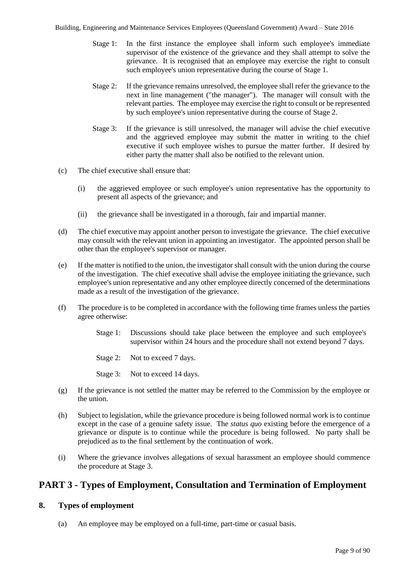- Stage 1: In the first instance the employee shall inform such employee's immediate supervisor of the existence of the grievance and they shall attempt to solve the grievance. It is recognised that an employee may exercise the right to consult such employee's union representative during the course of Stage 1.
- Stage 2: If the grievance remains unresolved, the employee shall refer the grievance to the next in line management ("the manager"). The manager will consult with the relevant parties. The employee may exercise the right to consult or be represented by such employee's union representative during the course of Stage 2.
- Stage 3: If the grievance is still unresolved, the manager will advise the chief executive and the aggrieved employee may submit the matter in writing to the chief executive if such employee wishes to pursue the matter further. If desired by either party the matter shall also be notified to the relevant union.
- (c) The chief executive shall ensure that:
	- (i) the aggrieved employee or such employee's union representative has the opportunity to present all aspects of the grievance; and
	- (ii) the grievance shall be investigated in a thorough, fair and impartial manner.
- (d) The chief executive may appoint another person to investigate the grievance. The chief executive may consult with the relevant union in appointing an investigator. The appointed person shall be other than the employee's supervisor or manager.
- (e) If the matter is notified to the union, the investigator shall consult with the union during the course of the investigation. The chief executive shall advise the employee initiating the grievance, such employee's union representative and any other employee directly concerned of the determinations made as a result of the investigation of the grievance.
- (f) The procedure is to be completed in accordance with the following time frames unless the parties agree otherwise:
	- Stage 1: Discussions should take place between the employee and such employee's supervisor within 24 hours and the procedure shall not extend beyond 7 days.
	- Stage 2: Not to exceed 7 days.
	- Stage 3: Not to exceed 14 days.
- (g) If the grievance is not settled the matter may be referred to the Commission by the employee or the union.
- (h) Subject to legislation, while the grievance procedure is being followed normal work is to continue except in the case of a genuine safety issue. The *status quo* existing before the emergence of a grievance or dispute is to continue while the procedure is being followed. No party shall be prejudiced as to the final settlement by the continuation of work.
- (i) Where the grievance involves allegations of sexual harassment an employee should commence the procedure at Stage 3.

# **PART 3 - Types of Employment, Consultation and Termination of Employment**

# **8. Types of employment**

(a) An employee may be employed on a full-time, part-time or casual basis.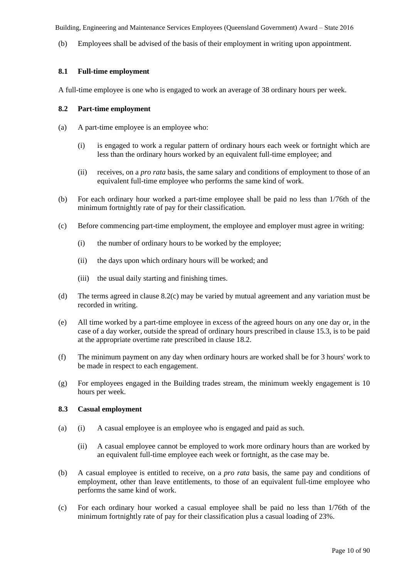(b) Employees shall be advised of the basis of their employment in writing upon appointment.

# **8.1 Full-time employment**

A full-time employee is one who is engaged to work an average of 38 ordinary hours per week.

# **8.2 Part-time employment**

- (a) A part-time employee is an employee who:
	- (i) is engaged to work a regular pattern of ordinary hours each week or fortnight which are less than the ordinary hours worked by an equivalent full-time employee; and
	- (ii) receives, on a *pro rata* basis, the same salary and conditions of employment to those of an equivalent full-time employee who performs the same kind of work.
- (b) For each ordinary hour worked a part-time employee shall be paid no less than 1/76th of the minimum fortnightly rate of pay for their classification.
- (c) Before commencing part-time employment, the employee and employer must agree in writing:
	- (i) the number of ordinary hours to be worked by the employee;
	- (ii) the days upon which ordinary hours will be worked; and
	- (iii) the usual daily starting and finishing times.
- (d) The terms agreed in clause 8.2(c) may be varied by mutual agreement and any variation must be recorded in writing.
- (e) All time worked by a part-time employee in excess of the agreed hours on any one day or, in the case of a day worker, outside the spread of ordinary hours prescribed in clause 15.3, is to be paid at the appropriate overtime rate prescribed in clause 18.2.
- (f) The minimum payment on any day when ordinary hours are worked shall be for 3 hours' work to be made in respect to each engagement.
- (g) For employees engaged in the Building trades stream, the minimum weekly engagement is 10 hours per week.

# **8.3 Casual employment**

- (a) (i) A casual employee is an employee who is engaged and paid as such.
	- (ii) A casual employee cannot be employed to work more ordinary hours than are worked by an equivalent full-time employee each week or fortnight, as the case may be.
- (b) A casual employee is entitled to receive, on a *pro rata* basis, the same pay and conditions of employment, other than leave entitlements, to those of an equivalent full-time employee who performs the same kind of work.
- (c) For each ordinary hour worked a casual employee shall be paid no less than 1/76th of the minimum fortnightly rate of pay for their classification plus a casual loading of 23%.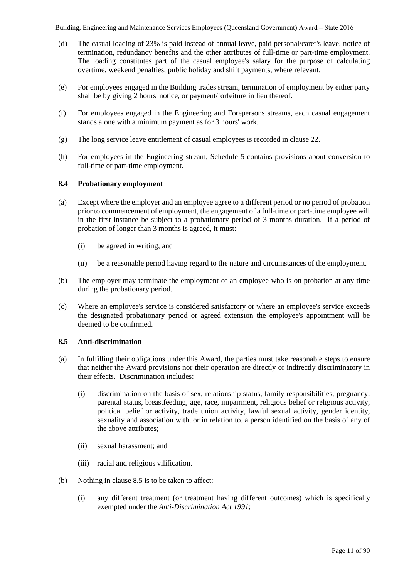- (d) The casual loading of 23% is paid instead of annual leave, paid personal/carer's leave, notice of termination, redundancy benefits and the other attributes of full-time or part-time employment. The loading constitutes part of the casual employee's salary for the purpose of calculating overtime, weekend penalties, public holiday and shift payments, where relevant.
- (e) For employees engaged in the Building trades stream, termination of employment by either party shall be by giving 2 hours' notice, or payment/forfeiture in lieu thereof.
- (f) For employees engaged in the Engineering and Forepersons streams, each casual engagement stands alone with a minimum payment as for 3 hours' work.
- (g) The long service leave entitlement of casual employees is recorded in clause 22.
- (h) For employees in the Engineering stream, Schedule 5 contains provisions about conversion to full-time or part-time employment.

# **8.4 Probationary employment**

- (a) Except where the employer and an employee agree to a different period or no period of probation prior to commencement of employment, the engagement of a full-time or part-time employee will in the first instance be subject to a probationary period of 3 months duration. If a period of probation of longer than 3 months is agreed, it must:
	- (i) be agreed in writing; and
	- (ii) be a reasonable period having regard to the nature and circumstances of the employment.
- (b) The employer may terminate the employment of an employee who is on probation at any time during the probationary period.
- (c) Where an employee's service is considered satisfactory or where an employee's service exceeds the designated probationary period or agreed extension the employee's appointment will be deemed to be confirmed.

# **8.5 Anti-discrimination**

- (a) In fulfilling their obligations under this Award, the parties must take reasonable steps to ensure that neither the Award provisions nor their operation are directly or indirectly discriminatory in their effects. Discrimination includes:
	- (i) discrimination on the basis of sex, relationship status, family responsibilities, pregnancy, parental status, breastfeeding, age, race, impairment, religious belief or religious activity, political belief or activity, trade union activity, lawful sexual activity, gender identity, sexuality and association with, or in relation to, a person identified on the basis of any of the above attributes;
	- (ii) sexual harassment; and
	- (iii) racial and religious vilification.
- (b) Nothing in clause 8.5 is to be taken to affect:
	- (i) any different treatment (or treatment having different outcomes) which is specifically exempted under the *Anti-Discrimination Act 1991*;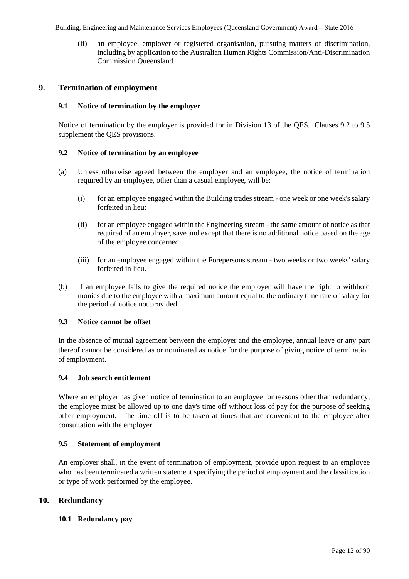(ii) an employee, employer or registered organisation, pursuing matters of discrimination, including by application to the Australian Human Rights Commission/Anti-Discrimination Commission Queensland.

# **9. Termination of employment**

# **9.1 Notice of termination by the employer**

Notice of termination by the employer is provided for in Division 13 of the QES. Clauses 9.2 to 9.5 supplement the QES provisions.

# **9.2 Notice of termination by an employee**

- (a) Unless otherwise agreed between the employer and an employee, the notice of termination required by an employee, other than a casual employee, will be:
	- (i) for an employee engaged within the Building trades stream one week or one week's salary forfeited in lieu;
	- (ii) for an employee engaged within the Engineering stream the same amount of notice as that required of an employer, save and except that there is no additional notice based on the age of the employee concerned;
	- (iii) for an employee engaged within the Forepersons stream two weeks or two weeks' salary forfeited in lieu.
- (b) If an employee fails to give the required notice the employer will have the right to withhold monies due to the employee with a maximum amount equal to the ordinary time rate of salary for the period of notice not provided.

# **9.3 Notice cannot be offset**

In the absence of mutual agreement between the employer and the employee, annual leave or any part thereof cannot be considered as or nominated as notice for the purpose of giving notice of termination of employment.

# **9.4 Job search entitlement**

Where an employer has given notice of termination to an employee for reasons other than redundancy, the employee must be allowed up to one day's time off without loss of pay for the purpose of seeking other employment. The time off is to be taken at times that are convenient to the employee after consultation with the employer.

# **9.5 Statement of employment**

An employer shall, in the event of termination of employment, provide upon request to an employee who has been terminated a written statement specifying the period of employment and the classification or type of work performed by the employee.

# **10. Redundancy**

# **10.1 Redundancy pay**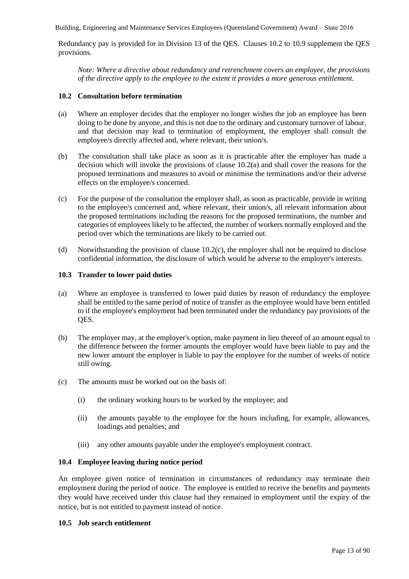Redundancy pay is provided for in Division 13 of the QES. Clauses 10.2 to 10.9 supplement the QES provisions.

*Note: Where a directive about redundancy and retrenchment covers an employee, the provisions of the directive apply to the employee to the extent it provides a more generous entitlement.*

# **10.2 Consultation before termination**

- (a) Where an employer decides that the employer no longer wishes the job an employee has been doing to be done by anyone, and this is not due to the ordinary and customary turnover of labour, and that decision may lead to termination of employment, the employer shall consult the employee/s directly affected and, where relevant, their union/s.
- (b) The consultation shall take place as soon as it is practicable after the employer has made a decision which will invoke the provisions of clause 10.2(a) and shall cover the reasons for the proposed terminations and measures to avoid or minimise the terminations and/or their adverse effects on the employee/s concerned.
- (c) For the purpose of the consultation the employer shall, as soon as practicable, provide in writing to the employee/s concerned and, where relevant, their union/s, all relevant information about the proposed terminations including the reasons for the proposed terminations, the number and categories of employees likely to be affected, the number of workers normally employed and the period over which the terminations are likely to be carried out.
- (d) Notwithstanding the provision of clause 10.2(c), the employer shall not be required to disclose confidential information, the disclosure of which would be adverse to the employer's interests.

# **10.3 Transfer to lower paid duties**

- (a) Where an employee is transferred to lower paid duties by reason of redundancy the employee shall be entitled to the same period of notice of transfer as the employee would have been entitled to if the employee's employment had been terminated under the redundancy pay provisions of the QES.
- (b) The employer may, at the employer's option, make payment in lieu thereof of an amount equal to the difference between the former amounts the employer would have been liable to pay and the new lower amount the employer is liable to pay the employee for the number of weeks of notice still owing.
- (c) The amounts must be worked out on the basis of:
	- (i) the ordinary working hours to be worked by the employee; and
	- (ii) the amounts payable to the employee for the hours including, for example, allowances, loadings and penalties; and
	- (iii) any other amounts payable under the employee's employment contract.

# **10.4 Employee leaving during notice period**

An employee given notice of termination in circumstances of redundancy may terminate their employment during the period of notice. The employee is entitled to receive the benefits and payments they would have received under this clause had they remained in employment until the expiry of the notice, but is not entitled to payment instead of notice.

# **10.5 Job search entitlement**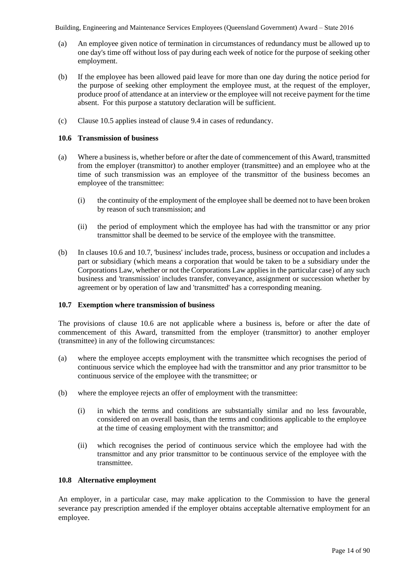- (a) An employee given notice of termination in circumstances of redundancy must be allowed up to one day's time off without loss of pay during each week of notice for the purpose of seeking other employment.
- (b) If the employee has been allowed paid leave for more than one day during the notice period for the purpose of seeking other employment the employee must, at the request of the employer, produce proof of attendance at an interview or the employee will not receive payment for the time absent. For this purpose a statutory declaration will be sufficient.
- (c) Clause 10.5 applies instead of clause 9.4 in cases of redundancy.

# **10.6 Transmission of business**

- (a) Where a business is, whether before or after the date of commencement of this Award, transmitted from the employer (transmittor) to another employer (transmittee) and an employee who at the time of such transmission was an employee of the transmittor of the business becomes an employee of the transmittee:
	- (i) the continuity of the employment of the employee shall be deemed not to have been broken by reason of such transmission; and
	- (ii) the period of employment which the employee has had with the transmittor or any prior transmittor shall be deemed to be service of the employee with the transmittee.
- (b) In clauses 10.6 and 10.7, 'business' includes trade, process, business or occupation and includes a part or subsidiary (which means a corporation that would be taken to be a subsidiary under the Corporations Law, whether or not the Corporations Law applies in the particular case) of any such business and 'transmission' includes transfer, conveyance, assignment or succession whether by agreement or by operation of law and 'transmitted' has a corresponding meaning.

# **10.7 Exemption where transmission of business**

The provisions of clause 10.6 are not applicable where a business is, before or after the date of commencement of this Award, transmitted from the employer (transmittor) to another employer (transmittee) in any of the following circumstances:

- (a) where the employee accepts employment with the transmittee which recognises the period of continuous service which the employee had with the transmittor and any prior transmittor to be continuous service of the employee with the transmittee; or
- (b) where the employee rejects an offer of employment with the transmittee:
	- (i) in which the terms and conditions are substantially similar and no less favourable, considered on an overall basis, than the terms and conditions applicable to the employee at the time of ceasing employment with the transmittor; and
	- (ii) which recognises the period of continuous service which the employee had with the transmittor and any prior transmittor to be continuous service of the employee with the transmittee.

# **10.8 Alternative employment**

An employer, in a particular case, may make application to the Commission to have the general severance pay prescription amended if the employer obtains acceptable alternative employment for an employee.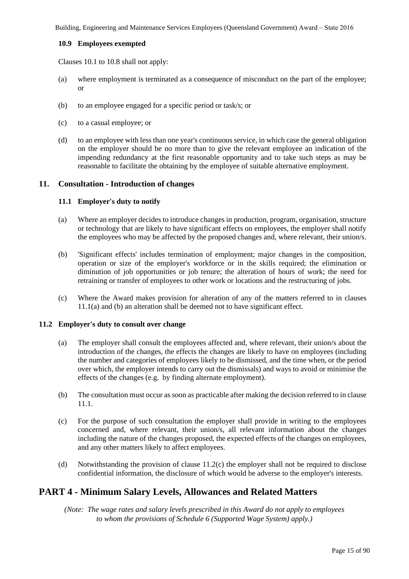# **10.9 Employees exempted**

Clauses 10.1 to 10.8 shall not apply:

- (a) where employment is terminated as a consequence of misconduct on the part of the employee; or
- (b) to an employee engaged for a specific period or task/s; or
- (c) to a casual employee; or
- (d) to an employee with less than one year's continuous service, in which case the general obligation on the employer should be no more than to give the relevant employee an indication of the impending redundancy at the first reasonable opportunity and to take such steps as may be reasonable to facilitate the obtaining by the employee of suitable alternative employment.

# **11. Consultation - Introduction of changes**

# **11.1 Employer's duty to notify**

- (a) Where an employer decides to introduce changes in production, program, organisation, structure or technology that are likely to have significant effects on employees, the employer shall notify the employees who may be affected by the proposed changes and, where relevant, their union/s.
- (b) 'Significant effects' includes termination of employment; major changes in the composition, operation or size of the employer's workforce or in the skills required; the elimination or diminution of job opportunities or job tenure; the alteration of hours of work; the need for retraining or transfer of employees to other work or locations and the restructuring of jobs.
- (c) Where the Award makes provision for alteration of any of the matters referred to in clauses 11.1(a) and (b) an alteration shall be deemed not to have significant effect.

# **11.2 Employer's duty to consult over change**

- (a) The employer shall consult the employees affected and, where relevant, their union/s about the introduction of the changes, the effects the changes are likely to have on employees (including the number and categories of employees likely to be dismissed, and the time when, or the period over which, the employer intends to carry out the dismissals) and ways to avoid or minimise the effects of the changes (e.g. by finding alternate employment).
- (b) The consultation must occur as soon as practicable after making the decision referred to in clause 11.1.
- (c) For the purpose of such consultation the employer shall provide in writing to the employees concerned and, where relevant, their union/s, all relevant information about the changes including the nature of the changes proposed, the expected effects of the changes on employees, and any other matters likely to affect employees.
- (d) Notwithstanding the provision of clause 11.2(c) the employer shall not be required to disclose confidential information, the disclosure of which would be adverse to the employer's interests.

# **PART 4 - Minimum Salary Levels, Allowances and Related Matters**

*(Note: The wage rates and salary levels prescribed in this Award do not apply to employees to whom the provisions of Schedule 6 (Supported Wage System) apply.)*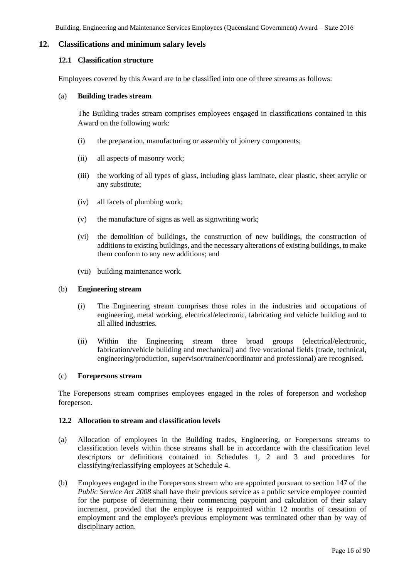# **12. Classifications and minimum salary levels**

### **12.1 Classification structure**

Employees covered by this Award are to be classified into one of three streams as follows:

### (a) **Building trades stream**

The Building trades stream comprises employees engaged in classifications contained in this Award on the following work:

- (i) the preparation, manufacturing or assembly of joinery components;
- (ii) all aspects of masonry work;
- (iii) the working of all types of glass, including glass laminate, clear plastic, sheet acrylic or any substitute;
- (iv) all facets of plumbing work;
- (v) the manufacture of signs as well as signwriting work;
- (vi) the demolition of buildings, the construction of new buildings, the construction of additions to existing buildings, and the necessary alterations of existing buildings, to make them conform to any new additions; and
- (vii) building maintenance work.

### (b) **Engineering stream**

- (i) The Engineering stream comprises those roles in the industries and occupations of engineering, metal working, electrical/electronic, fabricating and vehicle building and to all allied industries.
- (ii) Within the Engineering stream three broad groups (electrical/electronic, fabrication/vehicle building and mechanical) and five vocational fields (trade, technical, engineering/production, supervisor/trainer/coordinator and professional) are recognised.

### (c) **Forepersons stream**

The Forepersons stream comprises employees engaged in the roles of foreperson and workshop foreperson.

### **12.2 Allocation to stream and classification levels**

- (a) Allocation of employees in the Building trades, Engineering, or Forepersons streams to classification levels within those streams shall be in accordance with the classification level descriptors or definitions contained in Schedules 1, 2 and 3 and procedures for classifying/reclassifying employees at Schedule 4.
- (b) Employees engaged in the Forepersons stream who are appointed pursuant to section 147 of the *Public Service Act 2008* shall have their previous service as a public service employee counted for the purpose of determining their commencing paypoint and calculation of their salary increment, provided that the employee is reappointed within 12 months of cessation of employment and the employee's previous employment was terminated other than by way of disciplinary action.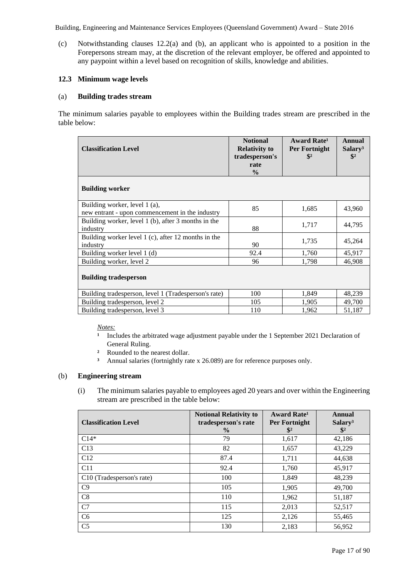(c) Notwithstanding clauses 12.2(a) and (b), an applicant who is appointed to a position in the Forepersons stream may, at the discretion of the relevant employer, be offered and appointed to any paypoint within a level based on recognition of skills, knowledge and abilities.

# **12.3 Minimum wage levels**

### (a) **Building trades stream**

The minimum salaries payable to employees within the Building trades stream are prescribed in the table below:

| <b>Classification Level</b>                                                      | <b>Notional</b><br><b>Relativity to</b><br>tradesperson's<br>rate<br>$\frac{0}{0}$ | Award Rate <sup>1</sup><br>Per Fortnight<br>$\frac{1}{2}$ | Annual<br>Salary <sup>3</sup><br>$\frac{1}{2}$ |
|----------------------------------------------------------------------------------|------------------------------------------------------------------------------------|-----------------------------------------------------------|------------------------------------------------|
| <b>Building worker</b>                                                           |                                                                                    |                                                           |                                                |
| Building worker, level 1 (a),<br>new entrant - upon commencement in the industry | 85                                                                                 | 1,685                                                     | 43,960                                         |
| Building worker, level 1 (b), after 3 months in the<br>industry                  | 88                                                                                 | 1,717                                                     | 44,795                                         |
| Building worker level 1 (c), after 12 months in the<br>industry                  | 90                                                                                 | 1,735                                                     | 45,264                                         |
| Building worker level 1 (d)                                                      | 92.4                                                                               | 1,760                                                     | 45,917                                         |
| Building worker, level 2                                                         | 96                                                                                 | 1,798                                                     | 46,908                                         |
| <b>Building tradesperson</b>                                                     |                                                                                    |                                                           |                                                |
| Building tradesperson, level 1 (Tradesperson's rate)                             | 100                                                                                | 1,849                                                     | 48,239                                         |
| Building tradesperson, level 2                                                   | 105                                                                                | 1,905                                                     | 49,700                                         |
| Building tradesperson, level 3                                                   | 110                                                                                | 1,962                                                     | 51,187                                         |

*Notes:* 

- <sup>1</sup> Includes the arbitrated wage adjustment payable under the 1 September 2021 Declaration of General Ruling.
- **²** Rounded to the nearest dollar.
- **³** Annual salaries (fortnightly rate x 26.089) are for reference purposes only.

# (b) **Engineering stream**

(i) The minimum salaries payable to employees aged 20 years and over within the Engineering stream are prescribed in the table below:

| <b>Classification Level</b>           | <b>Notional Relativity to</b><br>tradesperson's rate<br>$\frac{6}{9}$ | <b>Award Rate<sup>1</sup></b><br>Per Fortnight<br>$\mathbb{S}^2$ | Annual<br>Salary <sup>3</sup><br>$\frac{1}{2}$ |
|---------------------------------------|-----------------------------------------------------------------------|------------------------------------------------------------------|------------------------------------------------|
| $C14*$                                | 79                                                                    | 1,617                                                            | 42,186                                         |
| C13                                   | 82                                                                    | 1,657                                                            | 43,229                                         |
| C12                                   | 87.4                                                                  | 1,711                                                            | 44,638                                         |
| C11                                   | 92.4                                                                  | 1,760                                                            | 45,917                                         |
| C <sub>10</sub> (Tradesperson's rate) | 100                                                                   | 1,849                                                            | 48,239                                         |
| C9                                    | 105                                                                   | 1,905                                                            | 49,700                                         |
| C8                                    | 110                                                                   | 1,962                                                            | 51,187                                         |
| C7                                    | 115                                                                   | 2,013                                                            | 52,517                                         |
| C <sub>6</sub>                        | 125                                                                   | 2,126                                                            | 55,465                                         |
| C <sub>5</sub>                        | 130                                                                   | 2,183                                                            | 56,952                                         |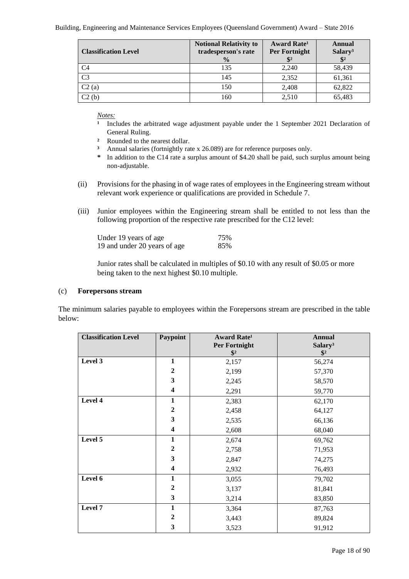| <b>Classification Level</b> | <b>Notional Relativity to</b><br>tradesperson's rate | <b>Award Rate</b> <sup>1</sup><br><b>Per Fortnight</b> | Annual<br>Salary <sup>3</sup> |
|-----------------------------|------------------------------------------------------|--------------------------------------------------------|-------------------------------|
|                             | $\frac{0}{0}$                                        | $\mathbb{S}^2$                                         | $\frac{1}{2}$                 |
| C <sub>4</sub>              | 135                                                  | 2,240                                                  | 58,439                        |
| C <sub>3</sub>              | 145                                                  | 2,352                                                  | 61,361                        |
| C2(a)                       | 150                                                  | 2,408                                                  | 62,822                        |
| C2(b)                       | 160                                                  | 2,510                                                  | 65,483                        |

*Notes:* 

- <sup>1</sup> Includes the arbitrated wage adjustment payable under the 1 September 2021 Declaration of General Ruling.
- **²** Rounded to the nearest dollar.
- **³** Annual salaries (fortnightly rate x 26.089) are for reference purposes only.
- **\*** In addition to the C14 rate a surplus amount of \$4.20 shall be paid, such surplus amount being non-adjustable.
- (ii) Provisions for the phasing in of wage rates of employees in the Engineering stream without relevant work experience or qualifications are provided in Schedule 7.
- (iii) Junior employees within the Engineering stream shall be entitled to not less than the following proportion of the respective rate prescribed for the C12 level:

| Under 19 years of age        | 75% |
|------------------------------|-----|
| 19 and under 20 years of age | 85% |

Junior rates shall be calculated in multiples of \$0.10 with any result of \$0.05 or more being taken to the next highest \$0.10 multiple.

### (c) **Forepersons stream**

The minimum salaries payable to employees within the Forepersons stream are prescribed in the table below:

| <b>Classification Level</b> | Paypoint                | Award Rate <sup>1</sup><br><b>Per Fortnight</b><br>$\frac{1}{2}$ | <b>Annual</b><br>Salary <sup>3</sup><br>$\frac{1}{2}$ |
|-----------------------------|-------------------------|------------------------------------------------------------------|-------------------------------------------------------|
| Level 3                     | $\mathbf{1}$            | 2,157                                                            | 56,274                                                |
|                             | $\boldsymbol{2}$        | 2,199                                                            | 57,370                                                |
|                             | $\mathbf{3}$            | 2,245                                                            | 58,570                                                |
|                             | $\overline{\mathbf{4}}$ | 2,291                                                            | 59,770                                                |
| Level 4                     | $\mathbf{1}$            | 2,383                                                            | 62,170                                                |
|                             | $\boldsymbol{2}$        | 2,458                                                            | 64,127                                                |
|                             | 3                       | 2,535                                                            | 66,136                                                |
|                             | 4                       | 2,608                                                            | 68,040                                                |
| Level 5                     | 1                       | 2,674                                                            | 69,762                                                |
|                             | $\mathbf{2}$            | 2,758                                                            | 71,953                                                |
|                             | 3                       | 2,847                                                            | 74,275                                                |
|                             | 4                       | 2,932                                                            | 76,493                                                |
| Level 6                     | 1                       | 3,055                                                            | 79,702                                                |
|                             | $\boldsymbol{2}$        | 3,137                                                            | 81,841                                                |
|                             | $\mathbf{3}$            | 3,214                                                            | 83,850                                                |
| Level 7                     | $\mathbf{1}$            | 3,364                                                            | 87,763                                                |
|                             | $\boldsymbol{2}$        | 3,443                                                            | 89,824                                                |
|                             | 3                       | 3,523                                                            | 91,912                                                |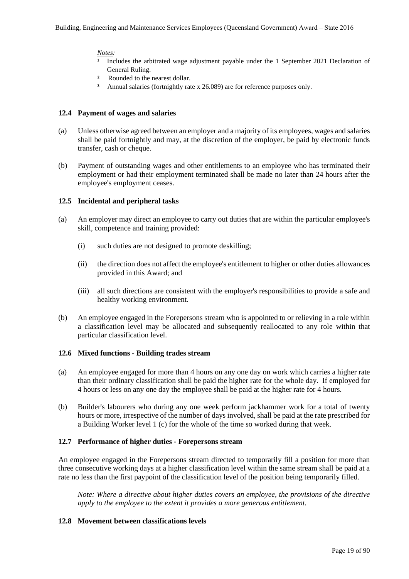### *Notes:*

- Includes the arbitrated wage adjustment payable under the 1 September 2021 Declaration of General Ruling.
- **²** Rounded to the nearest dollar.
- **³** Annual salaries (fortnightly rate x 26.089) are for reference purposes only.

### **12.4 Payment of wages and salaries**

- (a) Unless otherwise agreed between an employer and a majority of its employees, wages and salaries shall be paid fortnightly and may, at the discretion of the employer, be paid by electronic funds transfer, cash or cheque.
- (b) Payment of outstanding wages and other entitlements to an employee who has terminated their employment or had their employment terminated shall be made no later than 24 hours after the employee's employment ceases.

# **12.5 Incidental and peripheral tasks**

- (a) An employer may direct an employee to carry out duties that are within the particular employee's skill, competence and training provided:
	- (i) such duties are not designed to promote deskilling;
	- (ii) the direction does not affect the employee's entitlement to higher or other duties allowances provided in this Award; and
	- (iii) all such directions are consistent with the employer's responsibilities to provide a safe and healthy working environment.
- (b) An employee engaged in the Forepersons stream who is appointed to or relieving in a role within a classification level may be allocated and subsequently reallocated to any role within that particular classification level.

# **12.6 Mixed functions - Building trades stream**

- (a) An employee engaged for more than 4 hours on any one day on work which carries a higher rate than their ordinary classification shall be paid the higher rate for the whole day. If employed for 4 hours or less on any one day the employee shall be paid at the higher rate for 4 hours.
- (b) Builder's labourers who during any one week perform jackhammer work for a total of twenty hours or more, irrespective of the number of days involved, shall be paid at the rate prescribed for a Building Worker level 1 (c) for the whole of the time so worked during that week.

# **12.7 Performance of higher duties - Forepersons stream**

An employee engaged in the Forepersons stream directed to temporarily fill a position for more than three consecutive working days at a higher classification level within the same stream shall be paid at a rate no less than the first paypoint of the classification level of the position being temporarily filled.

*Note: Where a directive about higher duties covers an employee, the provisions of the directive apply to the employee to the extent it provides a more generous entitlement.*

# **12.8 Movement between classifications levels**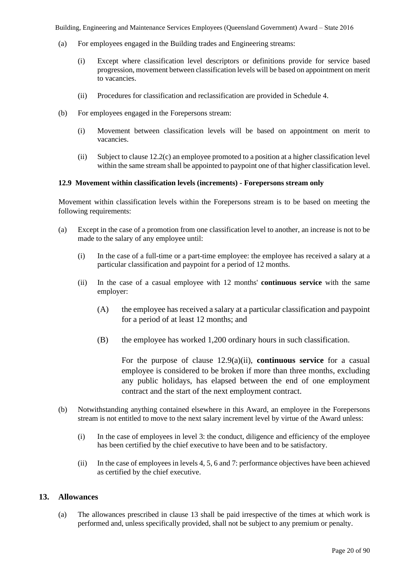- (a) For employees engaged in the Building trades and Engineering streams:
	- (i) Except where classification level descriptors or definitions provide for service based progression, movement between classification levels will be based on appointment on merit to vacancies.
	- (ii) Procedures for classification and reclassification are provided in Schedule 4.
- (b) For employees engaged in the Forepersons stream:
	- (i) Movement between classification levels will be based on appointment on merit to vacancies.
	- (ii) Subject to clause 12.2(c) an employee promoted to a position at a higher classification level within the same stream shall be appointed to paypoint one of that higher classification level.

# **12.9 Movement within classification levels (increments) - Forepersons stream only**

Movement within classification levels within the Forepersons stream is to be based on meeting the following requirements:

- (a) Except in the case of a promotion from one classification level to another, an increase is not to be made to the salary of any employee until:
	- (i) In the case of a full-time or a part-time employee: the employee has received a salary at a particular classification and paypoint for a period of 12 months.
	- (ii) In the case of a casual employee with 12 months' **continuous service** with the same employer:
		- (A) the employee has received a salary at a particular classification and paypoint for a period of at least 12 months; and
		- (B) the employee has worked 1,200 ordinary hours in such classification.

For the purpose of clause 12.9(a)(ii), **continuous service** for a casual employee is considered to be broken if more than three months, excluding any public holidays, has elapsed between the end of one employment contract and the start of the next employment contract.

- (b) Notwithstanding anything contained elsewhere in this Award, an employee in the Forepersons stream is not entitled to move to the next salary increment level by virtue of the Award unless:
	- (i) In the case of employees in level 3: the conduct, diligence and efficiency of the employee has been certified by the chief executive to have been and to be satisfactory.
	- (ii) In the case of employees in levels 4, 5, 6 and 7: performance objectives have been achieved as certified by the chief executive.

# **13. Allowances**

(a) The allowances prescribed in clause 13 shall be paid irrespective of the times at which work is performed and, unless specifically provided, shall not be subject to any premium or penalty.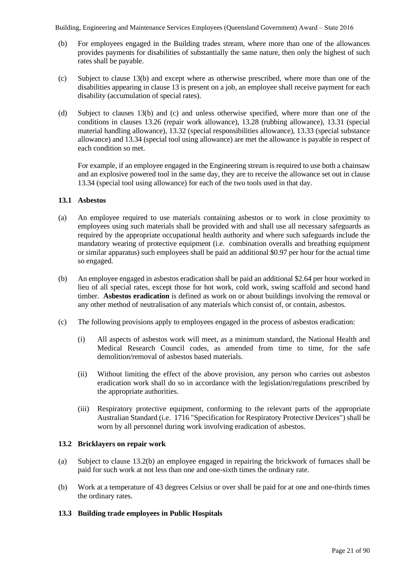- (b) For employees engaged in the Building trades stream, where more than one of the allowances provides payments for disabilities of substantially the same nature, then only the highest of such rates shall be payable.
- (c) Subject to clause 13(b) and except where as otherwise prescribed, where more than one of the disabilities appearing in clause 13 is present on a job, an employee shall receive payment for each disability (accumulation of special rates).
- (d) Subject to clauses 13(b) and (c) and unless otherwise specified, where more than one of the conditions in clauses 13.26 (repair work allowance), 13.28 (rubbing allowance), 13.31 (special material handling allowance), 13.32 (special responsibilities allowance), 13.33 (special substance allowance) and 13.34 (special tool using allowance) are met the allowance is payable in respect of each condition so met.

For example, if an employee engaged in the Engineering stream is required to use both a chainsaw and an explosive powered tool in the same day, they are to receive the allowance set out in clause 13.34 (special tool using allowance) for each of the two tools used in that day.

# **13.1 Asbestos**

- (a) An employee required to use materials containing asbestos or to work in close proximity to employees using such materials shall be provided with and shall use all necessary safeguards as required by the appropriate occupational health authority and where such safeguards include the mandatory wearing of protective equipment (i.e. combination overalls and breathing equipment or similar apparatus) such employees shall be paid an additional \$0.97 per hour for the actual time so engaged.
- (b) An employee engaged in asbestos eradication shall be paid an additional \$2.64 per hour worked in lieu of all special rates, except those for hot work, cold work, swing scaffold and second hand timber. **Asbestos eradication** is defined as work on or about buildings involving the removal or any other method of neutralisation of any materials which consist of, or contain, asbestos.
- (c) The following provisions apply to employees engaged in the process of asbestos eradication:
	- (i) All aspects of asbestos work will meet, as a minimum standard, the National Health and Medical Research Council codes, as amended from time to time, for the safe demolition/removal of asbestos based materials.
	- (ii) Without limiting the effect of the above provision, any person who carries out asbestos eradication work shall do so in accordance with the legislation/regulations prescribed by the appropriate authorities.
	- (iii) Respiratory protective equipment, conforming to the relevant parts of the appropriate Australian Standard (i.e. 1716 "Specification for Respiratory Protective Devices") shall be worn by all personnel during work involving eradication of asbestos.

# **13.2 Bricklayers on repair work**

- (a) Subject to clause 13.2(b) an employee engaged in repairing the brickwork of furnaces shall be paid for such work at not less than one and one-sixth times the ordinary rate.
- (b) Work at a temperature of 43 degrees Celsius or over shall be paid for at one and one-thirds times the ordinary rates.

# **13.3 Building trade employees in Public Hospitals**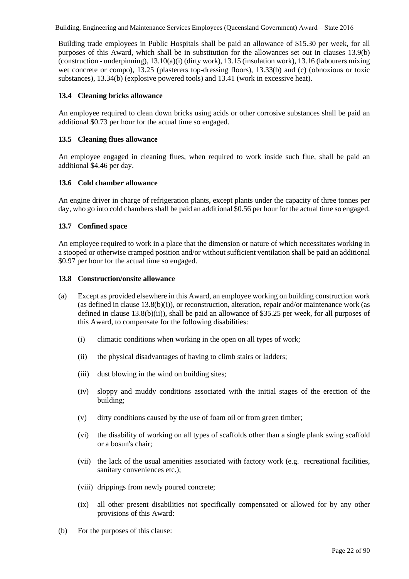Building trade employees in Public Hospitals shall be paid an allowance of \$15.30 per week, for all purposes of this Award, which shall be in substitution for the allowances set out in clauses 13.9(b) (construction - underpinning), 13.10(a)(i) (dirty work), 13.15 (insulation work), 13.16 (labourers mixing wet concrete or compo), 13.25 (plasterers top-dressing floors), 13.33(b) and (c) (obnoxious or toxic substances), 13.34(b) (explosive powered tools) and 13.41 (work in excessive heat).

# **13.4 Cleaning bricks allowance**

An employee required to clean down bricks using acids or other corrosive substances shall be paid an additional \$0.73 per hour for the actual time so engaged.

# **13.5 Cleaning flues allowance**

An employee engaged in cleaning flues, when required to work inside such flue, shall be paid an additional \$4.46 per day.

# **13.6 Cold chamber allowance**

An engine driver in charge of refrigeration plants, except plants under the capacity of three tonnes per day, who go into cold chambers shall be paid an additional \$0.56 per hour for the actual time so engaged.

# **13.7 Confined space**

An employee required to work in a place that the dimension or nature of which necessitates working in a stooped or otherwise cramped position and/or without sufficient ventilation shall be paid an additional \$0.97 per hour for the actual time so engaged.

# **13.8 Construction/onsite allowance**

- (a) Except as provided elsewhere in this Award, an employee working on building construction work (as defined in clause  $13.8(b)(i)$ ), or reconstruction, alteration, repair and/or maintenance work (as defined in clause 13.8(b)(ii)), shall be paid an allowance of \$35.25 per week, for all purposes of this Award, to compensate for the following disabilities:
	- (i) climatic conditions when working in the open on all types of work;
	- (ii) the physical disadvantages of having to climb stairs or ladders;
	- (iii) dust blowing in the wind on building sites;
	- (iv) sloppy and muddy conditions associated with the initial stages of the erection of the building;
	- (v) dirty conditions caused by the use of foam oil or from green timber;
	- (vi) the disability of working on all types of scaffolds other than a single plank swing scaffold or a bosun's chair;
	- (vii) the lack of the usual amenities associated with factory work (e.g. recreational facilities, sanitary conveniences etc.);
	- (viii) drippings from newly poured concrete;
	- (ix) all other present disabilities not specifically compensated or allowed for by any other provisions of this Award:
- (b) For the purposes of this clause: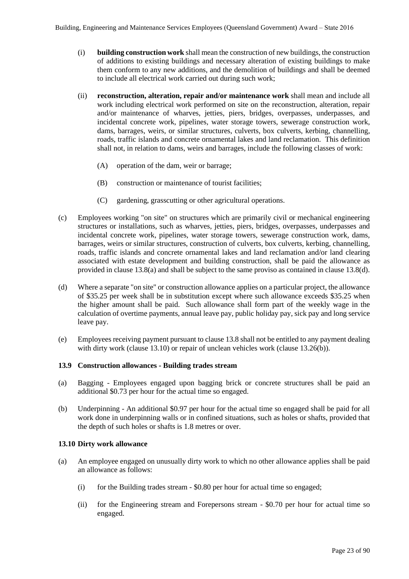- (i) **building construction work** shall mean the construction of new buildings, the construction of additions to existing buildings and necessary alteration of existing buildings to make them conform to any new additions, and the demolition of buildings and shall be deemed to include all electrical work carried out during such work;
- (ii) **reconstruction, alteration, repair and/or maintenance work** shall mean and include all work including electrical work performed on site on the reconstruction, alteration, repair and/or maintenance of wharves, jetties, piers, bridges, overpasses, underpasses, and incidental concrete work, pipelines, water storage towers, sewerage construction work, dams, barrages, weirs, or similar structures, culverts, box culverts, kerbing, channelling, roads, traffic islands and concrete ornamental lakes and land reclamation. This definition shall not, in relation to dams, weirs and barrages, include the following classes of work:
	- (A) operation of the dam, weir or barrage;
	- (B) construction or maintenance of tourist facilities;
	- (C) gardening, grasscutting or other agricultural operations.
- (c) Employees working "on site" on structures which are primarily civil or mechanical engineering structures or installations, such as wharves, jetties, piers, bridges, overpasses, underpasses and incidental concrete work, pipelines, water storage towers, sewerage construction work, dams, barrages, weirs or similar structures, construction of culverts, box culverts, kerbing, channelling, roads, traffic islands and concrete ornamental lakes and land reclamation and/or land clearing associated with estate development and building construction, shall be paid the allowance as provided in clause 13.8(a) and shall be subject to the same proviso as contained in clause 13.8(d).
- (d) Where a separate "on site" or construction allowance applies on a particular project, the allowance of \$35.25 per week shall be in substitution except where such allowance exceeds \$35.25 when the higher amount shall be paid. Such allowance shall form part of the weekly wage in the calculation of overtime payments, annual leave pay, public holiday pay, sick pay and long service leave pay.
- (e) Employees receiving payment pursuant to clause 13.8 shall not be entitled to any payment dealing with dirty work (clause 13.10) or repair of unclean vehicles work (clause 13.26(b)).

### **13.9 Construction allowances - Building trades stream**

- (a) Bagging Employees engaged upon bagging brick or concrete structures shall be paid an additional \$0.73 per hour for the actual time so engaged.
- (b) Underpinning An additional \$0.97 per hour for the actual time so engaged shall be paid for all work done in underpinning walls or in confined situations, such as holes or shafts, provided that the depth of such holes or shafts is 1.8 metres or over.

### **13.10 Dirty work allowance**

- (a) An employee engaged on unusually dirty work to which no other allowance applies shall be paid an allowance as follows:
	- (i) for the Building trades stream \$0.80 per hour for actual time so engaged;
	- (ii) for the Engineering stream and Forepersons stream \$0.70 per hour for actual time so engaged.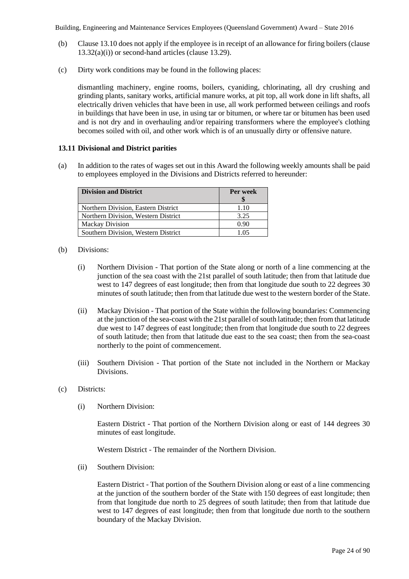- (b) Clause 13.10 does not apply if the employee is in receipt of an allowance for firing boilers (clause 13.32(a)(i)) or second-hand articles (clause 13.29).
- (c) Dirty work conditions may be found in the following places:

dismantling machinery, engine rooms, boilers, cyaniding, chlorinating, all dry crushing and grinding plants, sanitary works, artificial manure works, at pit top, all work done in lift shafts, all electrically driven vehicles that have been in use, all work performed between ceilings and roofs in buildings that have been in use, in using tar or bitumen, or where tar or bitumen has been used and is not dry and in overhauling and/or repairing transformers where the employee's clothing becomes soiled with oil, and other work which is of an unusually dirty or offensive nature.

### **13.11 Divisional and District parities**

(a) In addition to the rates of wages set out in this Award the following weekly amounts shall be paid to employees employed in the Divisions and Districts referred to hereunder:

| <b>Division and District</b>        | Per week |
|-------------------------------------|----------|
| Northern Division, Eastern District | 1.10     |
| Northern Division, Western District | 3.25     |
| <b>Mackay Division</b>              | 0.90     |
| Southern Division, Western District | 1 () 5   |

- (b) Divisions:
	- (i) Northern Division That portion of the State along or north of a line commencing at the junction of the sea coast with the 21st parallel of south latitude; then from that latitude due west to 147 degrees of east longitude; then from that longitude due south to 22 degrees 30 minutes of south latitude; then from that latitude due west to the western border of the State.
	- (ii) Mackay Division That portion of the State within the following boundaries: Commencing at the junction of the sea-coast with the 21st parallel of south latitude; then from that latitude due west to 147 degrees of east longitude; then from that longitude due south to 22 degrees of south latitude; then from that latitude due east to the sea coast; then from the sea-coast northerly to the point of commencement.
	- (iii) Southern Division That portion of the State not included in the Northern or Mackay Divisions.
- (c) Districts:
	- (i) Northern Division:

Eastern District - That portion of the Northern Division along or east of 144 degrees 30 minutes of east longitude.

Western District - The remainder of the Northern Division.

(ii) Southern Division:

Eastern District - That portion of the Southern Division along or east of a line commencing at the junction of the southern border of the State with 150 degrees of east longitude; then from that longitude due north to 25 degrees of south latitude; then from that latitude due west to 147 degrees of east longitude; then from that longitude due north to the southern boundary of the Mackay Division.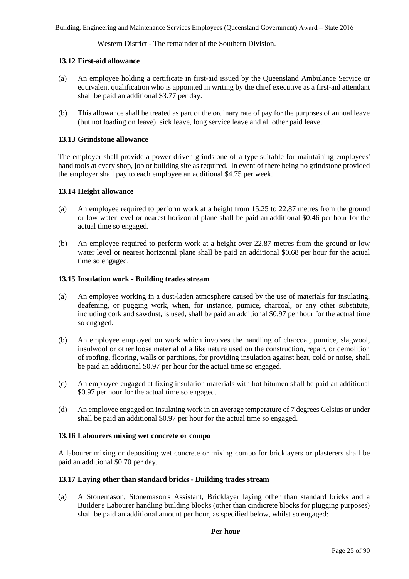Western District - The remainder of the Southern Division.

# **13.12 First-aid allowance**

- (a) An employee holding a certificate in first-aid issued by the Queensland Ambulance Service or equivalent qualification who is appointed in writing by the chief executive as a first-aid attendant shall be paid an additional \$3.77 per day.
- (b) This allowance shall be treated as part of the ordinary rate of pay for the purposes of annual leave (but not loading on leave), sick leave, long service leave and all other paid leave.

# **13.13 Grindstone allowance**

The employer shall provide a power driven grindstone of a type suitable for maintaining employees' hand tools at every shop, job or building site as required. In event of there being no grindstone provided the employer shall pay to each employee an additional \$4.75 per week.

# **13.14 Height allowance**

- (a) An employee required to perform work at a height from 15.25 to 22.87 metres from the ground or low water level or nearest horizontal plane shall be paid an additional \$0.46 per hour for the actual time so engaged.
- (b) An employee required to perform work at a height over 22.87 metres from the ground or low water level or nearest horizontal plane shall be paid an additional \$0.68 per hour for the actual time so engaged.

# **13.15 Insulation work - Building trades stream**

- (a) An employee working in a dust-laden atmosphere caused by the use of materials for insulating, deafening, or pugging work, when, for instance, pumice, charcoal, or any other substitute, including cork and sawdust, is used, shall be paid an additional \$0.97 per hour for the actual time so engaged.
- (b) An employee employed on work which involves the handling of charcoal, pumice, slagwool, insulwool or other loose material of a like nature used on the construction, repair, or demolition of roofing, flooring, walls or partitions, for providing insulation against heat, cold or noise, shall be paid an additional \$0.97 per hour for the actual time so engaged.
- (c) An employee engaged at fixing insulation materials with hot bitumen shall be paid an additional \$0.97 per hour for the actual time so engaged.
- (d) An employee engaged on insulating work in an average temperature of 7 degrees Celsius or under shall be paid an additional \$0.97 per hour for the actual time so engaged.

# **13.16 Labourers mixing wet concrete or compo**

A labourer mixing or depositing wet concrete or mixing compo for bricklayers or plasterers shall be paid an additional \$0.70 per day.

# **13.17 Laying other than standard bricks - Building trades stream**

(a) A Stonemason, Stonemason's Assistant, Bricklayer laying other than standard bricks and a Builder's Labourer handling building blocks (other than cindicrete blocks for plugging purposes) shall be paid an additional amount per hour, as specified below, whilst so engaged: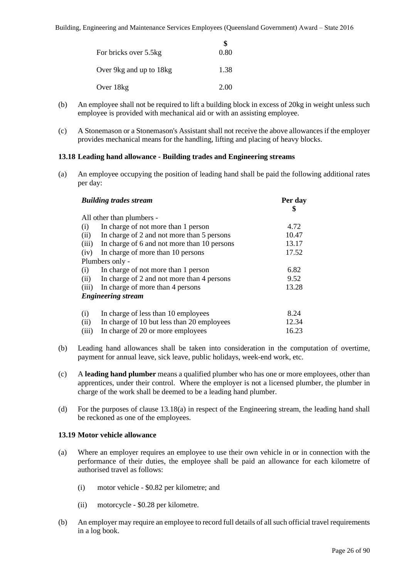|                           | \$   |
|---------------------------|------|
| For bricks over 5.5kg     | 0.80 |
| Over 9 kg and up to 18 kg | 1.38 |
| Over 18kg                 | 2.00 |

- (b) An employee shall not be required to lift a building block in excess of 20kg in weight unless such employee is provided with mechanical aid or with an assisting employee.
- (c) A Stonemason or a Stonemason's Assistant shall not receive the above allowances if the employer provides mechanical means for the handling, lifting and placing of heavy blocks.

# **13.18 Leading hand allowance - Building trades and Engineering streams**

(a) An employee occupying the position of leading hand shall be paid the following additional rates per day:

| <b>Building trades stream</b> | Per day<br>\$                               |       |
|-------------------------------|---------------------------------------------|-------|
|                               | All other than plumbers -                   |       |
| (i)                           | In charge of not more than 1 person         | 4.72  |
| (ii)                          | In charge of 2 and not more than 5 persons  | 10.47 |
| (iii)                         | In charge of 6 and not more than 10 persons | 13.17 |
| (iv)                          | In charge of more than 10 persons           | 17.52 |
|                               | Plumbers only -                             |       |
| (i)                           | In charge of not more than 1 person         | 6.82  |
| (ii)                          | In charge of 2 and not more than 4 persons  | 9.52  |
| (iii)                         | In charge of more than 4 persons            | 13.28 |
|                               | <b>Engineering stream</b>                   |       |
| (i)                           | In charge of less than 10 employees         | 8.24  |
| (ii)                          | In charge of 10 but less than 20 employees  | 12.34 |
| (iii)                         | In charge of 20 or more employees           | 16.23 |

- (b) Leading hand allowances shall be taken into consideration in the computation of overtime, payment for annual leave, sick leave, public holidays, week-end work, etc.
- (c) A **leading hand plumber** means a qualified plumber who has one or more employees, other than apprentices, under their control. Where the employer is not a licensed plumber, the plumber in charge of the work shall be deemed to be a leading hand plumber.
- (d) For the purposes of clause 13.18(a) in respect of the Engineering stream, the leading hand shall be reckoned as one of the employees.

# **13.19 Motor vehicle allowance**

- (a) Where an employer requires an employee to use their own vehicle in or in connection with the performance of their duties, the employee shall be paid an allowance for each kilometre of authorised travel as follows:
	- (i) motor vehicle \$0.82 per kilometre; and
	- (ii) motorcycle \$0.28 per kilometre.
- (b) An employer may require an employee to record full details of all such official travel requirements in a log book.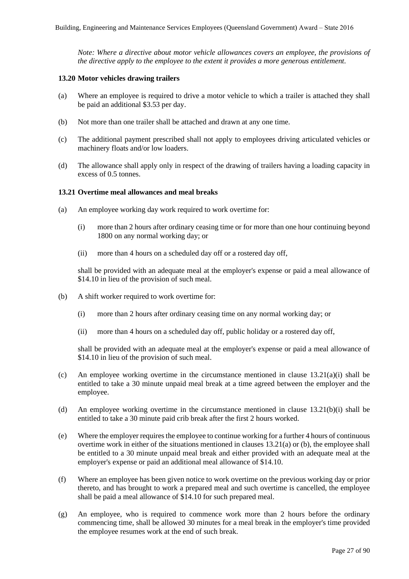*Note: Where a directive about motor vehicle allowances covers an employee, the provisions of the directive apply to the employee to the extent it provides a more generous entitlement.*

### **13.20 Motor vehicles drawing trailers**

- (a) Where an employee is required to drive a motor vehicle to which a trailer is attached they shall be paid an additional \$3.53 per day.
- (b) Not more than one trailer shall be attached and drawn at any one time.
- (c) The additional payment prescribed shall not apply to employees driving articulated vehicles or machinery floats and/or low loaders.
- (d) The allowance shall apply only in respect of the drawing of trailers having a loading capacity in excess of 0.5 tonnes.

# **13.21 Overtime meal allowances and meal breaks**

- (a) An employee working day work required to work overtime for:
	- (i) more than 2 hours after ordinary ceasing time or for more than one hour continuing beyond 1800 on any normal working day; or
	- (ii) more than 4 hours on a scheduled day off or a rostered day off,

shall be provided with an adequate meal at the employer's expense or paid a meal allowance of \$14.10 in lieu of the provision of such meal.

- (b) A shift worker required to work overtime for:
	- (i) more than 2 hours after ordinary ceasing time on any normal working day; or
	- (ii) more than 4 hours on a scheduled day off, public holiday or a rostered day off,

shall be provided with an adequate meal at the employer's expense or paid a meal allowance of \$14.10 in lieu of the provision of such meal.

- (c) An employee working overtime in the circumstance mentioned in clause 13.21(a)(i) shall be entitled to take a 30 minute unpaid meal break at a time agreed between the employer and the employee.
- (d) An employee working overtime in the circumstance mentioned in clause 13.21(b)(i) shall be entitled to take a 30 minute paid crib break after the first 2 hours worked.
- (e) Where the employer requires the employee to continue working for a further 4 hours of continuous overtime work in either of the situations mentioned in clauses 13.21(a) or (b), the employee shall be entitled to a 30 minute unpaid meal break and either provided with an adequate meal at the employer's expense or paid an additional meal allowance of \$14.10.
- (f) Where an employee has been given notice to work overtime on the previous working day or prior thereto, and has brought to work a prepared meal and such overtime is cancelled, the employee shall be paid a meal allowance of \$14.10 for such prepared meal.
- (g) An employee, who is required to commence work more than 2 hours before the ordinary commencing time, shall be allowed 30 minutes for a meal break in the employer's time provided the employee resumes work at the end of such break.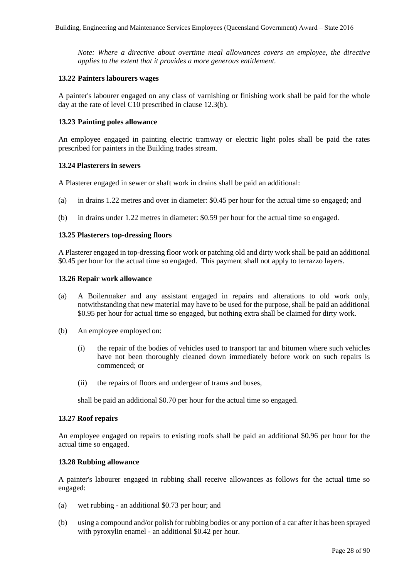*Note: Where a directive about overtime meal allowances covers an employee, the directive applies to the extent that it provides a more generous entitlement.*

### **13.22 Painters labourers wages**

A painter's labourer engaged on any class of varnishing or finishing work shall be paid for the whole day at the rate of level C10 prescribed in clause 12.3(b).

### **13.23 Painting poles allowance**

An employee engaged in painting electric tramway or electric light poles shall be paid the rates prescribed for painters in the Building trades stream.

### **13.24 Plasterers in sewers**

A Plasterer engaged in sewer or shaft work in drains shall be paid an additional:

- (a) in drains 1.22 metres and over in diameter: \$0.45 per hour for the actual time so engaged; and
- (b) in drains under 1.22 metres in diameter: \$0.59 per hour for the actual time so engaged.

### **13.25 Plasterers top-dressing floors**

A Plasterer engaged in top-dressing floor work or patching old and dirty work shall be paid an additional \$0.45 per hour for the actual time so engaged. This payment shall not apply to terrazzo layers.

### **13.26 Repair work allowance**

- (a) A Boilermaker and any assistant engaged in repairs and alterations to old work only, notwithstanding that new material may have to be used for the purpose, shall be paid an additional \$0.95 per hour for actual time so engaged, but nothing extra shall be claimed for dirty work.
- (b) An employee employed on:
	- (i) the repair of the bodies of vehicles used to transport tar and bitumen where such vehicles have not been thoroughly cleaned down immediately before work on such repairs is commenced; or
	- (ii) the repairs of floors and undergear of trams and buses,

shall be paid an additional \$0.70 per hour for the actual time so engaged.

### **13.27 Roof repairs**

An employee engaged on repairs to existing roofs shall be paid an additional \$0.96 per hour for the actual time so engaged.

### **13.28 Rubbing allowance**

A painter's labourer engaged in rubbing shall receive allowances as follows for the actual time so engaged:

- (a) wet rubbing an additional \$0.73 per hour; and
- (b) using a compound and/or polish for rubbing bodies or any portion of a car after it has been sprayed with pyroxylin enamel - an additional \$0.42 per hour.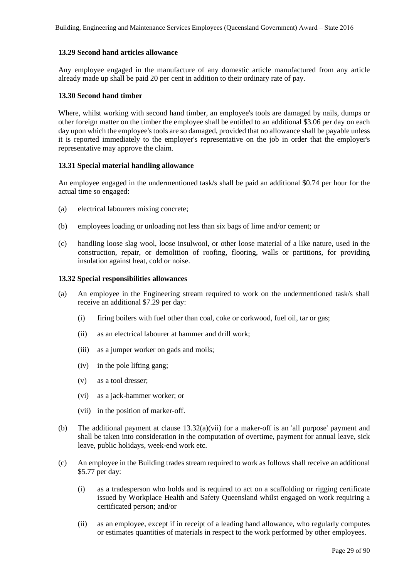# **13.29 Second hand articles allowance**

Any employee engaged in the manufacture of any domestic article manufactured from any article already made up shall be paid 20 per cent in addition to their ordinary rate of pay.

# **13.30 Second hand timber**

Where, whilst working with second hand timber, an employee's tools are damaged by nails, dumps or other foreign matter on the timber the employee shall be entitled to an additional \$3.06 per day on each day upon which the employee's tools are so damaged, provided that no allowance shall be payable unless it is reported immediately to the employer's representative on the job in order that the employer's representative may approve the claim.

# **13.31 Special material handling allowance**

An employee engaged in the undermentioned task/s shall be paid an additional \$0.74 per hour for the actual time so engaged:

- (a) electrical labourers mixing concrete;
- (b) employees loading or unloading not less than six bags of lime and/or cement; or
- (c) handling loose slag wool, loose insulwool, or other loose material of a like nature, used in the construction, repair, or demolition of roofing, flooring, walls or partitions, for providing insulation against heat, cold or noise.

# **13.32 Special responsibilities allowances**

- (a) An employee in the Engineering stream required to work on the undermentioned task/s shall receive an additional \$7.29 per day:
	- (i) firing boilers with fuel other than coal, coke or corkwood, fuel oil, tar or gas;
	- (ii) as an electrical labourer at hammer and drill work;
	- (iii) as a jumper worker on gads and moils;
	- (iv) in the pole lifting gang;
	- (v) as a tool dresser;
	- (vi) as a jack-hammer worker; or
	- (vii) in the position of marker-off.
- (b) The additional payment at clause  $13.32(a)(vii)$  for a maker-off is an 'all purpose' payment and shall be taken into consideration in the computation of overtime, payment for annual leave, sick leave, public holidays, week-end work etc.
- (c) An employee in the Building trades stream required to work as follows shall receive an additional \$5.77 per day:
	- (i) as a tradesperson who holds and is required to act on a scaffolding or rigging certificate issued by Workplace Health and Safety Queensland whilst engaged on work requiring a certificated person; and/or
	- (ii) as an employee, except if in receipt of a leading hand allowance, who regularly computes or estimates quantities of materials in respect to the work performed by other employees.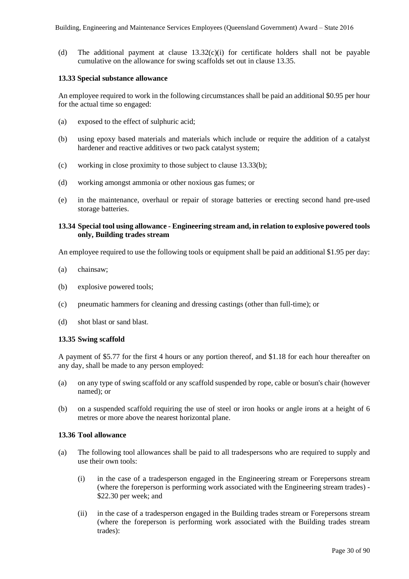(d) The additional payment at clause  $13.32(c)(i)$  for certificate holders shall not be payable cumulative on the allowance for swing scaffolds set out in clause 13.35.

### **13.33 Special substance allowance**

An employee required to work in the following circumstances shall be paid an additional \$0.95 per hour for the actual time so engaged:

- (a) exposed to the effect of sulphuric acid;
- (b) using epoxy based materials and materials which include or require the addition of a catalyst hardener and reactive additives or two pack catalyst system;
- (c) working in close proximity to those subject to clause 13.33(b);
- (d) working amongst ammonia or other noxious gas fumes; or
- (e) in the maintenance, overhaul or repair of storage batteries or erecting second hand pre-used storage batteries.

### **13.34 Special tool using allowance - Engineering stream and, in relation to explosive powered tools only, Building trades stream**

An employee required to use the following tools or equipment shall be paid an additional \$1.95 per day:

- (a) chainsaw;
- (b) explosive powered tools;
- (c) pneumatic hammers for cleaning and dressing castings (other than full-time); or
- (d) shot blast or sand blast.

# **13.35 Swing scaffold**

A payment of \$5.77 for the first 4 hours or any portion thereof, and \$1.18 for each hour thereafter on any day, shall be made to any person employed:

- (a) on any type of swing scaffold or any scaffold suspended by rope, cable or bosun's chair (however named); or
- (b) on a suspended scaffold requiring the use of steel or iron hooks or angle irons at a height of 6 metres or more above the nearest horizontal plane.

### **13.36 Tool allowance**

- (a) The following tool allowances shall be paid to all tradespersons who are required to supply and use their own tools:
	- (i) in the case of a tradesperson engaged in the Engineering stream or Forepersons stream (where the foreperson is performing work associated with the Engineering stream trades) - \$22.30 per week; and
	- (ii) in the case of a tradesperson engaged in the Building trades stream or Forepersons stream (where the foreperson is performing work associated with the Building trades stream trades):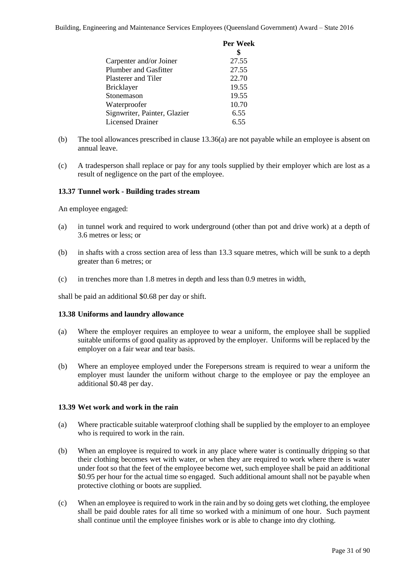|                              | Per Week |
|------------------------------|----------|
|                              |          |
| Carpenter and/or Joiner      | 27.55    |
| <b>Plumber and Gasfitter</b> | 27.55    |
| Plasterer and Tiler          | 22.70    |
| Bricklayer                   | 19.55    |
| Stonemason                   | 19.55    |
| Waterproofer                 | 10.70    |
| Signwriter, Painter, Glazier | 6.55     |
| <b>Licensed Drainer</b>      | 6.55     |
|                              |          |

- (b) The tool allowances prescribed in clause 13.36(a) are not payable while an employee is absent on annual leave.
- (c) A tradesperson shall replace or pay for any tools supplied by their employer which are lost as a result of negligence on the part of the employee.

# **13.37 Tunnel work - Building trades stream**

An employee engaged:

- (a) in tunnel work and required to work underground (other than pot and drive work) at a depth of 3.6 metres or less; or
- (b) in shafts with a cross section area of less than 13.3 square metres, which will be sunk to a depth greater than 6 metres; or
- (c) in trenches more than 1.8 metres in depth and less than 0.9 metres in width,

shall be paid an additional \$0.68 per day or shift.

# **13.38 Uniforms and laundry allowance**

- (a) Where the employer requires an employee to wear a uniform, the employee shall be supplied suitable uniforms of good quality as approved by the employer. Uniforms will be replaced by the employer on a fair wear and tear basis.
- (b) Where an employee employed under the Forepersons stream is required to wear a uniform the employer must launder the uniform without charge to the employee or pay the employee an additional \$0.48 per day.

# **13.39 Wet work and work in the rain**

- (a) Where practicable suitable waterproof clothing shall be supplied by the employer to an employee who is required to work in the rain.
- (b) When an employee is required to work in any place where water is continually dripping so that their clothing becomes wet with water, or when they are required to work where there is water under foot so that the feet of the employee become wet, such employee shall be paid an additional \$0.95 per hour for the actual time so engaged. Such additional amount shall not be payable when protective clothing or boots are supplied.
- (c) When an employee is required to work in the rain and by so doing gets wet clothing, the employee shall be paid double rates for all time so worked with a minimum of one hour. Such payment shall continue until the employee finishes work or is able to change into dry clothing.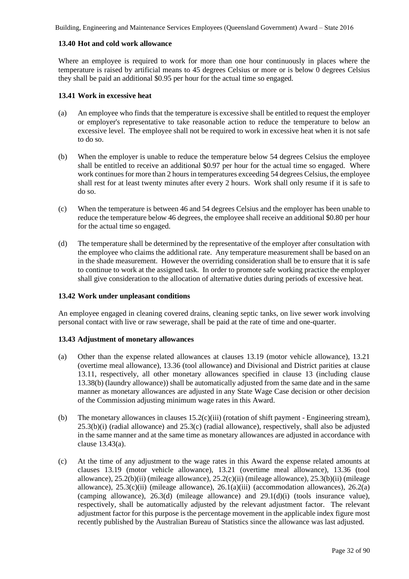# **13.40 Hot and cold work allowance**

Where an employee is required to work for more than one hour continuously in places where the temperature is raised by artificial means to 45 degrees Celsius or more or is below 0 degrees Celsius they shall be paid an additional \$0.95 per hour for the actual time so engaged.

# **13.41 Work in excessive heat**

- (a) An employee who finds that the temperature is excessive shall be entitled to request the employer or employer's representative to take reasonable action to reduce the temperature to below an excessive level. The employee shall not be required to work in excessive heat when it is not safe to do so.
- (b) When the employer is unable to reduce the temperature below 54 degrees Celsius the employee shall be entitled to receive an additional \$0.97 per hour for the actual time so engaged. Where work continues for more than 2 hours in temperatures exceeding 54 degrees Celsius, the employee shall rest for at least twenty minutes after every 2 hours. Work shall only resume if it is safe to do so.
- (c) When the temperature is between 46 and 54 degrees Celsius and the employer has been unable to reduce the temperature below 46 degrees, the employee shall receive an additional \$0.80 per hour for the actual time so engaged.
- (d) The temperature shall be determined by the representative of the employer after consultation with the employee who claims the additional rate. Any temperature measurement shall be based on an in the shade measurement. However the overriding consideration shall be to ensure that it is safe to continue to work at the assigned task. In order to promote safe working practice the employer shall give consideration to the allocation of alternative duties during periods of excessive heat.

# **13.42 Work under unpleasant conditions**

An employee engaged in cleaning covered drains, cleaning septic tanks, on live sewer work involving personal contact with live or raw sewerage, shall be paid at the rate of time and one-quarter.

# **13.43 Adjustment of monetary allowances**

- (a) Other than the expense related allowances at clauses 13.19 (motor vehicle allowance), 13.21 (overtime meal allowance), 13.36 (tool allowance) and Divisional and District parities at clause 13.11, respectively, all other monetary allowances specified in clause 13 (including clause 13.38(b) (laundry allowance)) shall be automatically adjusted from the same date and in the same manner as monetary allowances are adjusted in any State Wage Case decision or other decision of the Commission adjusting minimum wage rates in this Award.
- (b) The monetary allowances in clauses 15.2(c)(iii) (rotation of shift payment Engineering stream),  $25.3(b)(i)$  (radial allowance) and  $25.3(c)$  (radial allowance), respectively, shall also be adjusted in the same manner and at the same time as monetary allowances are adjusted in accordance with clause 13.43(a).
- (c) At the time of any adjustment to the wage rates in this Award the expense related amounts at clauses 13.19 (motor vehicle allowance), 13.21 (overtime meal allowance), 13.36 (tool allowance), 25.2(b)(ii) (mileage allowance), 25.2(c)(ii) (mileage allowance), 25.3(b)(ii) (mileage allowance),  $25.3(c)(ii)$  (mileage allowance),  $26.1(a)(iii)$  (accommodation allowances),  $26.2(a)$ (camping allowance), 26.3(d) (mileage allowance) and 29.1(d)(i) (tools insurance value), respectively, shall be automatically adjusted by the relevant adjustment factor. The relevant adjustment factor for this purpose is the percentage movement in the applicable index figure most recently published by the Australian Bureau of Statistics since the allowance was last adjusted.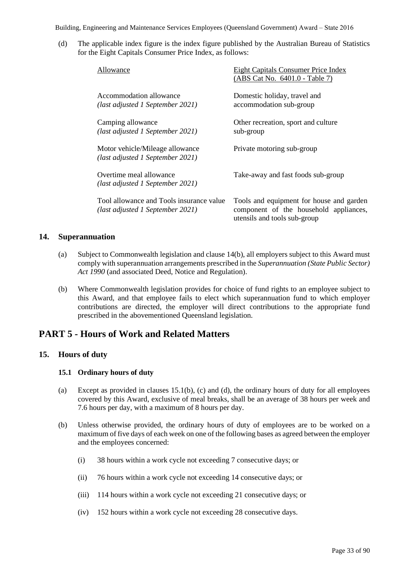(d) The applicable index figure is the index figure published by the Australian Bureau of Statistics for the Eight Capitals Consumer Price Index, as follows:

| Allowance                                                                    | Eight Capitals Consumer Price Index<br>(ABS Cat No. 6401.0 - Table 7)                                              |
|------------------------------------------------------------------------------|--------------------------------------------------------------------------------------------------------------------|
| Accommodation allowance<br>(last adjusted 1 September 2021)                  | Domestic holiday, travel and<br>accommodation sub-group                                                            |
| Camping allowance<br>(last adjusted 1 September 2021)                        | Other recreation, sport and culture<br>sub-group                                                                   |
| Motor vehicle/Mileage allowance<br>(last adjusted 1 September 2021)          | Private motoring sub-group                                                                                         |
| Overtime meal allowance<br>(last adjusted 1 September 2021)                  | Take-away and fast foods sub-group                                                                                 |
| Tool allowance and Tools insurance value<br>(last adjusted 1 September 2021) | Tools and equipment for house and garden<br>component of the household appliances,<br>utensils and tools sub-group |

# **14. Superannuation**

- (a) Subject to Commonwealth legislation and clause 14(b), all employers subject to this Award must comply with superannuation arrangements prescribed in the *Superannuation (State Public Sector) Act 1990* (and associated Deed, Notice and Regulation).
- (b) Where Commonwealth legislation provides for choice of fund rights to an employee subject to this Award, and that employee fails to elect which superannuation fund to which employer contributions are directed, the employer will direct contributions to the appropriate fund prescribed in the abovementioned Queensland legislation.

# **PART 5 - Hours of Work and Related Matters**

# **15. Hours of duty**

# **15.1 Ordinary hours of duty**

- (a) Except as provided in clauses 15.1(b), (c) and (d), the ordinary hours of duty for all employees covered by this Award, exclusive of meal breaks, shall be an average of 38 hours per week and 7.6 hours per day, with a maximum of 8 hours per day.
- (b) Unless otherwise provided, the ordinary hours of duty of employees are to be worked on a maximum of five days of each week on one of the following bases as agreed between the employer and the employees concerned:
	- (i) 38 hours within a work cycle not exceeding 7 consecutive days; or
	- (ii) 76 hours within a work cycle not exceeding 14 consecutive days; or
	- (iii) 114 hours within a work cycle not exceeding 21 consecutive days; or
	- (iv) 152 hours within a work cycle not exceeding 28 consecutive days.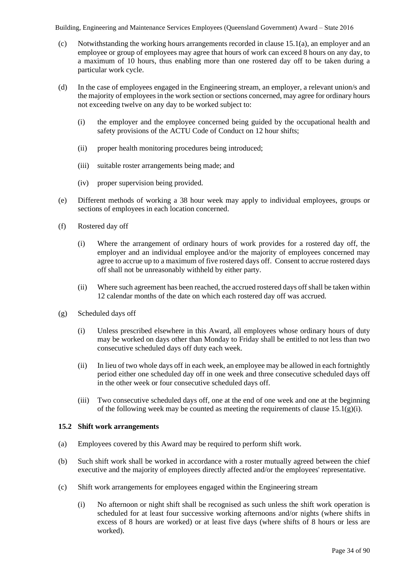- (c) Notwithstanding the working hours arrangements recorded in clause 15.1(a), an employer and an employee or group of employees may agree that hours of work can exceed 8 hours on any day, to a maximum of 10 hours, thus enabling more than one rostered day off to be taken during a particular work cycle.
- (d) In the case of employees engaged in the Engineering stream, an employer, a relevant union/s and the majority of employees in the work section or sections concerned, may agree for ordinary hours not exceeding twelve on any day to be worked subject to:
	- (i) the employer and the employee concerned being guided by the occupational health and safety provisions of the ACTU Code of Conduct on 12 hour shifts;
	- (ii) proper health monitoring procedures being introduced;
	- (iii) suitable roster arrangements being made; and
	- (iv) proper supervision being provided.
- (e) Different methods of working a 38 hour week may apply to individual employees, groups or sections of employees in each location concerned.
- (f) Rostered day off
	- (i) Where the arrangement of ordinary hours of work provides for a rostered day off, the employer and an individual employee and/or the majority of employees concerned may agree to accrue up to a maximum of five rostered days off. Consent to accrue rostered days off shall not be unreasonably withheld by either party.
	- (ii) Where such agreement has been reached, the accrued rostered days off shall be taken within 12 calendar months of the date on which each rostered day off was accrued.
- (g) Scheduled days off
	- (i) Unless prescribed elsewhere in this Award, all employees whose ordinary hours of duty may be worked on days other than Monday to Friday shall be entitled to not less than two consecutive scheduled days off duty each week.
	- (ii) In lieu of two whole days off in each week, an employee may be allowed in each fortnightly period either one scheduled day off in one week and three consecutive scheduled days off in the other week or four consecutive scheduled days off.
	- (iii) Two consecutive scheduled days off, one at the end of one week and one at the beginning of the following week may be counted as meeting the requirements of clause  $15.1(g)(i)$ .

# **15.2 Shift work arrangements**

- (a) Employees covered by this Award may be required to perform shift work.
- (b) Such shift work shall be worked in accordance with a roster mutually agreed between the chief executive and the majority of employees directly affected and/or the employees' representative.
- (c) Shift work arrangements for employees engaged within the Engineering stream
	- (i) No afternoon or night shift shall be recognised as such unless the shift work operation is scheduled for at least four successive working afternoons and/or nights (where shifts in excess of 8 hours are worked) or at least five days (where shifts of 8 hours or less are worked).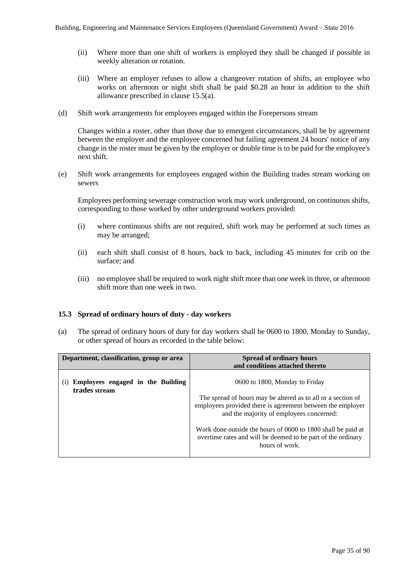- (ii) Where more than one shift of workers is employed they shall be changed if possible in weekly alteration or rotation.
- (iii) Where an employer refuses to allow a changeover rotation of shifts, an employee who works on afternoon or night shift shall be paid \$0.28 an hour in addition to the shift allowance prescribed in clause 15.5(a).
- (d) Shift work arrangements for employees engaged within the Forepersons stream

Changes within a roster, other than those due to emergent circumstances, shall be by agreement between the employer and the employee concerned but failing agreement 24 hours' notice of any change in the roster must be given by the employer or double time is to be paid for the employee's next shift.

(e) Shift work arrangements for employees engaged within the Building trades stream working on sewers

Employees performing sewerage construction work may work underground, on continuous shifts, corresponding to those worked by other underground workers provided:

- (i) where continuous shifts are not required, shift work may be performed at such times as may be arranged;
- (ii) each shift shall consist of 8 hours, back to back, including 45 minutes for crib on the surface; and
- (iii) no employee shall be required to work night shift more than one week in three, or afternoon shift more than one week in two.

# **15.3 Spread of ordinary hours of duty - day workers**

(a) The spread of ordinary hours of duty for day workers shall be 0600 to 1800, Monday to Sunday, or other spread of hours as recorded in the table below:

| Department, classification, group or area          | <b>Spread of ordinary hours</b><br>and conditions attached thereto                                                                                                     |
|----------------------------------------------------|------------------------------------------------------------------------------------------------------------------------------------------------------------------------|
| Employees engaged in the Building<br>trades stream | 0600 to 1800, Monday to Friday                                                                                                                                         |
|                                                    | The spread of hours may be altered as to all or a section of<br>employees provided there is agreement between the employer<br>and the majority of employees concerned: |
|                                                    | Work done outside the hours of 0600 to 1800 shall be paid at<br>overtime rates and will be deemed to be part of the ordinary<br>hours of work.                         |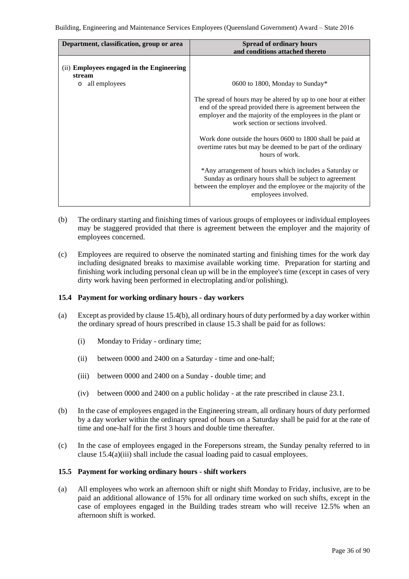| Department, classification, group or area                                       | <b>Spread of ordinary hours</b>                                                                                                                                                                                                 |
|---------------------------------------------------------------------------------|---------------------------------------------------------------------------------------------------------------------------------------------------------------------------------------------------------------------------------|
|                                                                                 | and conditions attached thereto                                                                                                                                                                                                 |
| (ii) Employees engaged in the Engineering<br>stream<br>all employees<br>$\circ$ | 0600 to 1800, Monday to Sunday*                                                                                                                                                                                                 |
|                                                                                 | The spread of hours may be altered by up to one hour at either<br>end of the spread provided there is agreement between the<br>employer and the majority of the employees in the plant or<br>work section or sections involved. |
|                                                                                 | Work done outside the hours 0600 to 1800 shall be paid at<br>overtime rates but may be deemed to be part of the ordinary<br>hours of work.                                                                                      |
|                                                                                 | *Any arrangement of hours which includes a Saturday or<br>Sunday as ordinary hours shall be subject to agreement<br>between the employer and the employee or the majority of the<br>employees involved.                         |

- (b) The ordinary starting and finishing times of various groups of employees or individual employees may be staggered provided that there is agreement between the employer and the majority of employees concerned.
- (c) Employees are required to observe the nominated starting and finishing times for the work day including designated breaks to maximise available working time. Preparation for starting and finishing work including personal clean up will be in the employee's time (except in cases of very dirty work having been performed in electroplating and/or polishing).

# **15.4 Payment for working ordinary hours - day workers**

- (a) Except as provided by clause 15.4(b), all ordinary hours of duty performed by a day worker within the ordinary spread of hours prescribed in clause 15.3 shall be paid for as follows:
	- (i) Monday to Friday ordinary time;
	- (ii) between 0000 and 2400 on a Saturday time and one-half;
	- (iii) between 0000 and 2400 on a Sunday double time; and
	- (iv) between 0000 and 2400 on a public holiday at the rate prescribed in clause 23.1.
- (b) In the case of employees engaged in the Engineering stream, all ordinary hours of duty performed by a day worker within the ordinary spread of hours on a Saturday shall be paid for at the rate of time and one-half for the first 3 hours and double time thereafter.
- (c) In the case of employees engaged in the Forepersons stream, the Sunday penalty referred to in clause 15.4(a)(iii) shall include the casual loading paid to casual employees.

# **15.5 Payment for working ordinary hours - shift workers**

(a) All employees who work an afternoon shift or night shift Monday to Friday, inclusive, are to be paid an additional allowance of 15% for all ordinary time worked on such shifts, except in the case of employees engaged in the Building trades stream who will receive 12.5% when an afternoon shift is worked.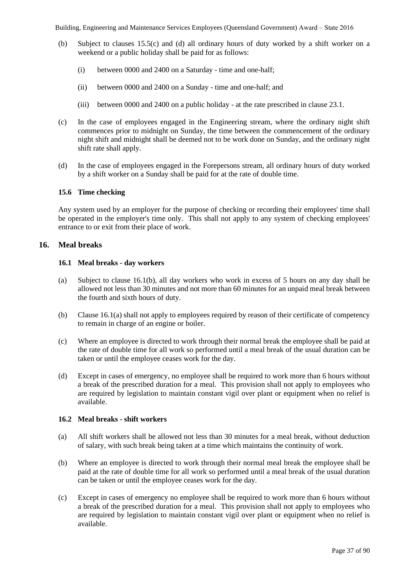- (b) Subject to clauses 15.5(c) and (d) all ordinary hours of duty worked by a shift worker on a weekend or a public holiday shall be paid for as follows:
	- (i) between 0000 and 2400 on a Saturday time and one-half;
	- (ii) between 0000 and 2400 on a Sunday time and one-half; and
	- (iii) between 0000 and 2400 on a public holiday at the rate prescribed in clause 23.1.
- (c) In the case of employees engaged in the Engineering stream, where the ordinary night shift commences prior to midnight on Sunday, the time between the commencement of the ordinary night shift and midnight shall be deemed not to be work done on Sunday, and the ordinary night shift rate shall apply.
- (d) In the case of employees engaged in the Forepersons stream, all ordinary hours of duty worked by a shift worker on a Sunday shall be paid for at the rate of double time.

## **15.6 Time checking**

Any system used by an employer for the purpose of checking or recording their employees' time shall be operated in the employer's time only. This shall not apply to any system of checking employees' entrance to or exit from their place of work.

## **16. Meal breaks**

#### **16.1 Meal breaks - day workers**

- (a) Subject to clause 16.1(b), all day workers who work in excess of 5 hours on any day shall be allowed not less than 30 minutes and not more than 60 minutes for an unpaid meal break between the fourth and sixth hours of duty.
- (b) Clause 16.1(a) shall not apply to employees required by reason of their certificate of competency to remain in charge of an engine or boiler.
- (c) Where an employee is directed to work through their normal break the employee shall be paid at the rate of double time for all work so performed until a meal break of the usual duration can be taken or until the employee ceases work for the day.
- (d) Except in cases of emergency, no employee shall be required to work more than 6 hours without a break of the prescribed duration for a meal. This provision shall not apply to employees who are required by legislation to maintain constant vigil over plant or equipment when no relief is available.

#### **16.2 Meal breaks - shift workers**

- (a) All shift workers shall be allowed not less than 30 minutes for a meal break, without deduction of salary, with such break being taken at a time which maintains the continuity of work.
- (b) Where an employee is directed to work through their normal meal break the employee shall be paid at the rate of double time for all work so performed until a meal break of the usual duration can be taken or until the employee ceases work for the day.
- (c) Except in cases of emergency no employee shall be required to work more than 6 hours without a break of the prescribed duration for a meal. This provision shall not apply to employees who are required by legislation to maintain constant vigil over plant or equipment when no relief is available.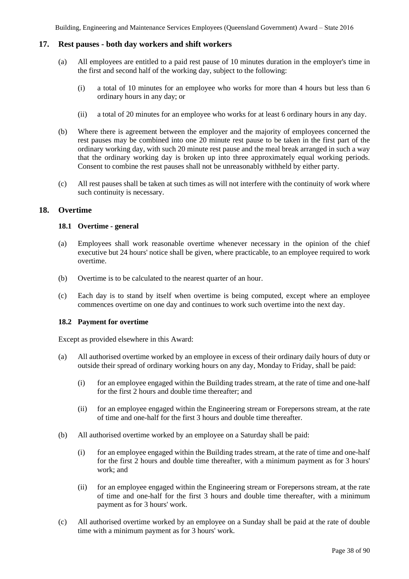## **17. Rest pauses - both day workers and shift workers**

- (a) All employees are entitled to a paid rest pause of 10 minutes duration in the employer's time in the first and second half of the working day, subject to the following:
	- (i) a total of 10 minutes for an employee who works for more than 4 hours but less than 6 ordinary hours in any day; or
	- (ii) a total of 20 minutes for an employee who works for at least 6 ordinary hours in any day.
- (b) Where there is agreement between the employer and the majority of employees concerned the rest pauses may be combined into one 20 minute rest pause to be taken in the first part of the ordinary working day, with such 20 minute rest pause and the meal break arranged in such a way that the ordinary working day is broken up into three approximately equal working periods. Consent to combine the rest pauses shall not be unreasonably withheld by either party.
- (c) All rest pauses shall be taken at such times as will not interfere with the continuity of work where such continuity is necessary.

## **18. Overtime**

## **18.1 Overtime - general**

- (a) Employees shall work reasonable overtime whenever necessary in the opinion of the chief executive but 24 hours' notice shall be given, where practicable, to an employee required to work overtime.
- (b) Overtime is to be calculated to the nearest quarter of an hour.
- (c) Each day is to stand by itself when overtime is being computed, except where an employee commences overtime on one day and continues to work such overtime into the next day.

## **18.2 Payment for overtime**

Except as provided elsewhere in this Award:

- (a) All authorised overtime worked by an employee in excess of their ordinary daily hours of duty or outside their spread of ordinary working hours on any day, Monday to Friday, shall be paid:
	- (i) for an employee engaged within the Building trades stream, at the rate of time and one-half for the first 2 hours and double time thereafter; and
	- (ii) for an employee engaged within the Engineering stream or Forepersons stream, at the rate of time and one-half for the first 3 hours and double time thereafter.
- (b) All authorised overtime worked by an employee on a Saturday shall be paid:
	- (i) for an employee engaged within the Building trades stream, at the rate of time and one-half for the first 2 hours and double time thereafter, with a minimum payment as for 3 hours' work; and
	- (ii) for an employee engaged within the Engineering stream or Forepersons stream, at the rate of time and one-half for the first 3 hours and double time thereafter, with a minimum payment as for 3 hours' work.
- (c) All authorised overtime worked by an employee on a Sunday shall be paid at the rate of double time with a minimum payment as for 3 hours' work.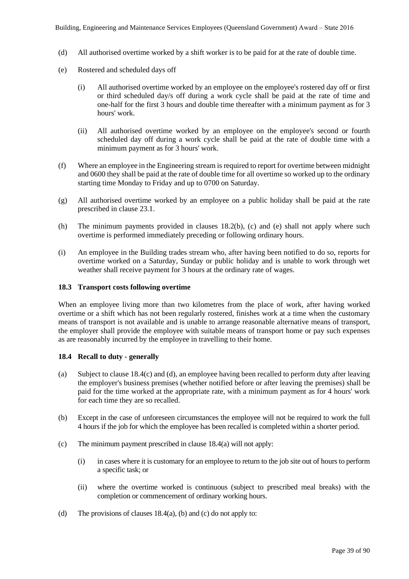- (d) All authorised overtime worked by a shift worker is to be paid for at the rate of double time.
- (e) Rostered and scheduled days off
	- (i) All authorised overtime worked by an employee on the employee's rostered day off or first or third scheduled day/s off during a work cycle shall be paid at the rate of time and one-half for the first 3 hours and double time thereafter with a minimum payment as for 3 hours' work.
	- (ii) All authorised overtime worked by an employee on the employee's second or fourth scheduled day off during a work cycle shall be paid at the rate of double time with a minimum payment as for 3 hours' work.
- (f) Where an employee in the Engineering stream is required to report for overtime between midnight and 0600 they shall be paid at the rate of double time for all overtime so worked up to the ordinary starting time Monday to Friday and up to 0700 on Saturday.
- (g) All authorised overtime worked by an employee on a public holiday shall be paid at the rate prescribed in clause 23.1.
- (h) The minimum payments provided in clauses 18.2(b), (c) and (e) shall not apply where such overtime is performed immediately preceding or following ordinary hours.
- (i) An employee in the Building trades stream who, after having been notified to do so, reports for overtime worked on a Saturday, Sunday or public holiday and is unable to work through wet weather shall receive payment for 3 hours at the ordinary rate of wages.

## **18.3 Transport costs following overtime**

When an employee living more than two kilometres from the place of work, after having worked overtime or a shift which has not been regularly rostered, finishes work at a time when the customary means of transport is not available and is unable to arrange reasonable alternative means of transport, the employer shall provide the employee with suitable means of transport home or pay such expenses as are reasonably incurred by the employee in travelling to their home.

## **18.4 Recall to duty - generally**

- (a) Subject to clause 18.4(c) and (d), an employee having been recalled to perform duty after leaving the employer's business premises (whether notified before or after leaving the premises) shall be paid for the time worked at the appropriate rate, with a minimum payment as for 4 hours' work for each time they are so recalled.
- (b) Except in the case of unforeseen circumstances the employee will not be required to work the full 4 hours if the job for which the employee has been recalled is completed within a shorter period.
- (c) The minimum payment prescribed in clause 18.4(a) will not apply:
	- (i) in cases where it is customary for an employee to return to the job site out of hours to perform a specific task; or
	- (ii) where the overtime worked is continuous (subject to prescribed meal breaks) with the completion or commencement of ordinary working hours.
- (d) The provisions of clauses  $18.4(a)$ , (b) and (c) do not apply to: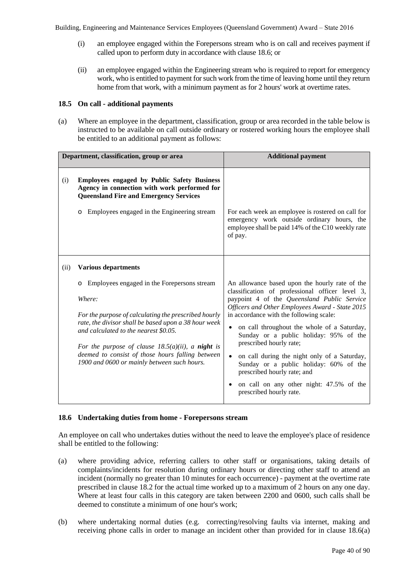- (i) an employee engaged within the Forepersons stream who is on call and receives payment if called upon to perform duty in accordance with clause 18.6; or
- (ii) an employee engaged within the Engineering stream who is required to report for emergency work, who is entitled to payment for such work from the time of leaving home until they return home from that work, with a minimum payment as for 2 hours' work at overtime rates.

## **18.5 On call - additional payments**

(a) Where an employee in the department, classification, group or area recorded in the table below is instructed to be available on call outside ordinary or rostered working hours the employee shall be entitled to an additional payment as follows:

| Department, classification, group or area |                                                                                                                                                                                                                                                                                                                                                                                                         | <b>Additional payment</b>                                                                                                                                                                                                                                                                                                                                                                                                                                                                                                                                                            |  |
|-------------------------------------------|---------------------------------------------------------------------------------------------------------------------------------------------------------------------------------------------------------------------------------------------------------------------------------------------------------------------------------------------------------------------------------------------------------|--------------------------------------------------------------------------------------------------------------------------------------------------------------------------------------------------------------------------------------------------------------------------------------------------------------------------------------------------------------------------------------------------------------------------------------------------------------------------------------------------------------------------------------------------------------------------------------|--|
| (i)                                       | <b>Employees engaged by Public Safety Business</b><br>Agency in connection with work performed for<br><b>Queensland Fire and Emergency Services</b><br>Employees engaged in the Engineering stream<br>$\circ$                                                                                                                                                                                           | For each week an employee is rostered on call for<br>emergency work outside ordinary hours, the<br>employee shall be paid 14% of the C10 weekly rate<br>of pay.                                                                                                                                                                                                                                                                                                                                                                                                                      |  |
| (ii)                                      | <b>Various departments</b><br>Employees engaged in the Forepersons stream<br>Where:<br>For the purpose of calculating the prescribed hourly<br>rate, the divisor shall be based upon a 38 hour week<br>and calculated to the nearest \$0.05.<br>For the purpose of clause $18.5(a)(ii)$ , a night is<br>deemed to consist of those hours falling between<br>1900 and 0600 or mainly between such hours. | An allowance based upon the hourly rate of the<br>classification of professional officer level 3,<br>paypoint 4 of the Queensland Public Service<br>Officers and Other Employees Award - State 2015<br>in accordance with the following scale:<br>on call throughout the whole of a Saturday,<br>٠<br>Sunday or a public holiday: 95% of the<br>prescribed hourly rate;<br>on call during the night only of a Saturday,<br>$\bullet$<br>Sunday or a public holiday: 60% of the<br>prescribed hourly rate; and<br>on call on any other night: 47.5% of the<br>prescribed hourly rate. |  |

## **18.6 Undertaking duties from home - Forepersons stream**

An employee on call who undertakes duties without the need to leave the employee's place of residence shall be entitled to the following:

- (a) where providing advice, referring callers to other staff or organisations, taking details of complaints/incidents for resolution during ordinary hours or directing other staff to attend an incident (normally no greater than 10 minutes for each occurrence) - payment at the overtime rate prescribed in clause 18.2 for the actual time worked up to a maximum of 2 hours on any one day. Where at least four calls in this category are taken between 2200 and 0600, such calls shall be deemed to constitute a minimum of one hour's work;
- (b) where undertaking normal duties (e.g. correcting/resolving faults via internet, making and receiving phone calls in order to manage an incident other than provided for in clause 18.6(a)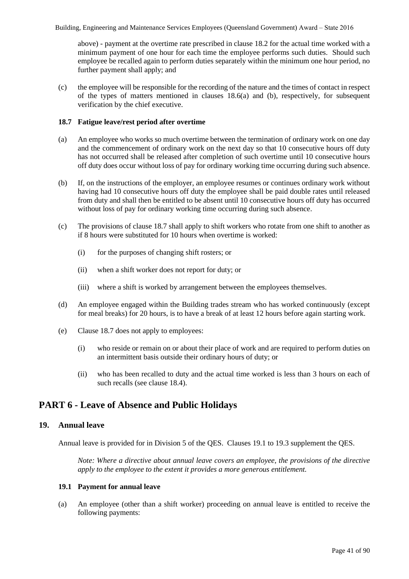above) - payment at the overtime rate prescribed in clause 18.2 for the actual time worked with a minimum payment of one hour for each time the employee performs such duties. Should such employee be recalled again to perform duties separately within the minimum one hour period, no further payment shall apply; and

(c) the employee will be responsible for the recording of the nature and the times of contact in respect of the types of matters mentioned in clauses 18.6(a) and (b), respectively, for subsequent verification by the chief executive.

## **18.7 Fatigue leave/rest period after overtime**

- (a) An employee who works so much overtime between the termination of ordinary work on one day and the commencement of ordinary work on the next day so that 10 consecutive hours off duty has not occurred shall be released after completion of such overtime until 10 consecutive hours off duty does occur without loss of pay for ordinary working time occurring during such absence.
- (b) If, on the instructions of the employer, an employee resumes or continues ordinary work without having had 10 consecutive hours off duty the employee shall be paid double rates until released from duty and shall then be entitled to be absent until 10 consecutive hours off duty has occurred without loss of pay for ordinary working time occurring during such absence.
- (c) The provisions of clause 18.7 shall apply to shift workers who rotate from one shift to another as if 8 hours were substituted for 10 hours when overtime is worked:
	- (i) for the purposes of changing shift rosters; or
	- (ii) when a shift worker does not report for duty; or
	- (iii) where a shift is worked by arrangement between the employees themselves.
- (d) An employee engaged within the Building trades stream who has worked continuously (except for meal breaks) for 20 hours, is to have a break of at least 12 hours before again starting work.
- (e) Clause 18.7 does not apply to employees:
	- (i) who reside or remain on or about their place of work and are required to perform duties on an intermittent basis outside their ordinary hours of duty; or
	- (ii) who has been recalled to duty and the actual time worked is less than 3 hours on each of such recalls (see clause 18.4).

## **PART 6 - Leave of Absence and Public Holidays**

## **19. Annual leave**

Annual leave is provided for in Division 5 of the QES. Clauses 19.1 to 19.3 supplement the QES.

*Note: Where a directive about annual leave covers an employee, the provisions of the directive apply to the employee to the extent it provides a more generous entitlement.*

## **19.1 Payment for annual leave**

(a) An employee (other than a shift worker) proceeding on annual leave is entitled to receive the following payments: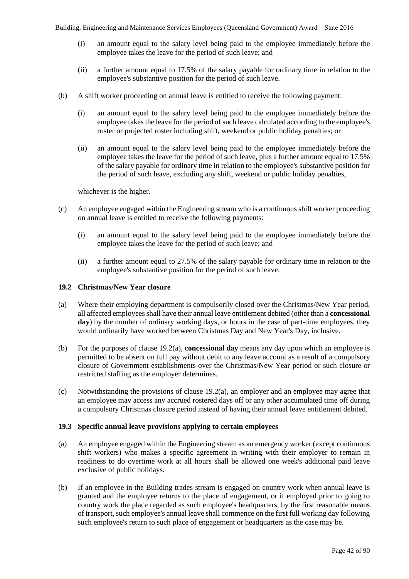- (i) an amount equal to the salary level being paid to the employee immediately before the employee takes the leave for the period of such leave; and
- (ii) a further amount equal to 17.5% of the salary payable for ordinary time in relation to the employee's substantive position for the period of such leave.
- (b) A shift worker proceeding on annual leave is entitled to receive the following payment:
	- (i) an amount equal to the salary level being paid to the employee immediately before the employee takes the leave for the period of such leave calculated according to the employee's roster or projected roster including shift, weekend or public holiday penalties; or
	- (ii) an amount equal to the salary level being paid to the employee immediately before the employee takes the leave for the period of such leave, plus a further amount equal to 17.5% of the salary payable for ordinary time in relation to the employee's substantive position for the period of such leave, excluding any shift, weekend or public holiday penalties,

whichever is the higher.

- (c) An employee engaged within the Engineering stream who is a continuous shift worker proceeding on annual leave is entitled to receive the following payments:
	- (i) an amount equal to the salary level being paid to the employee immediately before the employee takes the leave for the period of such leave; and
	- (ii) a further amount equal to 27.5% of the salary payable for ordinary time in relation to the employee's substantive position for the period of such leave.

## **19.2 Christmas/New Year closure**

- (a) Where their employing department is compulsorily closed over the Christmas/New Year period, all affected employees shall have their annual leave entitlement debited (other than a **concessional day**) by the number of ordinary working days, or hours in the case of part-time employees, they would ordinarily have worked between Christmas Day and New Year's Day, inclusive.
- (b) For the purposes of clause 19.2(a), **concessional day** means any day upon which an employee is permitted to be absent on full pay without debit to any leave account as a result of a compulsory closure of Government establishments over the Christmas/New Year period or such closure or restricted staffing as the employer determines.
- (c) Notwithstanding the provisions of clause 19.2(a), an employer and an employee may agree that an employee may access any accrued rostered days off or any other accumulated time off during a compulsory Christmas closure period instead of having their annual leave entitlement debited.

## **19.3 Specific annual leave provisions applying to certain employees**

- (a) An employee engaged within the Engineering stream as an emergency worker (except continuous shift workers) who makes a specific agreement in writing with their employer to remain in readiness to do overtime work at all hours shall be allowed one week's additional paid leave exclusive of public holidays.
- (b) If an employee in the Building trades stream is engaged on country work when annual leave is granted and the employee returns to the place of engagement, or if employed prior to going to country work the place regarded as such employee's headquarters, by the first reasonable means of transport, such employee's annual leave shall commence on the first full working day following such employee's return to such place of engagement or headquarters as the case may be.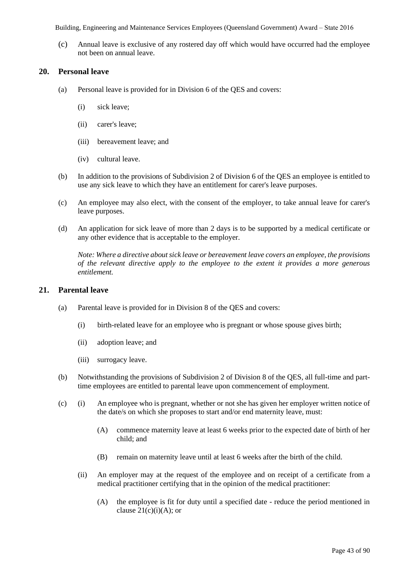(c) Annual leave is exclusive of any rostered day off which would have occurred had the employee not been on annual leave.

## **20. Personal leave**

- (a) Personal leave is provided for in Division 6 of the QES and covers:
	- (i) sick leave;
	- (ii) carer's leave;
	- (iii) bereavement leave; and
	- (iv) cultural leave.
- (b) In addition to the provisions of Subdivision 2 of Division 6 of the QES an employee is entitled to use any sick leave to which they have an entitlement for carer's leave purposes.
- (c) An employee may also elect, with the consent of the employer, to take annual leave for carer's leave purposes.
- (d) An application for sick leave of more than 2 days is to be supported by a medical certificate or any other evidence that is acceptable to the employer.

*Note: Where a directive about sick leave or bereavement leave covers an employee, the provisions of the relevant directive apply to the employee to the extent it provides a more generous entitlement.* 

## **21. Parental leave**

- (a) Parental leave is provided for in Division 8 of the QES and covers:
	- (i) birth-related leave for an employee who is pregnant or whose spouse gives birth;
	- (ii) adoption leave; and
	- (iii) surrogacy leave.
- (b) Notwithstanding the provisions of Subdivision 2 of Division 8 of the QES, all full-time and parttime employees are entitled to parental leave upon commencement of employment.
- (c) (i) An employee who is pregnant, whether or not she has given her employer written notice of the date/s on which she proposes to start and/or end maternity leave, must:
	- (A) commence maternity leave at least 6 weeks prior to the expected date of birth of her child; and
	- (B) remain on maternity leave until at least 6 weeks after the birth of the child.
	- (ii) An employer may at the request of the employee and on receipt of a certificate from a medical practitioner certifying that in the opinion of the medical practitioner:
		- (A) the employee is fit for duty until a specified date reduce the period mentioned in clause  $21(c)(i)(A)$ ; or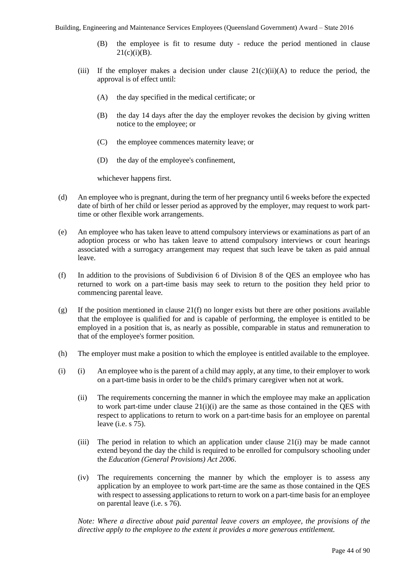- (B) the employee is fit to resume duty reduce the period mentioned in clause  $21(c)(i)(B)$ .
- (iii) If the employer makes a decision under clause  $21(c)(ii)(A)$  to reduce the period, the approval is of effect until:
	- (A) the day specified in the medical certificate; or
	- (B) the day 14 days after the day the employer revokes the decision by giving written notice to the employee; or
	- (C) the employee commences maternity leave; or
	- (D) the day of the employee's confinement,

whichever happens first.

- (d) An employee who is pregnant, during the term of her pregnancy until 6 weeks before the expected date of birth of her child or lesser period as approved by the employer, may request to work parttime or other flexible work arrangements.
- (e) An employee who has taken leave to attend compulsory interviews or examinations as part of an adoption process or who has taken leave to attend compulsory interviews or court hearings associated with a surrogacy arrangement may request that such leave be taken as paid annual leave.
- (f) In addition to the provisions of Subdivision 6 of Division 8 of the QES an employee who has returned to work on a part-time basis may seek to return to the position they held prior to commencing parental leave.
- (g) If the position mentioned in clause 21(f) no longer exists but there are other positions available that the employee is qualified for and is capable of performing, the employee is entitled to be employed in a position that is, as nearly as possible, comparable in status and remuneration to that of the employee's former position.
- (h) The employer must make a position to which the employee is entitled available to the employee.
- (i) (i) An employee who is the parent of a child may apply, at any time, to their employer to work on a part-time basis in order to be the child's primary caregiver when not at work.
	- (ii) The requirements concerning the manner in which the employee may make an application to work part-time under clause 21(i)(i) are the same as those contained in the QES with respect to applications to return to work on a part-time basis for an employee on parental leave (i.e. s 75).
	- (iii) The period in relation to which an application under clause 21(i) may be made cannot extend beyond the day the child is required to be enrolled for compulsory schooling under the *Education (General Provisions) Act 2006*.
	- (iv) The requirements concerning the manner by which the employer is to assess any application by an employee to work part-time are the same as those contained in the QES with respect to assessing applications to return to work on a part-time basis for an employee on parental leave (i.e. s 76).

*Note: Where a directive about paid parental leave covers an employee, the provisions of the directive apply to the employee to the extent it provides a more generous entitlement.*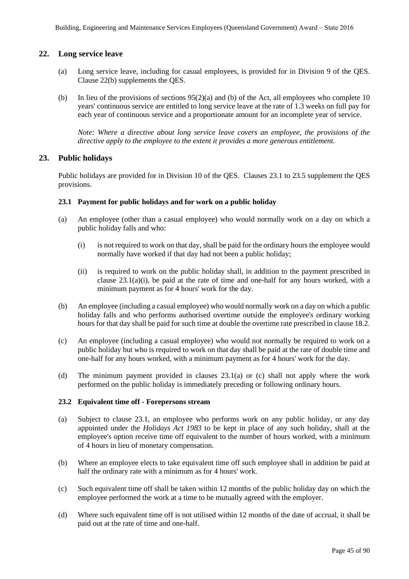## **22. Long service leave**

- (a) Long service leave, including for casual employees, is provided for in Division 9 of the QES. Clause 22(b) supplements the QES.
- (b) In lieu of the provisions of sections 95(2)(a) and (b) of the Act, all employees who complete 10 years' continuous service are entitled to long service leave at the rate of 1.3 weeks on full pay for each year of continuous service and a proportionate amount for an incomplete year of service.

*Note: Where a directive about long service leave covers an employee, the provisions of the directive apply to the employee to the extent it provides a more generous entitlement.* 

## **23. Public holidays**

Public holidays are provided for in Division 10 of the QES. Clauses 23.1 to 23.5 supplement the QES provisions.

## **23.1 Payment for public holidays and for work on a public holiday**

- (a) An employee (other than a casual employee) who would normally work on a day on which a public holiday falls and who:
	- (i) is not required to work on that day, shall be paid for the ordinary hours the employee would normally have worked if that day had not been a public holiday;
	- (ii) is required to work on the public holiday shall, in addition to the payment prescribed in clause  $23.1(a)(i)$ , be paid at the rate of time and one-half for any hours worked, with a minimum payment as for 4 hours' work for the day.
- (b) An employee (including a casual employee) who would normally work on a day on which a public holiday falls and who performs authorised overtime outside the employee's ordinary working hours for that day shall be paid for such time at double the overtime rate prescribed in clause 18.2.
- (c) An employee (including a casual employee) who would not normally be required to work on a public holiday but who is required to work on that day shall be paid at the rate of double time and one-half for any hours worked, with a minimum payment as for 4 hours' work for the day.
- (d) The minimum payment provided in clauses 23.1(a) or (c) shall not apply where the work performed on the public holiday is immediately preceding or following ordinary hours.

## **23.2 Equivalent time off - Forepersons stream**

- (a) Subject to clause 23.1, an employee who performs work on any public holiday, or any day appointed under the *Holidays Act 1983* to be kept in place of any such holiday, shall at the employee's option receive time off equivalent to the number of hours worked, with a minimum of 4 hours in lieu of monetary compensation.
- (b) Where an employee elects to take equivalent time off such employee shall in addition be paid at half the ordinary rate with a minimum as for 4 hours' work.
- (c) Such equivalent time off shall be taken within 12 months of the public holiday day on which the employee performed the work at a time to be mutually agreed with the employer.
- (d) Where such equivalent time off is not utilised within 12 months of the date of accrual, it shall be paid out at the rate of time and one-half.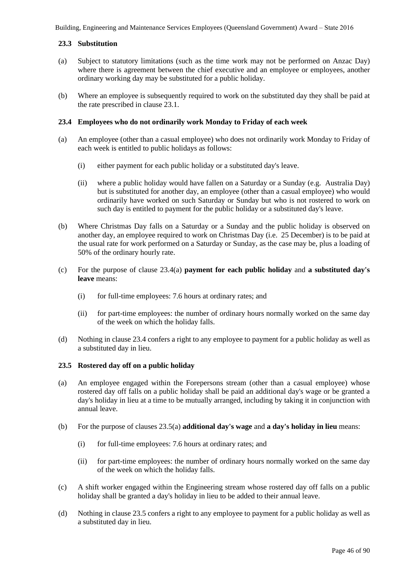## **23.3 Substitution**

- (a) Subject to statutory limitations (such as the time work may not be performed on Anzac Day) where there is agreement between the chief executive and an employee or employees, another ordinary working day may be substituted for a public holiday.
- (b) Where an employee is subsequently required to work on the substituted day they shall be paid at the rate prescribed in clause 23.1.

## **23.4 Employees who do not ordinarily work Monday to Friday of each week**

- (a) An employee (other than a casual employee) who does not ordinarily work Monday to Friday of each week is entitled to public holidays as follows:
	- (i) either payment for each public holiday or a substituted day's leave.
	- (ii) where a public holiday would have fallen on a Saturday or a Sunday (e.g. Australia Day) but is substituted for another day, an employee (other than a casual employee) who would ordinarily have worked on such Saturday or Sunday but who is not rostered to work on such day is entitled to payment for the public holiday or a substituted day's leave.
- (b) Where Christmas Day falls on a Saturday or a Sunday and the public holiday is observed on another day, an employee required to work on Christmas Day (i.e. 25 December) is to be paid at the usual rate for work performed on a Saturday or Sunday, as the case may be, plus a loading of 50% of the ordinary hourly rate.
- (c) For the purpose of clause 23.4(a) **payment for each public holiday** and **a substituted day's leave** means:
	- (i) for full-time employees: 7.6 hours at ordinary rates; and
	- (ii) for part-time employees: the number of ordinary hours normally worked on the same day of the week on which the holiday falls.
- (d) Nothing in clause 23.4 confers a right to any employee to payment for a public holiday as well as a substituted day in lieu.

## **23.5 Rostered day off on a public holiday**

- (a) An employee engaged within the Forepersons stream (other than a casual employee) whose rostered day off falls on a public holiday shall be paid an additional day's wage or be granted a day's holiday in lieu at a time to be mutually arranged, including by taking it in conjunction with annual leave.
- (b) For the purpose of clauses 23.5(a) **additional day's wage** and **a day's holiday in lieu** means:
	- (i) for full-time employees: 7.6 hours at ordinary rates; and
	- (ii) for part-time employees: the number of ordinary hours normally worked on the same day of the week on which the holiday falls.
- (c) A shift worker engaged within the Engineering stream whose rostered day off falls on a public holiday shall be granted a day's holiday in lieu to be added to their annual leave.
- (d) Nothing in clause 23.5 confers a right to any employee to payment for a public holiday as well as a substituted day in lieu.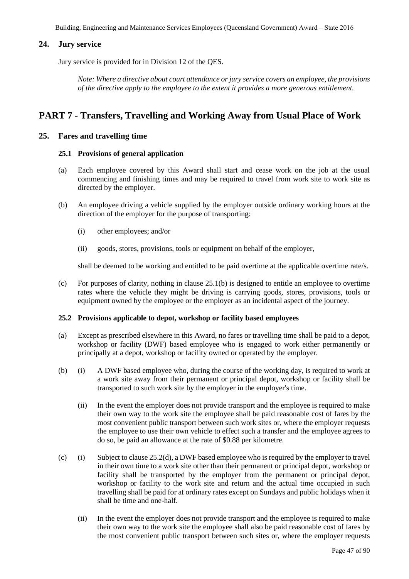## **24. Jury service**

Jury service is provided for in Division 12 of the QES.

*Note: Where a directive about court attendance or jury service covers an employee, the provisions of the directive apply to the employee to the extent it provides a more generous entitlement.* 

## **PART 7 - Transfers, Travelling and Working Away from Usual Place of Work**

## **25. Fares and travelling time**

#### **25.1 Provisions of general application**

- (a) Each employee covered by this Award shall start and cease work on the job at the usual commencing and finishing times and may be required to travel from work site to work site as directed by the employer.
- (b) An employee driving a vehicle supplied by the employer outside ordinary working hours at the direction of the employer for the purpose of transporting:
	- (i) other employees; and/or
	- (ii) goods, stores, provisions, tools or equipment on behalf of the employer,

shall be deemed to be working and entitled to be paid overtime at the applicable overtime rate/s.

(c) For purposes of clarity, nothing in clause  $25.1(b)$  is designed to entitle an employee to overtime rates where the vehicle they might be driving is carrying goods, stores, provisions, tools or equipment owned by the employee or the employer as an incidental aspect of the journey.

## **25.2 Provisions applicable to depot, workshop or facility based employees**

- (a) Except as prescribed elsewhere in this Award, no fares or travelling time shall be paid to a depot, workshop or facility (DWF) based employee who is engaged to work either permanently or principally at a depot, workshop or facility owned or operated by the employer.
- (b) (i) A DWF based employee who, during the course of the working day, is required to work at a work site away from their permanent or principal depot, workshop or facility shall be transported to such work site by the employer in the employer's time.
	- (ii) In the event the employer does not provide transport and the employee is required to make their own way to the work site the employee shall be paid reasonable cost of fares by the most convenient public transport between such work sites or, where the employer requests the employee to use their own vehicle to effect such a transfer and the employee agrees to do so, be paid an allowance at the rate of \$0.88 per kilometre.
- (c) (i) Subject to clause 25.2(d), a DWF based employee who is required by the employer to travel in their own time to a work site other than their permanent or principal depot, workshop or facility shall be transported by the employer from the permanent or principal depot, workshop or facility to the work site and return and the actual time occupied in such travelling shall be paid for at ordinary rates except on Sundays and public holidays when it shall be time and one-half.
	- (ii) In the event the employer does not provide transport and the employee is required to make their own way to the work site the employee shall also be paid reasonable cost of fares by the most convenient public transport between such sites or, where the employer requests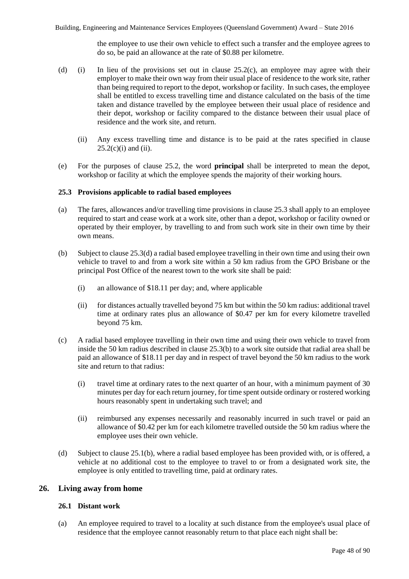the employee to use their own vehicle to effect such a transfer and the employee agrees to do so, be paid an allowance at the rate of \$0.88 per kilometre.

- (d) (i) In lieu of the provisions set out in clause 25.2(c), an employee may agree with their employer to make their own way from their usual place of residence to the work site, rather than being required to report to the depot, workshop or facility. In such cases, the employee shall be entitled to excess travelling time and distance calculated on the basis of the time taken and distance travelled by the employee between their usual place of residence and their depot, workshop or facility compared to the distance between their usual place of residence and the work site, and return.
	- (ii) Any excess travelling time and distance is to be paid at the rates specified in clause  $25.2(c)(i)$  and (ii).
- (e) For the purposes of clause 25.2, the word **principal** shall be interpreted to mean the depot, workshop or facility at which the employee spends the majority of their working hours.

#### **25.3 Provisions applicable to radial based employees**

- (a) The fares, allowances and/or travelling time provisions in clause 25.3 shall apply to an employee required to start and cease work at a work site, other than a depot, workshop or facility owned or operated by their employer, by travelling to and from such work site in their own time by their own means.
- (b) Subject to clause 25.3(d) a radial based employee travelling in their own time and using their own vehicle to travel to and from a work site within a 50 km radius from the GPO Brisbane or the principal Post Office of the nearest town to the work site shall be paid:
	- (i) an allowance of \$18.11 per day; and, where applicable
	- (ii) for distances actually travelled beyond 75 km but within the 50 km radius: additional travel time at ordinary rates plus an allowance of \$0.47 per km for every kilometre travelled beyond 75 km.
- (c) A radial based employee travelling in their own time and using their own vehicle to travel from inside the 50 km radius described in clause 25.3(b) to a work site outside that radial area shall be paid an allowance of \$18.11 per day and in respect of travel beyond the 50 km radius to the work site and return to that radius:
	- (i) travel time at ordinary rates to the next quarter of an hour, with a minimum payment of 30 minutes per day for each return journey, for time spent outside ordinary or rostered working hours reasonably spent in undertaking such travel; and
	- (ii) reimbursed any expenses necessarily and reasonably incurred in such travel or paid an allowance of \$0.42 per km for each kilometre travelled outside the 50 km radius where the employee uses their own vehicle.
- (d) Subject to clause 25.1(b), where a radial based employee has been provided with, or is offered, a vehicle at no additional cost to the employee to travel to or from a designated work site, the employee is only entitled to travelling time, paid at ordinary rates.

## **26. Living away from home**

## **26.1 Distant work**

(a) An employee required to travel to a locality at such distance from the employee's usual place of residence that the employee cannot reasonably return to that place each night shall be: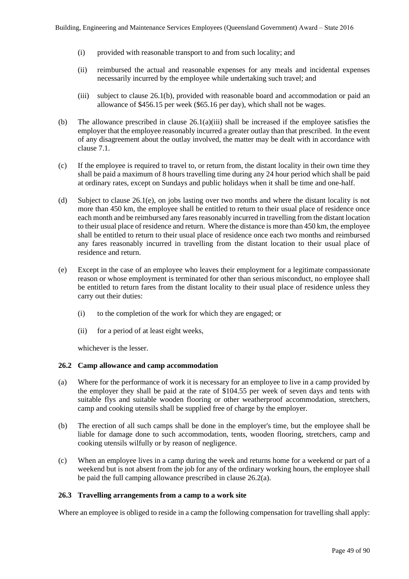- (i) provided with reasonable transport to and from such locality; and
- (ii) reimbursed the actual and reasonable expenses for any meals and incidental expenses necessarily incurred by the employee while undertaking such travel; and
- (iii) subject to clause 26.1(b), provided with reasonable board and accommodation or paid an allowance of \$456.15 per week (\$65.16 per day), which shall not be wages.
- (b) The allowance prescribed in clause 26.1(a)(iii) shall be increased if the employee satisfies the employer that the employee reasonably incurred a greater outlay than that prescribed. In the event of any disagreement about the outlay involved, the matter may be dealt with in accordance with clause 7.1.
- (c) If the employee is required to travel to, or return from, the distant locality in their own time they shall be paid a maximum of 8 hours travelling time during any 24 hour period which shall be paid at ordinary rates, except on Sundays and public holidays when it shall be time and one-half.
- (d) Subject to clause 26.1(e), on jobs lasting over two months and where the distant locality is not more than 450 km, the employee shall be entitled to return to their usual place of residence once each month and be reimbursed any fares reasonably incurred in travelling from the distant location to their usual place of residence and return. Where the distance is more than 450 km, the employee shall be entitled to return to their usual place of residence once each two months and reimbursed any fares reasonably incurred in travelling from the distant location to their usual place of residence and return.
- (e) Except in the case of an employee who leaves their employment for a legitimate compassionate reason or whose employment is terminated for other than serious misconduct, no employee shall be entitled to return fares from the distant locality to their usual place of residence unless they carry out their duties:
	- (i) to the completion of the work for which they are engaged; or
	- (ii) for a period of at least eight weeks,

whichever is the lesser.

#### **26.2 Camp allowance and camp accommodation**

- (a) Where for the performance of work it is necessary for an employee to live in a camp provided by the employer they shall be paid at the rate of \$104.55 per week of seven days and tents with suitable flys and suitable wooden flooring or other weatherproof accommodation, stretchers, camp and cooking utensils shall be supplied free of charge by the employer.
- (b) The erection of all such camps shall be done in the employer's time, but the employee shall be liable for damage done to such accommodation, tents, wooden flooring, stretchers, camp and cooking utensils wilfully or by reason of negligence.
- (c) When an employee lives in a camp during the week and returns home for a weekend or part of a weekend but is not absent from the job for any of the ordinary working hours, the employee shall be paid the full camping allowance prescribed in clause 26.2(a).

#### **26.3 Travelling arrangements from a camp to a work site**

Where an employee is obliged to reside in a camp the following compensation for travelling shall apply: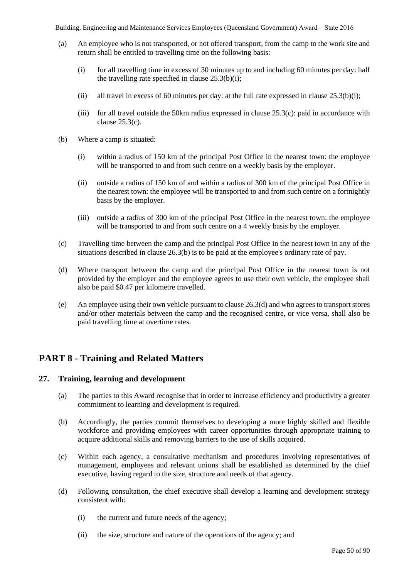- (a) An employee who is not transported, or not offered transport, from the camp to the work site and return shall be entitled to travelling time on the following basis:
	- (i) for all travelling time in excess of 30 minutes up to and including 60 minutes per day: half the travelling rate specified in clause  $25.3(b)(i)$ ;
	- (ii) all travel in excess of 60 minutes per day: at the full rate expressed in clause  $25.3(b)(i)$ ;
	- (iii) for all travel outside the 50 km radius expressed in clause  $25.3(c)$ : paid in accordance with clause 25.3(c).
- (b) Where a camp is situated:
	- (i) within a radius of 150 km of the principal Post Office in the nearest town: the employee will be transported to and from such centre on a weekly basis by the employer.
	- (ii) outside a radius of 150 km of and within a radius of 300 km of the principal Post Office in the nearest town: the employee will be transported to and from such centre on a fortnightly basis by the employer.
	- (iii) outside a radius of 300 km of the principal Post Office in the nearest town: the employee will be transported to and from such centre on a 4 weekly basis by the employer.
- (c) Travelling time between the camp and the principal Post Office in the nearest town in any of the situations described in clause 26.3(b) is to be paid at the employee's ordinary rate of pay.
- (d) Where transport between the camp and the principal Post Office in the nearest town is not provided by the employer and the employee agrees to use their own vehicle, the employee shall also be paid \$0.47 per kilometre travelled.
- (e) An employee using their own vehicle pursuant to clause 26.3(d) and who agrees to transport stores and/or other materials between the camp and the recognised centre, or vice versa, shall also be paid travelling time at overtime rates.

# **PART 8 - Training and Related Matters**

## **27. Training, learning and development**

- (a) The parties to this Award recognise that in order to increase efficiency and productivity a greater commitment to learning and development is required.
- (b) Accordingly, the parties commit themselves to developing a more highly skilled and flexible workforce and providing employees with career opportunities through appropriate training to acquire additional skills and removing barriers to the use of skills acquired.
- (c) Within each agency, a consultative mechanism and procedures involving representatives of management, employees and relevant unions shall be established as determined by the chief executive, having regard to the size, structure and needs of that agency.
- (d) Following consultation, the chief executive shall develop a learning and development strategy consistent with:
	- (i) the current and future needs of the agency;
	- (ii) the size, structure and nature of the operations of the agency; and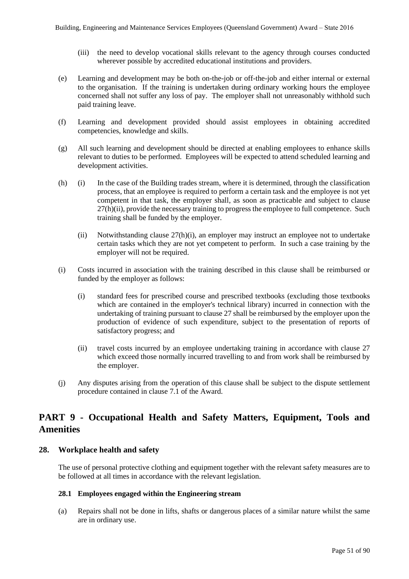- (iii) the need to develop vocational skills relevant to the agency through courses conducted wherever possible by accredited educational institutions and providers.
- (e) Learning and development may be both on-the-job or off-the-job and either internal or external to the organisation. If the training is undertaken during ordinary working hours the employee concerned shall not suffer any loss of pay. The employer shall not unreasonably withhold such paid training leave.
- (f) Learning and development provided should assist employees in obtaining accredited competencies, knowledge and skills.
- (g) All such learning and development should be directed at enabling employees to enhance skills relevant to duties to be performed. Employees will be expected to attend scheduled learning and development activities.
- (h) (i) In the case of the Building trades stream, where it is determined, through the classification process, that an employee is required to perform a certain task and the employee is not yet competent in that task, the employer shall, as soon as practicable and subject to clause 27(h)(ii), provide the necessary training to progress the employee to full competence. Such training shall be funded by the employer.
	- (ii) Notwithstanding clause  $27(h)(i)$ , an employer may instruct an employee not to undertake certain tasks which they are not yet competent to perform. In such a case training by the employer will not be required.
- (i) Costs incurred in association with the training described in this clause shall be reimbursed or funded by the employer as follows:
	- (i) standard fees for prescribed course and prescribed textbooks (excluding those textbooks which are contained in the employer's technical library) incurred in connection with the undertaking of training pursuant to clause 27 shall be reimbursed by the employer upon the production of evidence of such expenditure, subject to the presentation of reports of satisfactory progress; and
	- (ii) travel costs incurred by an employee undertaking training in accordance with clause 27 which exceed those normally incurred travelling to and from work shall be reimbursed by the employer.
- (j) Any disputes arising from the operation of this clause shall be subject to the dispute settlement procedure contained in clause 7.1 of the Award.

## **PART 9 - Occupational Health and Safety Matters, Equipment, Tools and Amenities**

## **28. Workplace health and safety**

The use of personal protective clothing and equipment together with the relevant safety measures are to be followed at all times in accordance with the relevant legislation.

## **28.1 Employees engaged within the Engineering stream**

(a) Repairs shall not be done in lifts, shafts or dangerous places of a similar nature whilst the same are in ordinary use.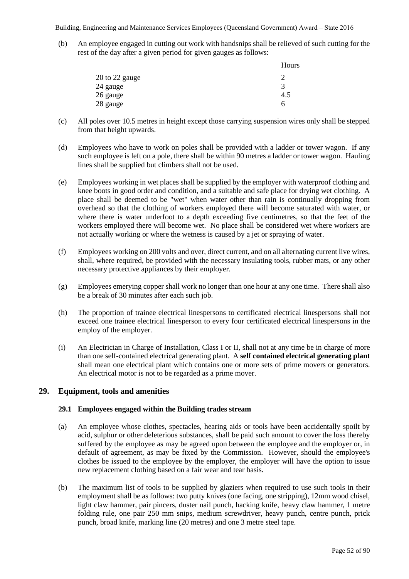(b) An employee engaged in cutting out work with handsnips shall be relieved of such cutting for the rest of the day after a given period for given gauges as follows:

|                | Hours |
|----------------|-------|
| 20 to 22 gauge |       |
| 24 gauge       | 3     |
| 26 gauge       | 4.5   |
| 28 gauge       | h     |

- (c) All poles over 10.5 metres in height except those carrying suspension wires only shall be stepped from that height upwards.
- (d) Employees who have to work on poles shall be provided with a ladder or tower wagon. If any such employee is left on a pole, there shall be within 90 metres a ladder or tower wagon. Hauling lines shall be supplied but climbers shall not be used.
- (e) Employees working in wet places shall be supplied by the employer with waterproof clothing and knee boots in good order and condition, and a suitable and safe place for drying wet clothing. A place shall be deemed to be "wet" when water other than rain is continually dropping from overhead so that the clothing of workers employed there will become saturated with water, or where there is water underfoot to a depth exceeding five centimetres, so that the feet of the workers employed there will become wet. No place shall be considered wet where workers are not actually working or where the wetness is caused by a jet or spraying of water.
- (f) Employees working on 200 volts and over, direct current, and on all alternating current live wires, shall, where required, be provided with the necessary insulating tools, rubber mats, or any other necessary protective appliances by their employer.
- (g) Employees emerying copper shall work no longer than one hour at any one time. There shall also be a break of 30 minutes after each such job.
- (h) The proportion of trainee electrical linespersons to certificated electrical linespersons shall not exceed one trainee electrical linesperson to every four certificated electrical linespersons in the employ of the employer.
- (i) An Electrician in Charge of Installation, Class I or II, shall not at any time be in charge of more than one self-contained electrical generating plant. A **self contained electrical generating plant** shall mean one electrical plant which contains one or more sets of prime movers or generators. An electrical motor is not to be regarded as a prime mover.

## **29. Equipment, tools and amenities**

## **29.1 Employees engaged within the Building trades stream**

- (a) An employee whose clothes, spectacles, hearing aids or tools have been accidentally spoilt by acid, sulphur or other deleterious substances, shall be paid such amount to cover the loss thereby suffered by the employee as may be agreed upon between the employee and the employer or, in default of agreement, as may be fixed by the Commission. However, should the employee's clothes be issued to the employee by the employer, the employer will have the option to issue new replacement clothing based on a fair wear and tear basis.
- (b) The maximum list of tools to be supplied by glaziers when required to use such tools in their employment shall be as follows: two putty knives (one facing, one stripping), 12mm wood chisel, light claw hammer, pair pincers, duster nail punch, hacking knife, heavy claw hammer, 1 metre folding rule, one pair 250 mm snips, medium screwdriver, heavy punch, centre punch, prick punch, broad knife, marking line (20 metres) and one 3 metre steel tape.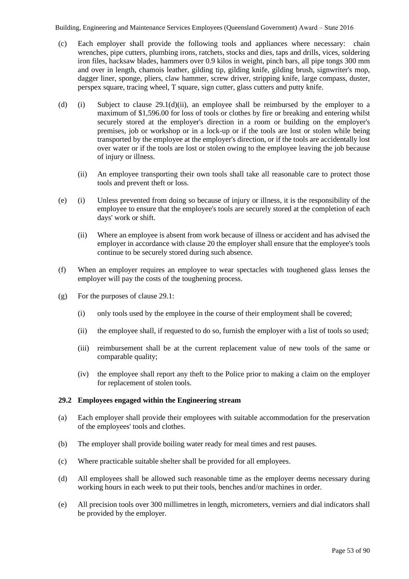- (c) Each employer shall provide the following tools and appliances where necessary: chain wrenches, pipe cutters, plumbing irons, ratchets, stocks and dies, taps and drills, vices, soldering iron files, hacksaw blades, hammers over 0.9 kilos in weight, pinch bars, all pipe tongs 300 mm and over in length, chamois leather, gilding tip, gilding knife, gilding brush, signwriter's mop, dagger liner, sponge, pliers, claw hammer, screw driver, stripping knife, large compass, duster, perspex square, tracing wheel, T square, sign cutter, glass cutters and putty knife.
- (d) (i) Subject to clause 29.1(d)(ii), an employee shall be reimbursed by the employer to a maximum of \$1,596.00 for loss of tools or clothes by fire or breaking and entering whilst securely stored at the employer's direction in a room or building on the employer's premises, job or workshop or in a lock-up or if the tools are lost or stolen while being transported by the employee at the employer's direction, or if the tools are accidentally lost over water or if the tools are lost or stolen owing to the employee leaving the job because of injury or illness.
	- (ii) An employee transporting their own tools shall take all reasonable care to protect those tools and prevent theft or loss.
- (e) (i) Unless prevented from doing so because of injury or illness, it is the responsibility of the employee to ensure that the employee's tools are securely stored at the completion of each days' work or shift.
	- (ii) Where an employee is absent from work because of illness or accident and has advised the employer in accordance with clause 20 the employer shall ensure that the employee's tools continue to be securely stored during such absence.
- (f) When an employer requires an employee to wear spectacles with toughened glass lenses the employer will pay the costs of the toughening process.
- (g) For the purposes of clause 29.1:
	- (i) only tools used by the employee in the course of their employment shall be covered;
	- (ii) the employee shall, if requested to do so, furnish the employer with a list of tools so used;
	- (iii) reimbursement shall be at the current replacement value of new tools of the same or comparable quality;
	- (iv) the employee shall report any theft to the Police prior to making a claim on the employer for replacement of stolen tools.

## **29.2 Employees engaged within the Engineering stream**

- (a) Each employer shall provide their employees with suitable accommodation for the preservation of the employees' tools and clothes.
- (b) The employer shall provide boiling water ready for meal times and rest pauses.
- (c) Where practicable suitable shelter shall be provided for all employees.
- (d) All employees shall be allowed such reasonable time as the employer deems necessary during working hours in each week to put their tools, benches and/or machines in order.
- (e) All precision tools over 300 millimetres in length, micrometers, verniers and dial indicators shall be provided by the employer.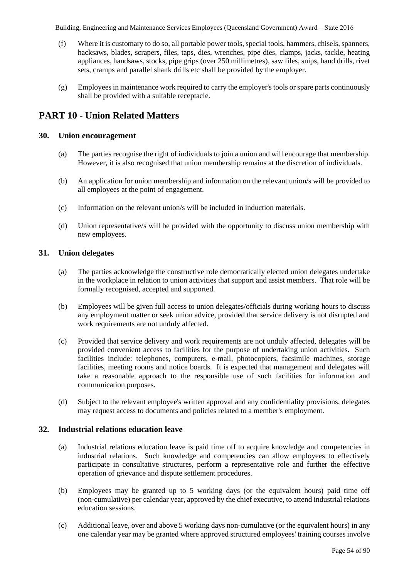- (f) Where it is customary to do so, all portable power tools, special tools, hammers, chisels, spanners, hacksaws, blades, scrapers, files, taps, dies, wrenches, pipe dies, clamps, jacks, tackle, heating appliances, handsaws, stocks, pipe grips (over 250 millimetres), saw files, snips, hand drills, rivet sets, cramps and parallel shank drills etc shall be provided by the employer.
- (g) Employees in maintenance work required to carry the employer's tools or spare parts continuously shall be provided with a suitable receptacle.

## **PART 10 - Union Related Matters**

## **30. Union encouragement**

- (a) The parties recognise the right of individuals to join a union and will encourage that membership. However, it is also recognised that union membership remains at the discretion of individuals.
- (b) An application for union membership and information on the relevant union/s will be provided to all employees at the point of engagement.
- (c) Information on the relevant union/s will be included in induction materials.
- (d) Union representative/s will be provided with the opportunity to discuss union membership with new employees.

## **31. Union delegates**

- (a) The parties acknowledge the constructive role democratically elected union delegates undertake in the workplace in relation to union activities that support and assist members. That role will be formally recognised, accepted and supported.
- (b) Employees will be given full access to union delegates/officials during working hours to discuss any employment matter or seek union advice, provided that service delivery is not disrupted and work requirements are not unduly affected.
- (c) Provided that service delivery and work requirements are not unduly affected, delegates will be provided convenient access to facilities for the purpose of undertaking union activities. Such facilities include: telephones, computers, e-mail, photocopiers, facsimile machines, storage facilities, meeting rooms and notice boards. It is expected that management and delegates will take a reasonable approach to the responsible use of such facilities for information and communication purposes.
- (d) Subject to the relevant employee's written approval and any confidentiality provisions, delegates may request access to documents and policies related to a member's employment.

## **32. Industrial relations education leave**

- (a) Industrial relations education leave is paid time off to acquire knowledge and competencies in industrial relations. Such knowledge and competencies can allow employees to effectively participate in consultative structures, perform a representative role and further the effective operation of grievance and dispute settlement procedures.
- (b) Employees may be granted up to 5 working days (or the equivalent hours) paid time off (non-cumulative) per calendar year, approved by the chief executive, to attend industrial relations education sessions.
- (c) Additional leave, over and above 5 working days non-cumulative (or the equivalent hours) in any one calendar year may be granted where approved structured employees' training courses involve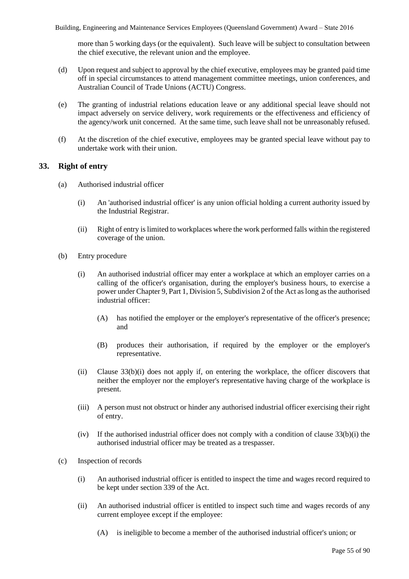more than 5 working days (or the equivalent). Such leave will be subject to consultation between the chief executive, the relevant union and the employee.

- (d) Upon request and subject to approval by the chief executive, employees may be granted paid time off in special circumstances to attend management committee meetings, union conferences, and Australian Council of Trade Unions (ACTU) Congress.
- (e) The granting of industrial relations education leave or any additional special leave should not impact adversely on service delivery, work requirements or the effectiveness and efficiency of the agency/work unit concerned. At the same time, such leave shall not be unreasonably refused.
- (f) At the discretion of the chief executive, employees may be granted special leave without pay to undertake work with their union.

## **33. Right of entry**

- (a) Authorised industrial officer
	- (i) An 'authorised industrial officer' is any union official holding a current authority issued by the Industrial Registrar.
	- (ii) Right of entry is limited to workplaces where the work performed falls within the registered coverage of the union.
- (b) Entry procedure
	- (i) An authorised industrial officer may enter a workplace at which an employer carries on a calling of the officer's organisation, during the employer's business hours, to exercise a power under Chapter 9, Part 1, Division 5, Subdivision 2 of the Act as long as the authorised industrial officer:
		- (A) has notified the employer or the employer's representative of the officer's presence; and
		- (B) produces their authorisation, if required by the employer or the employer's representative.
	- (ii) Clause 33(b)(i) does not apply if, on entering the workplace, the officer discovers that neither the employer nor the employer's representative having charge of the workplace is present.
	- (iii) A person must not obstruct or hinder any authorised industrial officer exercising their right of entry.
	- (iv) If the authorised industrial officer does not comply with a condition of clause  $33(b)(i)$  the authorised industrial officer may be treated as a trespasser.
- (c) Inspection of records
	- (i) An authorised industrial officer is entitled to inspect the time and wages record required to be kept under section 339 of the Act.
	- (ii) An authorised industrial officer is entitled to inspect such time and wages records of any current employee except if the employee:
		- (A) is ineligible to become a member of the authorised industrial officer's union; or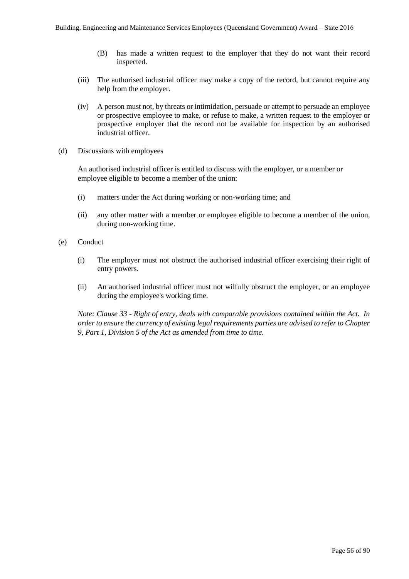- (B) has made a written request to the employer that they do not want their record inspected.
- (iii) The authorised industrial officer may make a copy of the record, but cannot require any help from the employer.
- (iv) A person must not, by threats or intimidation, persuade or attempt to persuade an employee or prospective employee to make, or refuse to make, a written request to the employer or prospective employer that the record not be available for inspection by an authorised industrial officer.
- (d) Discussions with employees

An authorised industrial officer is entitled to discuss with the employer, or a member or employee eligible to become a member of the union:

- (i) matters under the Act during working or non-working time; and
- (ii) any other matter with a member or employee eligible to become a member of the union, during non-working time.
- (e) Conduct
	- (i) The employer must not obstruct the authorised industrial officer exercising their right of entry powers.
	- (ii) An authorised industrial officer must not wilfully obstruct the employer, or an employee during the employee's working time.

*Note: Clause 33 - Right of entry, deals with comparable provisions contained within the Act. In order to ensure the currency of existing legal requirements parties are advised to refer to Chapter 9, Part 1, Division 5 of the Act as amended from time to time.*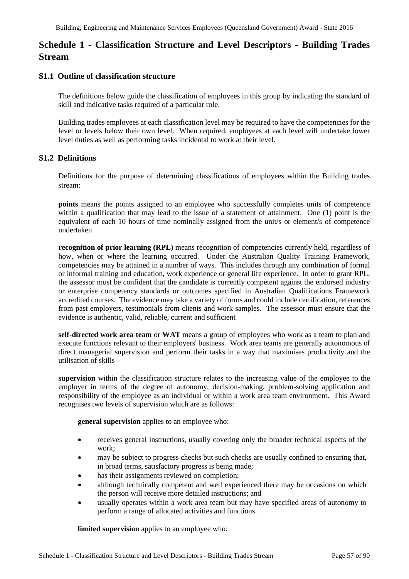# **Schedule 1 - Classification Structure and Level Descriptors - Building Trades Stream**

## **S1.1 Outline of classification structure**

The definitions below guide the classification of employees in this group by indicating the standard of skill and indicative tasks required of a particular role.

Building trades employees at each classification level may be required to have the competencies for the level or levels below their own level. When required, employees at each level will undertake lower level duties as well as performing tasks incidental to work at their level.

## **S1.2 Definitions**

Definitions for the purpose of determining classifications of employees within the Building trades stream:

**points** means the points assigned to an employee who successfully completes units of competence within a qualification that may lead to the issue of a statement of attainment. One (1) point is the equivalent of each 10 hours of time nominally assigned from the unit/s or element/s of competence undertaken

**recognition of prior learning (RPL)** means recognition of competencies currently held, regardless of how, when or where the learning occurred. Under the Australian Quality Training Framework, competencies may be attained in a number of ways. This includes through any combination of formal or informal training and education, work experience or general life experience. In order to grant RPL, the assessor must be confident that the candidate is currently competent against the endorsed industry or enterprise competency standards or outcomes specified in Australian Qualifications Framework accredited courses. The evidence may take a variety of forms and could include certification, references from past employers, testimonials from clients and work samples. The assessor must ensure that the evidence is authentic, valid, reliable, current and sufficient

**self-directed work area team** or **WAT** means a group of employees who work as a team to plan and execute functions relevant to their employers' business. Work area teams are generally autonomous of direct managerial supervision and perform their tasks in a way that maximises productivity and the utilisation of skills

**supervision** within the classification structure relates to the increasing value of the employee to the employer in terms of the degree of autonomy, decision-making, problem-solving application and responsibility of the employee as an individual or within a work area team environment. This Award recognises two levels of supervision which are as follows:

**general supervision** applies to an employee who:

- receives general instructions, usually covering only the broader technical aspects of the work;
- may be subject to progress checks but such checks are usually confined to ensuring that, in broad terms, satisfactory progress is being made;
- has their assignments reviewed on completion;
- although technically competent and well experienced there may be occasions on which the person will receive more detailed instructions; and
- usually operates within a work area team but may have specified areas of autonomy to perform a range of allocated activities and functions.

**limited supervision** applies to an employee who: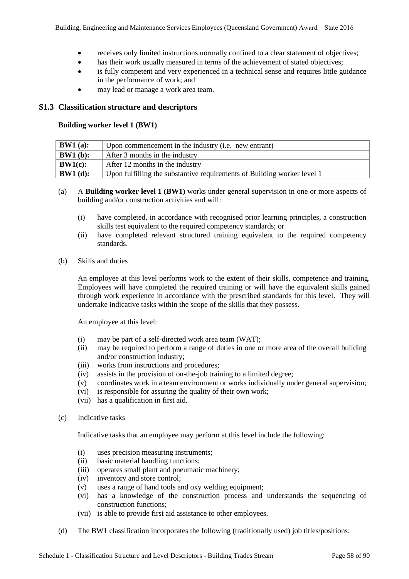- receives only limited instructions normally confined to a clear statement of objectives;
- has their work usually measured in terms of the achievement of stated objectives;
- is fully competent and very experienced in a technical sense and requires little guidance in the performance of work; and
- may lead or manage a work area team.

## **S1.3 Classification structure and descriptors**

## **Building worker level 1 (BW1)**

| $\vert$ BW1 (a): | Upon commencement in the industry (i.e. new entrant)                    |  |
|------------------|-------------------------------------------------------------------------|--|
| $\vert$ BW1 (b): | After 3 months in the industry                                          |  |
| $\vert$ BW1(c):  | After 12 months in the industry                                         |  |
| $\vert$ BW1 (d): | Upon fulfilling the substantive requirements of Building worker level 1 |  |

- (a) A **Building worker level 1 (BW1)** works under general supervision in one or more aspects of building and/or construction activities and will:
	- (i) have completed, in accordance with recognised prior learning principles, a construction skills test equivalent to the required competency standards; or
	- (ii) have completed relevant structured training equivalent to the required competency standards.
- (b) Skills and duties

An employee at this level performs work to the extent of their skills, competence and training. Employees will have completed the required training or will have the equivalent skills gained through work experience in accordance with the prescribed standards for this level. They will undertake indicative tasks within the scope of the skills that they possess.

An employee at this level:

- (i) may be part of a self-directed work area team (WAT);
- (ii) may be required to perform a range of duties in one or more area of the overall building and/or construction industry;
- (iii) works from instructions and procedures;
- (iv) assists in the provision of on-the-job training to a limited degree;
- (v) coordinates work in a team environment or works individually under general supervision;
- (vi) is responsible for assuring the quality of their own work;
- (vii) has a qualification in first aid.
- (c) Indicative tasks

Indicative tasks that an employee may perform at this level include the following:

- (i) uses precision measuring instruments;
- (ii) basic material handling functions;
- (iii) operates small plant and pneumatic machinery;
- (iv) inventory and store control;
- (v) uses a range of hand tools and oxy welding equipment;
- (vi) has a knowledge of the construction process and understands the sequencing of construction functions;
- (vii) is able to provide first aid assistance to other employees.
- (d) The BW1 classification incorporates the following (traditionally used) job titles/positions: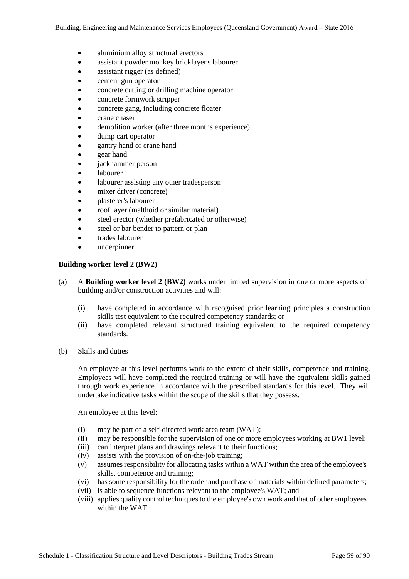- aluminium alloy structural erectors
- assistant powder monkey bricklayer's labourer
- assistant rigger (as defined)
- cement gun operator
- concrete cutting or drilling machine operator
- concrete formwork stripper
- concrete gang, including concrete floater
- crane chaser
- demolition worker (after three months experience)
- dump cart operator
- gantry hand or crane hand
- gear hand
- jackhammer person
- labourer
- labourer assisting any other tradesperson
- mixer driver (concrete)
- plasterer's labourer
- roof layer (malthoid or similar material)
- steel erector (whether prefabricated or otherwise)
- steel or bar bender to pattern or plan
- trades labourer
- underpinner.

#### **Building worker level 2 (BW2)**

- (a) A **Building worker level 2 (BW2)** works under limited supervision in one or more aspects of building and/or construction activities and will:
	- (i) have completed in accordance with recognised prior learning principles a construction skills test equivalent to the required competency standards; or
	- (ii) have completed relevant structured training equivalent to the required competency standards.
- (b) Skills and duties

An employee at this level performs work to the extent of their skills, competence and training. Employees will have completed the required training or will have the equivalent skills gained through work experience in accordance with the prescribed standards for this level. They will undertake indicative tasks within the scope of the skills that they possess.

An employee at this level:

- (i) may be part of a self-directed work area team (WAT);
- (ii) may be responsible for the supervision of one or more employees working at BW1 level;
- (iii) can interpret plans and drawings relevant to their functions;
- (iv) assists with the provision of on-the-job training;
- (v) assumes responsibility for allocating tasks within a WAT within the area of the employee's skills, competence and training;
- (vi) has some responsibility for the order and purchase of materials within defined parameters;
- (vii) is able to sequence functions relevant to the employee's WAT; and
- (viii) applies quality control techniques to the employee's own work and that of other employees within the WAT.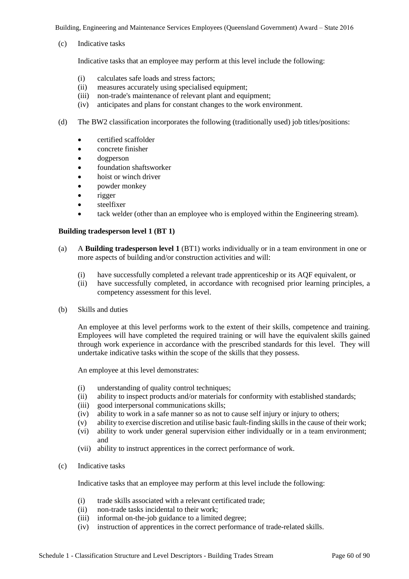(c) Indicative tasks

Indicative tasks that an employee may perform at this level include the following:

- (i) calculates safe loads and stress factors;
- (ii) measures accurately using specialised equipment;
- (iii) non-trade's maintenance of relevant plant and equipment;
- (iv) anticipates and plans for constant changes to the work environment.
- (d) The BW2 classification incorporates the following (traditionally used) job titles/positions:
	- certified scaffolder
	- concrete finisher
	- dogperson
	- foundation shaftsworker
	- hoist or winch driver
	- powder monkey
	- rigger
	- steelfixer
	- tack welder (other than an employee who is employed within the Engineering stream).

#### **Building tradesperson level 1 (BT 1)**

- (a) A **Building tradesperson level 1** (BT1) works individually or in a team environment in one or more aspects of building and/or construction activities and will:
	- (i) have successfully completed a relevant trade apprenticeship or its AQF equivalent, or
	- (ii) have successfully completed, in accordance with recognised prior learning principles, a competency assessment for this level.
- (b) Skills and duties

An employee at this level performs work to the extent of their skills, competence and training. Employees will have completed the required training or will have the equivalent skills gained through work experience in accordance with the prescribed standards for this level. They will undertake indicative tasks within the scope of the skills that they possess.

An employee at this level demonstrates:

- (i) understanding of quality control techniques;
- (ii) ability to inspect products and/or materials for conformity with established standards;
- (iii) good interpersonal communications skills;
- (iv) ability to work in a safe manner so as not to cause self injury or injury to others;
- (v) ability to exercise discretion and utilise basic fault-finding skills in the cause of their work;
- (vi) ability to work under general supervision either individually or in a team environment; and
- (vii) ability to instruct apprentices in the correct performance of work.
- (c) Indicative tasks

Indicative tasks that an employee may perform at this level include the following:

- (i) trade skills associated with a relevant certificated trade;
- (ii) non-trade tasks incidental to their work;
- (iii) informal on-the-job guidance to a limited degree;
- (iv) instruction of apprentices in the correct performance of trade-related skills.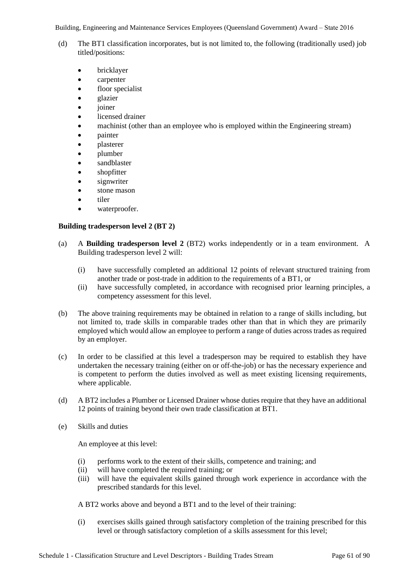- (d) The BT1 classification incorporates, but is not limited to, the following (traditionally used) job titled/positions:
	- bricklayer
	- carpenter
	- floor specialist
	- glazier
	- *joiner*
	- licensed drainer
	- machinist (other than an employee who is employed within the Engineering stream)
	- painter
	- plasterer
	- plumber
	- sandblaster
	- shopfitter
	- signwriter
	- stone mason
	- tiler
	- waterproofer.

## **Building tradesperson level 2 (BT 2)**

- (a) A **Building tradesperson level 2** (BT2) works independently or in a team environment. A Building tradesperson level 2 will:
	- (i) have successfully completed an additional 12 points of relevant structured training from another trade or post-trade in addition to the requirements of a BT1, or
	- (ii) have successfully completed, in accordance with recognised prior learning principles, a competency assessment for this level.
- (b) The above training requirements may be obtained in relation to a range of skills including, but not limited to, trade skills in comparable trades other than that in which they are primarily employed which would allow an employee to perform a range of duties across trades as required by an employer.
- (c) In order to be classified at this level a tradesperson may be required to establish they have undertaken the necessary training (either on or off-the-job) or has the necessary experience and is competent to perform the duties involved as well as meet existing licensing requirements, where applicable.
- (d) A BT2 includes a Plumber or Licensed Drainer whose duties require that they have an additional 12 points of training beyond their own trade classification at BT1.
- (e) Skills and duties

An employee at this level:

- (i) performs work to the extent of their skills, competence and training; and
- (ii) will have completed the required training; or
- (iii) will have the equivalent skills gained through work experience in accordance with the prescribed standards for this level.

A BT2 works above and beyond a BT1 and to the level of their training:

(i) exercises skills gained through satisfactory completion of the training prescribed for this level or through satisfactory completion of a skills assessment for this level;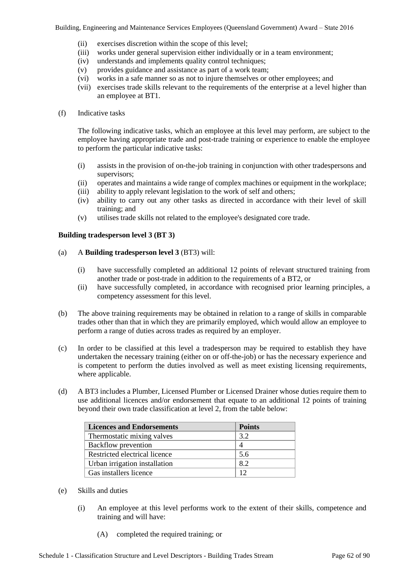- (ii) exercises discretion within the scope of this level;
- (iii) works under general supervision either individually or in a team environment;
- (iv) understands and implements quality control techniques;
- (v) provides guidance and assistance as part of a work team;
- (vi) works in a safe manner so as not to injure themselves or other employees; and
- (vii) exercises trade skills relevant to the requirements of the enterprise at a level higher than an employee at BT1.
- (f) Indicative tasks

The following indicative tasks, which an employee at this level may perform, are subject to the employee having appropriate trade and post-trade training or experience to enable the employee to perform the particular indicative tasks:

- (i) assists in the provision of on-the-job training in conjunction with other tradespersons and supervisors;
- (ii) operates and maintains a wide range of complex machines or equipment in the workplace;
- (iii) ability to apply relevant legislation to the work of self and others;
- (iv) ability to carry out any other tasks as directed in accordance with their level of skill training; and
- (v) utilises trade skills not related to the employee's designated core trade.

## **Building tradesperson level 3 (BT 3)**

- (a) A **Building tradesperson level 3** (BT3) will:
	- (i) have successfully completed an additional 12 points of relevant structured training from another trade or post-trade in addition to the requirements of a BT2, or
	- (ii) have successfully completed, in accordance with recognised prior learning principles, a competency assessment for this level.
- (b) The above training requirements may be obtained in relation to a range of skills in comparable trades other than that in which they are primarily employed, which would allow an employee to perform a range of duties across trades as required by an employer.
- (c) In order to be classified at this level a tradesperson may be required to establish they have undertaken the necessary training (either on or off-the-job) or has the necessary experience and is competent to perform the duties involved as well as meet existing licensing requirements, where applicable.
- (d) A BT3 includes a Plumber, Licensed Plumber or Licensed Drainer whose duties require them to use additional licences and/or endorsement that equate to an additional 12 points of training beyond their own trade classification at level 2, from the table below:

| <b>Licences and Endorsements</b> | <b>Points</b> |
|----------------------------------|---------------|
| Thermostatic mixing valves       | 3.2           |
| Backflow prevention              |               |
| Restricted electrical licence    | 5.6           |
| Urban irrigation installation    | 8.2           |
| Gas installers licence           | 12            |

- (e) Skills and duties
	- (i) An employee at this level performs work to the extent of their skills, competence and training and will have:
		- (A) completed the required training; or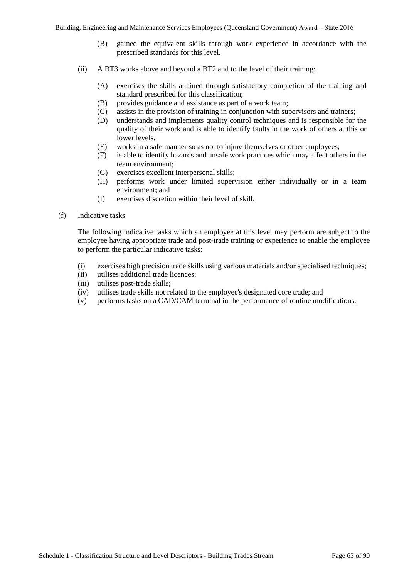- (B) gained the equivalent skills through work experience in accordance with the prescribed standards for this level.
- (ii) A BT3 works above and beyond a BT2 and to the level of their training:
	- (A) exercises the skills attained through satisfactory completion of the training and standard prescribed for this classification;
	- (B) provides guidance and assistance as part of a work team;
	- (C) assists in the provision of training in conjunction with supervisors and trainers;
	- (D) understands and implements quality control techniques and is responsible for the quality of their work and is able to identify faults in the work of others at this or lower levels;
	- (E) works in a safe manner so as not to injure themselves or other employees;
	- (F) is able to identify hazards and unsafe work practices which may affect others in the team environment;
	- (G) exercises excellent interpersonal skills;
	- (H) performs work under limited supervision either individually or in a team environment; and
	- (I) exercises discretion within their level of skill.
- (f) Indicative tasks

The following indicative tasks which an employee at this level may perform are subject to the employee having appropriate trade and post-trade training or experience to enable the employee to perform the particular indicative tasks:

- (i) exercises high precision trade skills using various materials and/or specialised techniques;
- (ii) utilises additional trade licences;
- (iii) utilises post-trade skills;
- (iv) utilises trade skills not related to the employee's designated core trade; and
- (v) performs tasks on a CAD/CAM terminal in the performance of routine modifications.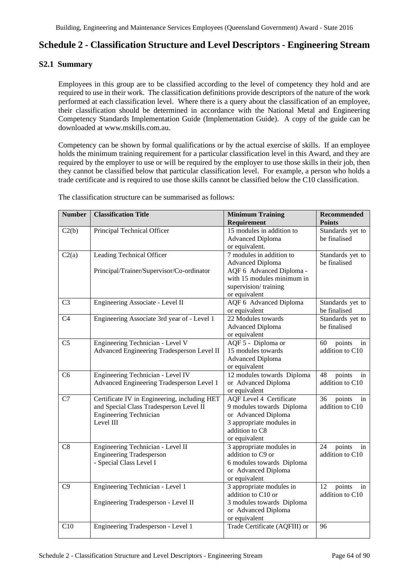## **Schedule 2 - Classification Structure and Level Descriptors - Engineering Stream**

## **S2.1 Summary**

Employees in this group are to be classified according to the level of competency they hold and are required to use in their work. The classification definitions provide descriptors of the nature of the work performed at each classification level. Where there is a query about the classification of an employee, their classification should be determined in accordance with the National Metal and Engineering Competency Standards Implementation Guide (Implementation Guide). A copy of the guide can be downloaded at www.mskills.com.au.

Competency can be shown by formal qualifications or by the actual exercise of skills. If an employee holds the minimum training requirement for a particular classification level in this Award, and they are required by the employer to use or will be required by the employer to use those skills in their job, then they cannot be classified below that particular classification level. For example, a person who holds a trade certificate and is required to use those skills cannot be classified below the C10 classification.

| <b>Number</b>  | <b>Classification Title</b>                                                             | <b>Minimum Training</b>                                     | <b>Recommended</b>                    |
|----------------|-----------------------------------------------------------------------------------------|-------------------------------------------------------------|---------------------------------------|
|                |                                                                                         | Requirement                                                 | <b>Points</b>                         |
| C2(b)          | Principal Technical Officer                                                             | $\overline{15}$ modules in addition to                      | Standards yet to                      |
|                |                                                                                         | <b>Advanced Diploma</b>                                     | be finalised                          |
|                |                                                                                         | or equivalent.<br>7 modules in addition to                  |                                       |
| C2(a)          | Leading Technical Officer                                                               | <b>Advanced Diploma</b>                                     | Standards yet to<br>be finalised      |
|                | Principal/Trainer/Supervisor/Co-ordinator                                               | AQF 6 Advanced Diploma -                                    |                                       |
|                |                                                                                         | with 15 modules minimum in                                  |                                       |
|                |                                                                                         | supervision/training                                        |                                       |
|                |                                                                                         | or equivalent                                               |                                       |
| C <sub>3</sub> | Engineering Associate - Level II                                                        | AQF 6 Advanced Diploma                                      | Standards yet to                      |
|                |                                                                                         | or equivalent                                               | be finalised                          |
| C4             | Engineering Associate 3rd year of - Level 1                                             | 22 Modules towards                                          | Standards yet to                      |
|                |                                                                                         | <b>Advanced Diploma</b><br>or equivalent                    | be finalised                          |
| C <sub>5</sub> | Engineering Technician - Level V                                                        | AQF 5 - Diploma or                                          | 60<br>points<br>in                    |
|                | Advanced Engineering Tradesperson Level II                                              | 15 modules towards                                          | addition to C10                       |
|                |                                                                                         | <b>Advanced Diploma</b>                                     |                                       |
|                |                                                                                         | or equivalent                                               |                                       |
| C <sub>6</sub> | Engineering Technician - Level IV                                                       | 12 modules towards Diploma                                  | 48<br>points<br>in                    |
|                | Advanced Engineering Tradesperson Level 1                                               | or Advanced Diploma                                         | addition to C10                       |
|                |                                                                                         | or equivalent                                               |                                       |
| C7             | Certificate IV in Engineering, including HET<br>and Special Class Tradesperson Level II | <b>AQF</b> Level 4 Certificate<br>9 modules towards Diploma | 36<br>points<br>in<br>addition to C10 |
|                | <b>Engineering Technician</b>                                                           | or Advanced Diploma                                         |                                       |
|                | Level III                                                                               | 3 appropriate modules in                                    |                                       |
|                |                                                                                         | addition to C8                                              |                                       |
|                |                                                                                         | or equivalent                                               |                                       |
| C8             | Engineering Technician - Level II                                                       | 3 appropriate modules in                                    | 24<br>points<br>in                    |
|                | <b>Engineering Tradesperson</b>                                                         | addition to C9 or                                           | addition to C10                       |
|                | - Special Class Level I                                                                 | 6 modules towards Diploma                                   |                                       |
|                |                                                                                         | or Advanced Diploma<br>or equivalent                        |                                       |
| C9             | Engineering Technician - Level 1                                                        | 3 appropriate modules in                                    | 12<br>points<br>in                    |
|                |                                                                                         | addition to C10 or                                          | addition to C10                       |
|                | Engineering Tradesperson - Level II                                                     | 3 modules towards Diploma                                   |                                       |
|                |                                                                                         | or Advanced Diploma                                         |                                       |
|                |                                                                                         | or equivalent                                               |                                       |
| C10            | Engineering Tradesperson - Level 1                                                      | Trade Certificate (AQFIII) or                               | 96                                    |

The classification structure can be summarised as follows: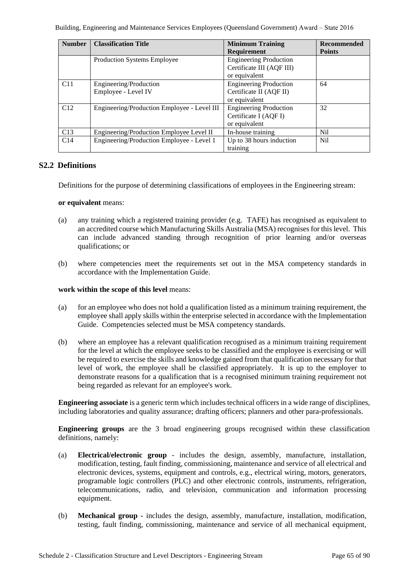| <b>Number</b> | <b>Classification Title</b>                 | <b>Minimum Training</b>       | <b>Recommended</b> |
|---------------|---------------------------------------------|-------------------------------|--------------------|
|               |                                             | Requirement                   | <b>Points</b>      |
|               | Production Systems Employee                 | <b>Engineering Production</b> |                    |
|               |                                             | Certificate III (AQF III)     |                    |
|               |                                             | or equivalent                 |                    |
| C11           | Engineering/Production                      | <b>Engineering Production</b> | 64                 |
|               | Employee - Level IV                         | Certificate II (AQF II)       |                    |
|               |                                             | or equivalent                 |                    |
| C12           | Engineering/Production Employee - Level III | <b>Engineering Production</b> | 32                 |
|               |                                             | Certificate I (AQF I)         |                    |
|               |                                             | or equivalent                 |                    |
| C13           | Engineering/Production Employee Level II    | In-house training             | Nil                |
| C14           | Engineering/Production Employee - Level 1   | Up to 38 hours induction      | Nil                |
|               |                                             | training                      |                    |

## **S2.2 Definitions**

Definitions for the purpose of determining classifications of employees in the Engineering stream:

#### **or equivalent** means:

- (a) any training which a registered training provider (e.g. TAFE) has recognised as equivalent to an accredited course which Manufacturing Skills Australia (MSA) recognises for this level. This can include advanced standing through recognition of prior learning and/or overseas qualifications; or
- (b) where competencies meet the requirements set out in the MSA competency standards in accordance with the Implementation Guide.

#### **work within the scope of this level** means:

- (a) for an employee who does not hold a qualification listed as a minimum training requirement, the employee shall apply skills within the enterprise selected in accordance with the Implementation Guide. Competencies selected must be MSA competency standards.
- (b) where an employee has a relevant qualification recognised as a minimum training requirement for the level at which the employee seeks to be classified and the employee is exercising or will be required to exercise the skills and knowledge gained from that qualification necessary for that level of work, the employee shall be classified appropriately. It is up to the employer to demonstrate reasons for a qualification that is a recognised minimum training requirement not being regarded as relevant for an employee's work.

**Engineering associate** is a generic term which includes technical officers in a wide range of disciplines, including laboratories and quality assurance; drafting officers; planners and other para-professionals.

**Engineering groups** are the 3 broad engineering groups recognised within these classification definitions, namely:

- (a) **Electrical/electronic group** includes the design, assembly, manufacture, installation, modification, testing, fault finding, commissioning, maintenance and service of all electrical and electronic devices, systems, equipment and controls, e.g., electrical wiring, motors, generators, programable logic controllers (PLC) and other electronic controls, instruments, refrigeration, telecommunications, radio, and television, communication and information processing equipment.
- (b) **Mechanical group -** includes the design, assembly, manufacture, installation, modification, testing, fault finding, commissioning, maintenance and service of all mechanical equipment,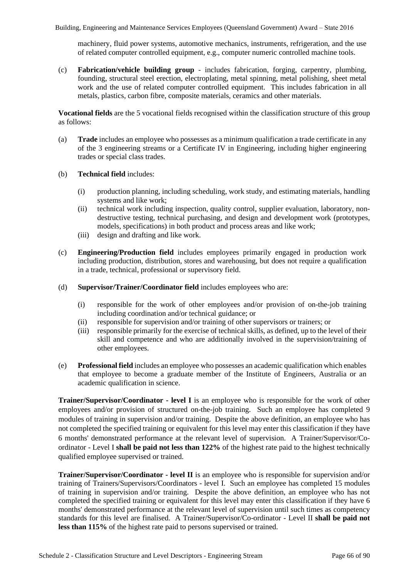machinery, fluid power systems, automotive mechanics, instruments, refrigeration, and the use of related computer controlled equipment, e.g., computer numeric controlled machine tools.

(c) **Fabrication/vehicle building group** - includes fabrication, forging, carpentry, plumbing, founding, structural steel erection, electroplating, metal spinning, metal polishing, sheet metal work and the use of related computer controlled equipment. This includes fabrication in all metals, plastics, carbon fibre, composite materials, ceramics and other materials.

**Vocational fields** are the 5 vocational fields recognised within the classification structure of this group as follows:

- (a) **Trade** includes an employee who possesses as a minimum qualification a trade certificate in any of the 3 engineering streams or a Certificate IV in Engineering, including higher engineering trades or special class trades.
- (b) **Technical field** includes:
	- (i) production planning, including scheduling, work study, and estimating materials, handling systems and like work;
	- (ii) technical work including inspection, quality control, supplier evaluation, laboratory, nondestructive testing, technical purchasing, and design and development work (prototypes, models, specifications) in both product and process areas and like work;
	- (iii) design and drafting and like work.
- (c) **Engineering/Production field** includes employees primarily engaged in production work including production, distribution, stores and warehousing, but does not require a qualification in a trade, technical, professional or supervisory field.
- (d) **Supervisor/Trainer/Coordinator field** includes employees who are:
	- (i) responsible for the work of other employees and/or provision of on-the-job training including coordination and/or technical guidance; or
	- (ii) responsible for supervision and/or training of other supervisors or trainers; or
	- (iii) responsible primarily for the exercise of technical skills, as defined, up to the level of their skill and competence and who are additionally involved in the supervision/training of other employees.
- (e) **Professional field** includes an employee who possesses an academic qualification which enables that employee to become a graduate member of the Institute of Engineers, Australia or an academic qualification in science.

**Trainer/Supervisor/Coordinator - level I** is an employee who is responsible for the work of other employees and/or provision of structured on-the-job training. Such an employee has completed 9 modules of training in supervision and/or training. Despite the above definition, an employee who has not completed the specified training or equivalent for this level may enter this classification if they have 6 months' demonstrated performance at the relevant level of supervision. A Trainer/Supervisor/Coordinator - Level I **shall be paid not less than 122%** of the highest rate paid to the highest technically qualified employee supervised or trained.

**Trainer/Supervisor/Coordinator - level II** is an employee who is responsible for supervision and/or training of Trainers/Supervisors/Coordinators - level I. Such an employee has completed 15 modules of training in supervision and/or training. Despite the above definition, an employee who has not completed the specified training or equivalent for this level may enter this classification if they have 6 months' demonstrated performance at the relevant level of supervision until such times as competency standards for this level are finalised. A Trainer/Supervisor/Co-ordinator - Level II **shall be paid not less than 115%** of the highest rate paid to persons supervised or trained.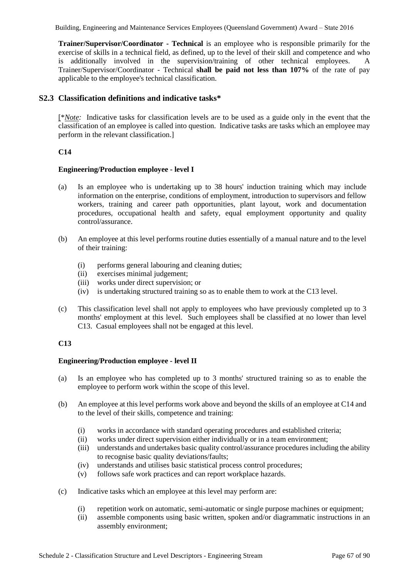**Trainer/Supervisor/Coordinator - Technical** is an employee who is responsible primarily for the exercise of skills in a technical field, as defined, up to the level of their skill and competence and who is additionally involved in the supervision/training of other technical employees. A Trainer/Supervisor/Coordinator - Technical **shall be paid not less than 107%** of the rate of pay applicable to the employee's technical classification.

## **S2.3 Classification definitions and indicative tasks\***

[\**Note:* Indicative tasks for classification levels are to be used as a guide only in the event that the classification of an employee is called into question. Indicative tasks are tasks which an employee may perform in the relevant classification.]

## **C14**

## **Engineering/Production employee - level I**

- (a) Is an employee who is undertaking up to 38 hours' induction training which may include information on the enterprise, conditions of employment, introduction to supervisors and fellow workers, training and career path opportunities, plant layout, work and documentation procedures, occupational health and safety, equal employment opportunity and quality control/assurance.
- (b) An employee at this level performs routine duties essentially of a manual nature and to the level of their training:
	- (i) performs general labouring and cleaning duties;
	- (ii) exercises minimal judgement;
	- (iii) works under direct supervision; or
	- (iv) is undertaking structured training so as to enable them to work at the C13 level.
- (c) This classification level shall not apply to employees who have previously completed up to 3 months' employment at this level. Such employees shall be classified at no lower than level C13. Casual employees shall not be engaged at this level.

## **C13**

## **Engineering/Production employee - level II**

- (a) Is an employee who has completed up to 3 months' structured training so as to enable the employee to perform work within the scope of this level.
- (b) An employee at this level performs work above and beyond the skills of an employee at C14 and to the level of their skills, competence and training:
	- (i) works in accordance with standard operating procedures and established criteria;
	- (ii) works under direct supervision either individually or in a team environment;
	- (iii) understands and undertakes basic quality control/assurance procedures including the ability to recognise basic quality deviations/faults;
	- (iv) understands and utilises basic statistical process control procedures;
	- (v) follows safe work practices and can report workplace hazards.
- (c) Indicative tasks which an employee at this level may perform are:
	- (i) repetition work on automatic, semi-automatic or single purpose machines or equipment;
	- (ii) assemble components using basic written, spoken and/or diagrammatic instructions in an assembly environment;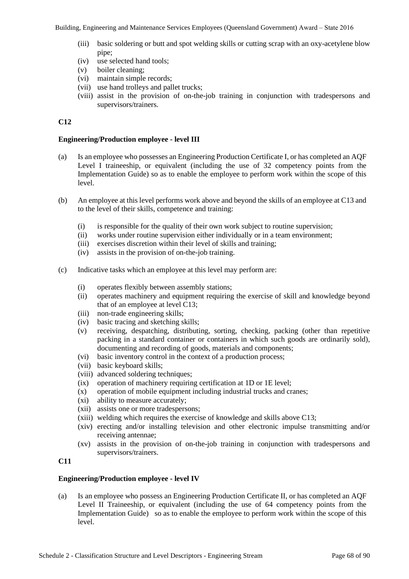- (iii) basic soldering or butt and spot welding skills or cutting scrap with an oxy-acetylene blow pipe;
- (iv) use selected hand tools;
- (v) boiler cleaning;
- (vi) maintain simple records;
- (vii) use hand trolleys and pallet trucks;
- (viii) assist in the provision of on-the-job training in conjunction with tradespersons and supervisors/trainers.

## **C12**

## **Engineering/Production employee - level III**

- (a) Is an employee who possesses an Engineering Production Certificate I, or has completed an AQF Level I traineeship, or equivalent (including the use of 32 competency points from the Implementation Guide) so as to enable the employee to perform work within the scope of this level.
- (b) An employee at this level performs work above and beyond the skills of an employee at C13 and to the level of their skills, competence and training:
	- (i) is responsible for the quality of their own work subject to routine supervision;
	- (ii) works under routine supervision either individually or in a team environment;
	- (iii) exercises discretion within their level of skills and training;
	- (iv) assists in the provision of on-the-job training.
- (c) Indicative tasks which an employee at this level may perform are:
	- (i) operates flexibly between assembly stations;
	- (ii) operates machinery and equipment requiring the exercise of skill and knowledge beyond that of an employee at level C13;
	- (iii) non-trade engineering skills;
	- (iv) basic tracing and sketching skills;
	- (v) receiving, despatching, distributing, sorting, checking, packing (other than repetitive packing in a standard container or containers in which such goods are ordinarily sold), documenting and recording of goods, materials and components;
	- (vi) basic inventory control in the context of a production process;
	- (vii) basic keyboard skills;
	- (viii) advanced soldering techniques;
	- (ix) operation of machinery requiring certification at 1D or 1E level;
	- (x) operation of mobile equipment including industrial trucks and cranes;
	- (xi) ability to measure accurately;
	- (xii) assists one or more tradespersons;
	- (xiii) welding which requires the exercise of knowledge and skills above C13;
	- (xiv) erecting and/or installing television and other electronic impulse transmitting and/or receiving antennae;
	- (xv) assists in the provision of on-the-job training in conjunction with tradespersons and supervisors/trainers.

## **C11**

## **Engineering/Production employee - level IV**

(a) Is an employee who possess an Engineering Production Certificate II, or has completed an AQF Level II Traineeship, or equivalent (including the use of 64 competency points from the Implementation Guide) so as to enable the employee to perform work within the scope of this level.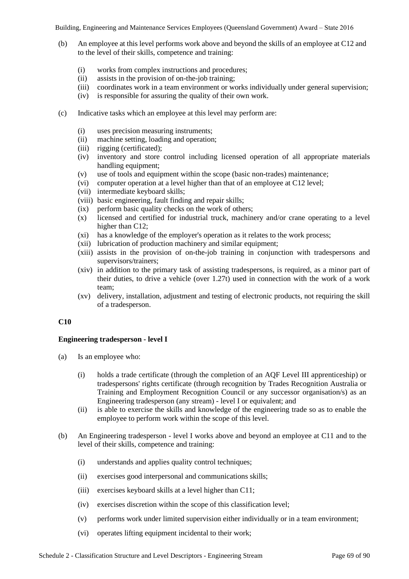- (b) An employee at this level performs work above and beyond the skills of an employee at C12 and to the level of their skills, competence and training:
	- (i) works from complex instructions and procedures;
	- (ii) assists in the provision of on-the-job training;
	- (iii) coordinates work in a team environment or works individually under general supervision;
	- (iv) is responsible for assuring the quality of their own work.
- (c) Indicative tasks which an employee at this level may perform are:
	- (i) uses precision measuring instruments;
	- (ii) machine setting, loading and operation;
	- (iii) rigging (certificated);
	- (iv) inventory and store control including licensed operation of all appropriate materials handling equipment;
	- (v) use of tools and equipment within the scope (basic non-trades) maintenance;
	- (vi) computer operation at a level higher than that of an employee at C12 level;
	- (vii) intermediate keyboard skills;
	- (viii) basic engineering, fault finding and repair skills;
	- (ix) perform basic quality checks on the work of others;
	- (x) licensed and certified for industrial truck, machinery and/or crane operating to a level higher than C12;
	- (xi) has a knowledge of the employer's operation as it relates to the work process;
	- (xii) lubrication of production machinery and similar equipment;
	- (xiii) assists in the provision of on-the-job training in conjunction with tradespersons and supervisors/trainers;
	- (xiv) in addition to the primary task of assisting tradespersons, is required, as a minor part of their duties, to drive a vehicle (over 1.27t) used in connection with the work of a work team;
	- (xv) delivery, installation, adjustment and testing of electronic products, not requiring the skill of a tradesperson.

## **C10**

## **Engineering tradesperson - level I**

- (a) Is an employee who:
	- (i) holds a trade certificate (through the completion of an AQF Level III apprenticeship) or tradespersons' rights certificate (through recognition by Trades Recognition Australia or Training and Employment Recognition Council or any successor organisation/s) as an Engineering tradesperson (any stream) - level I or equivalent; and
	- (ii) is able to exercise the skills and knowledge of the engineering trade so as to enable the employee to perform work within the scope of this level.
- (b) An Engineering tradesperson level I works above and beyond an employee at C11 and to the level of their skills, competence and training:
	- (i) understands and applies quality control techniques;
	- (ii) exercises good interpersonal and communications skills;
	- (iii) exercises keyboard skills at a level higher than C11;
	- (iv) exercises discretion within the scope of this classification level;
	- (v) performs work under limited supervision either individually or in a team environment;
	- (vi) operates lifting equipment incidental to their work;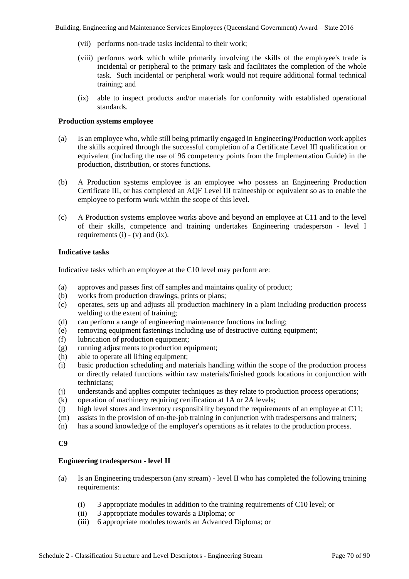- (vii) performs non-trade tasks incidental to their work;
- (viii) performs work which while primarily involving the skills of the employee's trade is incidental or peripheral to the primary task and facilitates the completion of the whole task. Such incidental or peripheral work would not require additional formal technical training; and
- (ix) able to inspect products and/or materials for conformity with established operational standards.

## **Production systems employee**

- (a) Is an employee who, while still being primarily engaged in Engineering/Production work applies the skills acquired through the successful completion of a Certificate Level III qualification or equivalent (including the use of 96 competency points from the Implementation Guide) in the production, distribution, or stores functions.
- (b) A Production systems employee is an employee who possess an Engineering Production Certificate III, or has completed an AQF Level III traineeship or equivalent so as to enable the employee to perform work within the scope of this level.
- (c) A Production systems employee works above and beyond an employee at C11 and to the level of their skills, competence and training undertakes Engineering tradesperson - level I requirements  $(i) - (v)$  and  $(ix)$ .

## **Indicative tasks**

Indicative tasks which an employee at the C10 level may perform are:

- (a) approves and passes first off samples and maintains quality of product;
- (b) works from production drawings, prints or plans;
- (c) operates, sets up and adjusts all production machinery in a plant including production process welding to the extent of training;
- (d) can perform a range of engineering maintenance functions including;
- (e) removing equipment fastenings including use of destructive cutting equipment;
- (f) lubrication of production equipment;
- (g) running adjustments to production equipment;
- (h) able to operate all lifting equipment;
- (i) basic production scheduling and materials handling within the scope of the production process or directly related functions within raw materials/finished goods locations in conjunction with technicians;
- (j) understands and applies computer techniques as they relate to production process operations;
- (k) operation of machinery requiring certification at 1A or 2A levels;
- (l) high level stores and inventory responsibility beyond the requirements of an employee at C11;
- (m) assists in the provision of on-the-job training in conjunction with tradespersons and trainers;
- (n) has a sound knowledge of the employer's operations as it relates to the production process.

## **C9**

## **Engineering tradesperson - level II**

- (a) Is an Engineering tradesperson (any stream) level II who has completed the following training requirements:
	- (i) 3 appropriate modules in addition to the training requirements of C10 level; or
	- (ii) 3 appropriate modules towards a Diploma; or
	- (iii) 6 appropriate modules towards an Advanced Diploma; or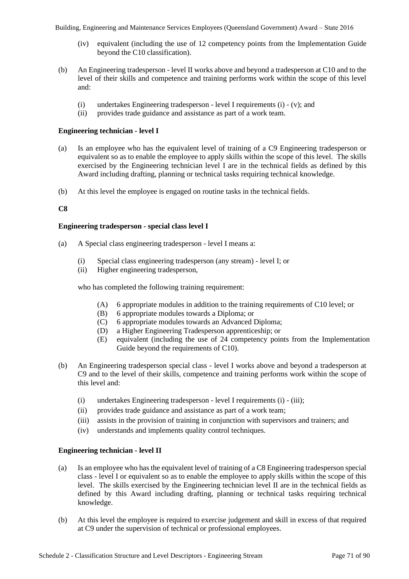- (iv) equivalent (including the use of 12 competency points from the Implementation Guide beyond the C10 classification).
- (b) An Engineering tradesperson level II works above and beyond a tradesperson at C10 and to the level of their skills and competence and training performs work within the scope of this level and:
	- (i) undertakes Engineering tradesperson level I requirements (i) (v); and
	- (ii) provides trade guidance and assistance as part of a work team.

## **Engineering technician - level I**

- (a) Is an employee who has the equivalent level of training of a C9 Engineering tradesperson or equivalent so as to enable the employee to apply skills within the scope of this level. The skills exercised by the Engineering technician level I are in the technical fields as defined by this Award including drafting, planning or technical tasks requiring technical knowledge.
- (b) At this level the employee is engaged on routine tasks in the technical fields.

## **C8**

## **Engineering tradesperson - special class level I**

- (a) A Special class engineering tradesperson level I means a:
	- (i) Special class engineering tradesperson (any stream) level I; or
	- (ii) Higher engineering tradesperson,

who has completed the following training requirement:

- (A) 6 appropriate modules in addition to the training requirements of C10 level; or
- (B) 6 appropriate modules towards a Diploma; or
- (C) 6 appropriate modules towards an Advanced Diploma;
- (D) a Higher Engineering Tradesperson apprenticeship; or
- (E) equivalent (including the use of 24 competency points from the Implementation Guide beyond the requirements of C10).
- (b) An Engineering tradesperson special class level I works above and beyond a tradesperson at C9 and to the level of their skills, competence and training performs work within the scope of this level and:
	- (i) undertakes Engineering tradesperson level I requirements (i) (iii);
	- (ii) provides trade guidance and assistance as part of a work team;
	- (iii) assists in the provision of training in conjunction with supervisors and trainers; and
	- (iv) understands and implements quality control techniques.

## **Engineering technician - level II**

- (a) Is an employee who has the equivalent level of training of a C8 Engineering tradesperson special class - level I or equivalent so as to enable the employee to apply skills within the scope of this level. The skills exercised by the Engineering technician level II are in the technical fields as defined by this Award including drafting, planning or technical tasks requiring technical knowledge.
- (b) At this level the employee is required to exercise judgement and skill in excess of that required at C9 under the supervision of technical or professional employees.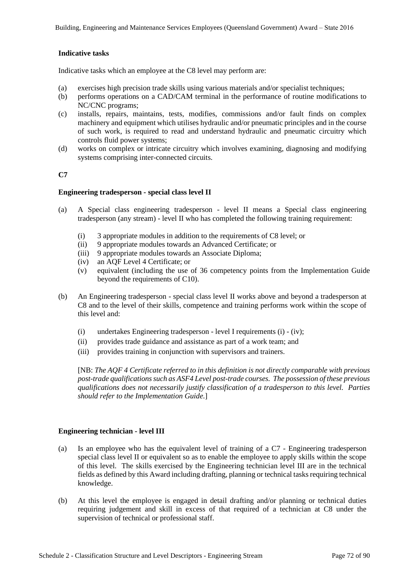## **Indicative tasks**

Indicative tasks which an employee at the C8 level may perform are:

- (a) exercises high precision trade skills using various materials and/or specialist techniques;
- (b) performs operations on a CAD/CAM terminal in the performance of routine modifications to NC/CNC programs;
- (c) installs, repairs, maintains, tests, modifies, commissions and/or fault finds on complex machinery and equipment which utilises hydraulic and/or pneumatic principles and in the course of such work, is required to read and understand hydraulic and pneumatic circuitry which controls fluid power systems;
- (d) works on complex or intricate circuitry which involves examining, diagnosing and modifying systems comprising inter-connected circuits.

## **C7**

## **Engineering tradesperson - special class level II**

- (a) A Special class engineering tradesperson level II means a Special class engineering tradesperson (any stream) - level II who has completed the following training requirement:
	- (i) 3 appropriate modules in addition to the requirements of C8 level; or
	- (ii) 9 appropriate modules towards an Advanced Certificate; or
	- (iii) 9 appropriate modules towards an Associate Diploma;
	- (iv) an AQF Level 4 Certificate; or
	- (v) equivalent (including the use of 36 competency points from the Implementation Guide beyond the requirements of C10).
- (b) An Engineering tradesperson special class level II works above and beyond a tradesperson at C8 and to the level of their skills, competence and training performs work within the scope of this level and:
	- (i) undertakes Engineering tradesperson level I requirements (i) (iv);
	- (ii) provides trade guidance and assistance as part of a work team; and
	- (iii) provides training in conjunction with supervisors and trainers.

[NB: *The AQF 4 Certificate referred to in this definition is not directly comparable with previous post-trade qualifications such as ASF4 Level post-trade courses. The possession of these previous qualifications does not necessarily justify classification of a tradesperson to this level. Parties should refer to the Implementation Guide.*]

## **Engineering technician - level III**

- (a) Is an employee who has the equivalent level of training of a C7 Engineering tradesperson special class level II or equivalent so as to enable the employee to apply skills within the scope of this level. The skills exercised by the Engineering technician level III are in the technical fields as defined by this Award including drafting, planning or technical tasks requiring technical knowledge.
- (b) At this level the employee is engaged in detail drafting and/or planning or technical duties requiring judgement and skill in excess of that required of a technician at C8 under the supervision of technical or professional staff.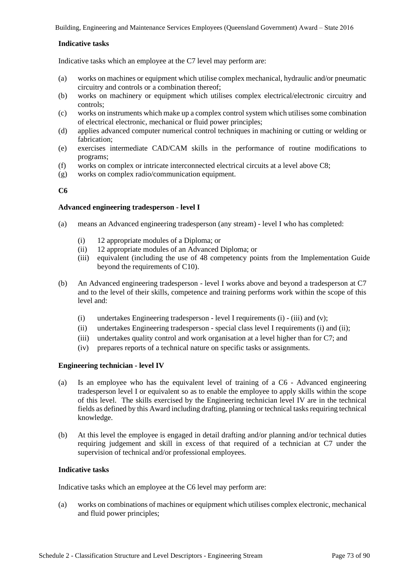## **Indicative tasks**

Indicative tasks which an employee at the C7 level may perform are:

- (a) works on machines or equipment which utilise complex mechanical, hydraulic and/or pneumatic circuitry and controls or a combination thereof;
- (b) works on machinery or equipment which utilises complex electrical/electronic circuitry and controls;
- (c) works on instruments which make up a complex control system which utilises some combination of electrical electronic, mechanical or fluid power principles;
- (d) applies advanced computer numerical control techniques in machining or cutting or welding or fabrication;
- (e) exercises intermediate CAD/CAM skills in the performance of routine modifications to programs;
- (f) works on complex or intricate interconnected electrical circuits at a level above C8;
- (g) works on complex radio/communication equipment.

# **C6**

## **Advanced engineering tradesperson - level I**

- (a) means an Advanced engineering tradesperson (any stream) level I who has completed:
	- (i) 12 appropriate modules of a Diploma; or
	- (ii) 12 appropriate modules of an Advanced Diploma; or
	- (iii) equivalent (including the use of 48 competency points from the Implementation Guide beyond the requirements of C10).
- (b) An Advanced engineering tradesperson level I works above and beyond a tradesperson at C7 and to the level of their skills, competence and training performs work within the scope of this level and:
	- (i) undertakes Engineering tradesperson level I requirements (i)  $-$  (iii) and (v);
	- (ii) undertakes Engineering tradesperson special class level I requirements (i) and (ii);
	- (iii) undertakes quality control and work organisation at a level higher than for C7; and
	- (iv) prepares reports of a technical nature on specific tasks or assignments.

## **Engineering technician - level IV**

- (a) Is an employee who has the equivalent level of training of a C6 Advanced engineering tradesperson level I or equivalent so as to enable the employee to apply skills within the scope of this level. The skills exercised by the Engineering technician level IV are in the technical fields as defined by this Award including drafting, planning or technical tasks requiring technical knowledge.
- (b) At this level the employee is engaged in detail drafting and/or planning and/or technical duties requiring judgement and skill in excess of that required of a technician at C7 under the supervision of technical and/or professional employees.

## **Indicative tasks**

Indicative tasks which an employee at the C6 level may perform are:

(a) works on combinations of machines or equipment which utilises complex electronic, mechanical and fluid power principles;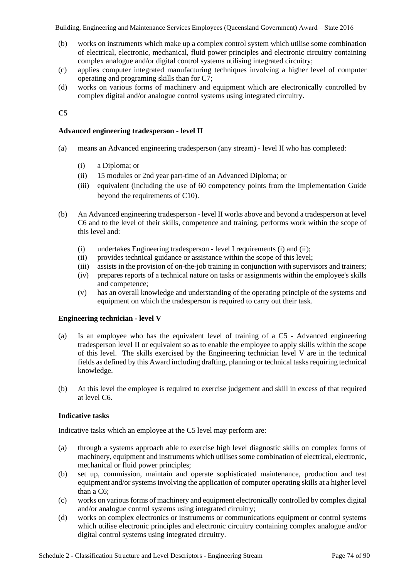- (b) works on instruments which make up a complex control system which utilise some combination of electrical, electronic, mechanical, fluid power principles and electronic circuitry containing complex analogue and/or digital control systems utilising integrated circuitry;
- (c) applies computer integrated manufacturing techniques involving a higher level of computer operating and programing skills than for C7;
- (d) works on various forms of machinery and equipment which are electronically controlled by complex digital and/or analogue control systems using integrated circuitry.

# **C5**

### **Advanced engineering tradesperson - level II**

- (a) means an Advanced engineering tradesperson (any stream) level II who has completed:
	- (i) a Diploma; or
	- (ii) 15 modules or 2nd year part-time of an Advanced Diploma; or
	- (iii) equivalent (including the use of 60 competency points from the Implementation Guide beyond the requirements of C10).
- (b) An Advanced engineering tradesperson level II works above and beyond a tradesperson at level C6 and to the level of their skills, competence and training, performs work within the scope of this level and:
	- (i) undertakes Engineering tradesperson level I requirements (i) and (ii);
	- (ii) provides technical guidance or assistance within the scope of this level;
	- (iii) assists in the provision of on-the-job training in conjunction with supervisors and trainers;
	- (iv) prepares reports of a technical nature on tasks or assignments within the employee's skills and competence;
	- (v) has an overall knowledge and understanding of the operating principle of the systems and equipment on which the tradesperson is required to carry out their task.

#### **Engineering technician - level V**

- (a) Is an employee who has the equivalent level of training of a C5 Advanced engineering tradesperson level II or equivalent so as to enable the employee to apply skills within the scope of this level. The skills exercised by the Engineering technician level V are in the technical fields as defined by this Award including drafting, planning or technical tasks requiring technical knowledge.
- (b) At this level the employee is required to exercise judgement and skill in excess of that required at level C6.

## **Indicative tasks**

Indicative tasks which an employee at the C5 level may perform are:

- (a) through a systems approach able to exercise high level diagnostic skills on complex forms of machinery, equipment and instruments which utilises some combination of electrical, electronic, mechanical or fluid power principles;
- (b) set up, commission, maintain and operate sophisticated maintenance, production and test equipment and/or systems involving the application of computer operating skills at a higher level than a C6;
- (c) works on various forms of machinery and equipment electronically controlled by complex digital and/or analogue control systems using integrated circuitry;
- (d) works on complex electronics or instruments or communications equipment or control systems which utilise electronic principles and electronic circuitry containing complex analogue and/or digital control systems using integrated circuitry.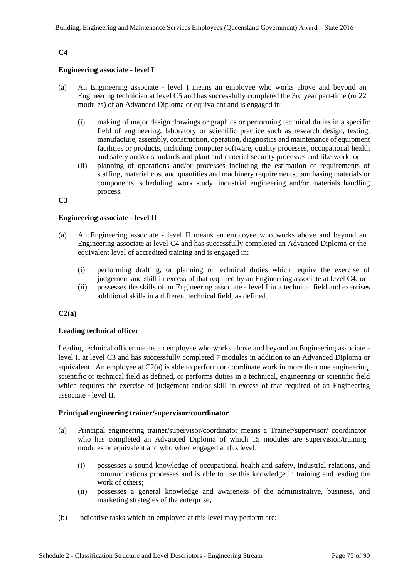# **C4**

## **Engineering associate - level I**

- (a) An Engineering associate level I means an employee who works above and beyond an Engineering technician at level C5 and has successfully completed the 3rd year part-time (or 22 modules) of an Advanced Diploma or equivalent and is engaged in:
	- (i) making of major design drawings or graphics or performing technical duties in a specific field of engineering, laboratory or scientific practice such as research design, testing, manufacture, assembly, construction, operation, diagnostics and maintenance of equipment facilities or products, including computer software, quality processes, occupational health and safety and/or standards and plant and material security processes and like work; or
	- (ii) planning of operations and/or processes including the estimation of requirements of staffing, material cost and quantities and machinery requirements, purchasing materials or components, scheduling, work study, industrial engineering and/or materials handling process.

#### **C3**

#### **Engineering associate - level II**

- (a) An Engineering associate level II means an employee who works above and beyond an Engineering associate at level C4 and has successfully completed an Advanced Diploma or the equivalent level of accredited training and is engaged in:
	- (i) performing drafting, or planning or technical duties which require the exercise of judgement and skill in excess of that required by an Engineering associate at level C4; or
	- (ii) possesses the skills of an Engineering associate level I in a technical field and exercises additional skills in a different technical field, as defined.

#### **C2(a)**

## **Leading technical officer**

Leading technical officer means an employee who works above and beyond an Engineering associate level II at level C3 and has successfully completed 7 modules in addition to an Advanced Diploma or equivalent. An employee at C2(a) is able to perform or coordinate work in more than one engineering, scientific or technical field as defined, or performs duties in a technical, engineering or scientific field which requires the exercise of judgement and/or skill in excess of that required of an Engineering associate - level II.

#### **Principal engineering trainer/supervisor/coordinator**

- (a) Principal engineering trainer/supervisor/coordinator means a Trainer/supervisor/ coordinator who has completed an Advanced Diploma of which 15 modules are supervision/training modules or equivalent and who when engaged at this level:
	- (i) possesses a sound knowledge of occupational health and safety, industrial relations, and communications processes and is able to use this knowledge in training and leading the work of others;
	- (ii) possesses a general knowledge and awareness of the administrative, business, and marketing strategies of the enterprise;
- (b) Indicative tasks which an employee at this level may perform are: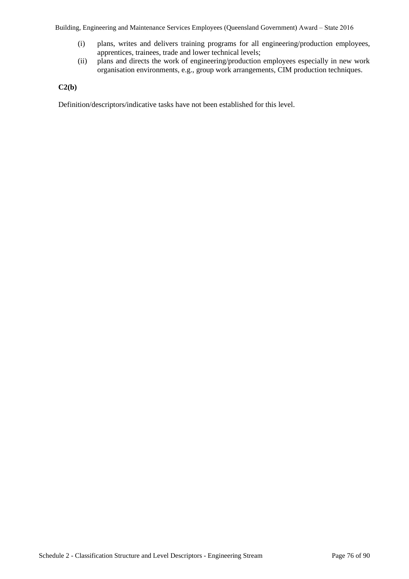- (i) plans, writes and delivers training programs for all engineering/production employees, apprentices, trainees, trade and lower technical levels;
- (ii) plans and directs the work of engineering/production employees especially in new work organisation environments, e.g., group work arrangements, CIM production techniques.

# **C2(b)**

Definition/descriptors/indicative tasks have not been established for this level.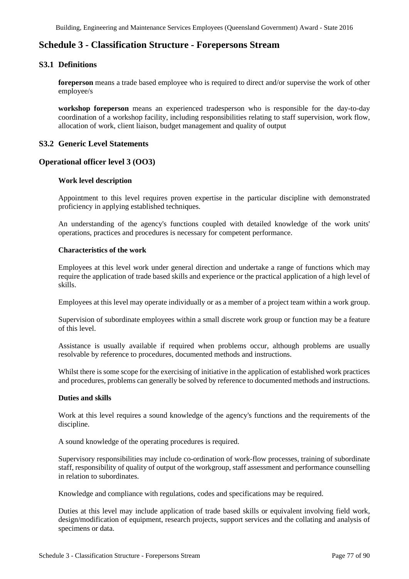# **Schedule 3 - Classification Structure - Forepersons Stream**

# **S3.1 Definitions**

**foreperson** means a trade based employee who is required to direct and/or supervise the work of other employee/s

**workshop foreperson** means an experienced tradesperson who is responsible for the day-to-day coordination of a workshop facility, including responsibilities relating to staff supervision, work flow, allocation of work, client liaison, budget management and quality of output

# **S3.2 Generic Level Statements**

# **Operational officer level 3 (OO3)**

## **Work level description**

Appointment to this level requires proven expertise in the particular discipline with demonstrated proficiency in applying established techniques.

An understanding of the agency's functions coupled with detailed knowledge of the work units' operations, practices and procedures is necessary for competent performance.

#### **Characteristics of the work**

Employees at this level work under general direction and undertake a range of functions which may require the application of trade based skills and experience or the practical application of a high level of skills.

Employees at this level may operate individually or as a member of a project team within a work group.

Supervision of subordinate employees within a small discrete work group or function may be a feature of this level.

Assistance is usually available if required when problems occur, although problems are usually resolvable by reference to procedures, documented methods and instructions.

Whilst there is some scope for the exercising of initiative in the application of established work practices and procedures, problems can generally be solved by reference to documented methods and instructions.

#### **Duties and skills**

Work at this level requires a sound knowledge of the agency's functions and the requirements of the discipline.

A sound knowledge of the operating procedures is required.

Supervisory responsibilities may include co-ordination of work-flow processes, training of subordinate staff, responsibility of quality of output of the workgroup, staff assessment and performance counselling in relation to subordinates.

Knowledge and compliance with regulations, codes and specifications may be required.

Duties at this level may include application of trade based skills or equivalent involving field work, design/modification of equipment, research projects, support services and the collating and analysis of specimens or data.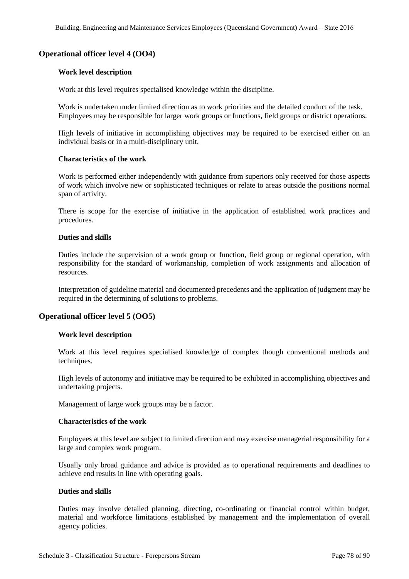# **Operational officer level 4 (OO4)**

#### **Work level description**

Work at this level requires specialised knowledge within the discipline.

Work is undertaken under limited direction as to work priorities and the detailed conduct of the task. Employees may be responsible for larger work groups or functions, field groups or district operations.

High levels of initiative in accomplishing objectives may be required to be exercised either on an individual basis or in a multi-disciplinary unit.

#### **Characteristics of the work**

Work is performed either independently with guidance from superiors only received for those aspects of work which involve new or sophisticated techniques or relate to areas outside the positions normal span of activity.

There is scope for the exercise of initiative in the application of established work practices and procedures.

#### **Duties and skills**

Duties include the supervision of a work group or function, field group or regional operation, with responsibility for the standard of workmanship, completion of work assignments and allocation of resources.

Interpretation of guideline material and documented precedents and the application of judgment may be required in the determining of solutions to problems.

## **Operational officer level 5 (OO5)**

#### **Work level description**

Work at this level requires specialised knowledge of complex though conventional methods and techniques.

High levels of autonomy and initiative may be required to be exhibited in accomplishing objectives and undertaking projects.

Management of large work groups may be a factor.

#### **Characteristics of the work**

Employees at this level are subject to limited direction and may exercise managerial responsibility for a large and complex work program.

Usually only broad guidance and advice is provided as to operational requirements and deadlines to achieve end results in line with operating goals.

#### **Duties and skills**

Duties may involve detailed planning, directing, co-ordinating or financial control within budget, material and workforce limitations established by management and the implementation of overall agency policies.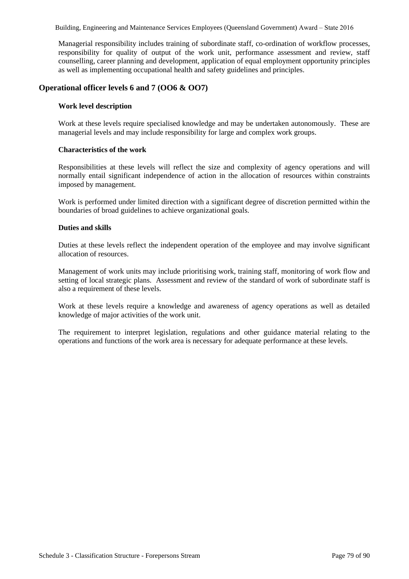Managerial responsibility includes training of subordinate staff, co-ordination of workflow processes, responsibility for quality of output of the work unit, performance assessment and review, staff counselling, career planning and development, application of equal employment opportunity principles as well as implementing occupational health and safety guidelines and principles.

# **Operational officer levels 6 and 7 (OO6 & OO7)**

### **Work level description**

Work at these levels require specialised knowledge and may be undertaken autonomously. These are managerial levels and may include responsibility for large and complex work groups.

#### **Characteristics of the work**

Responsibilities at these levels will reflect the size and complexity of agency operations and will normally entail significant independence of action in the allocation of resources within constraints imposed by management.

Work is performed under limited direction with a significant degree of discretion permitted within the boundaries of broad guidelines to achieve organizational goals.

#### **Duties and skills**

Duties at these levels reflect the independent operation of the employee and may involve significant allocation of resources.

Management of work units may include prioritising work, training staff, monitoring of work flow and setting of local strategic plans. Assessment and review of the standard of work of subordinate staff is also a requirement of these levels.

Work at these levels require a knowledge and awareness of agency operations as well as detailed knowledge of major activities of the work unit.

The requirement to interpret legislation, regulations and other guidance material relating to the operations and functions of the work area is necessary for adequate performance at these levels.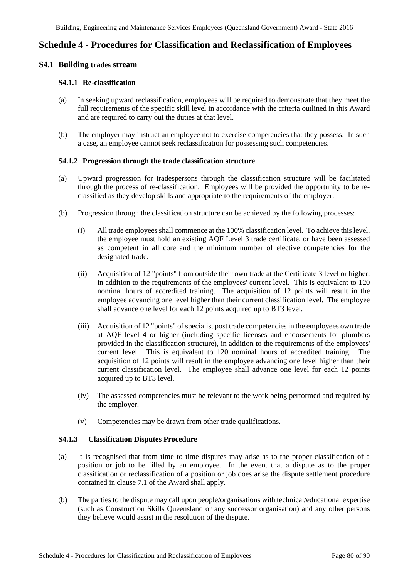# **Schedule 4 - Procedures for Classification and Reclassification of Employees**

# **S4.1 Building trades stream**

### **S4.1.1 Re-classification**

- (a) In seeking upward reclassification, employees will be required to demonstrate that they meet the full requirements of the specific skill level in accordance with the criteria outlined in this Award and are required to carry out the duties at that level.
- (b) The employer may instruct an employee not to exercise competencies that they possess. In such a case, an employee cannot seek reclassification for possessing such competencies.

#### **S4.1.2 Progression through the trade classification structure**

- (a) Upward progression for tradespersons through the classification structure will be facilitated through the process of re-classification. Employees will be provided the opportunity to be reclassified as they develop skills and appropriate to the requirements of the employer.
- (b) Progression through the classification structure can be achieved by the following processes:
	- (i) All trade employees shall commence at the 100% classification level. To achieve this level, the employee must hold an existing AQF Level 3 trade certificate, or have been assessed as competent in all core and the minimum number of elective competencies for the designated trade.
	- (ii) Acquisition of 12 "points" from outside their own trade at the Certificate 3 level or higher, in addition to the requirements of the employees' current level. This is equivalent to 120 nominal hours of accredited training. The acquisition of 12 points will result in the employee advancing one level higher than their current classification level. The employee shall advance one level for each 12 points acquired up to BT3 level.
	- (iii) Acquisition of 12 "points" of specialist post trade competencies in the employees own trade at AQF level 4 or higher (including specific licenses and endorsements for plumbers provided in the classification structure), in addition to the requirements of the employees' current level. This is equivalent to 120 nominal hours of accredited training. The acquisition of 12 points will result in the employee advancing one level higher than their current classification level. The employee shall advance one level for each 12 points acquired up to BT3 level.
	- (iv) The assessed competencies must be relevant to the work being performed and required by the employer.
	- (v) Competencies may be drawn from other trade qualifications.

#### **S4.1.3 Classification Disputes Procedure**

- (a) It is recognised that from time to time disputes may arise as to the proper classification of a position or job to be filled by an employee. In the event that a dispute as to the proper classification or reclassification of a position or job does arise the dispute settlement procedure contained in clause 7.1 of the Award shall apply.
- (b) The parties to the dispute may call upon people/organisations with technical/educational expertise (such as Construction Skills Queensland or any successor organisation) and any other persons they believe would assist in the resolution of the dispute.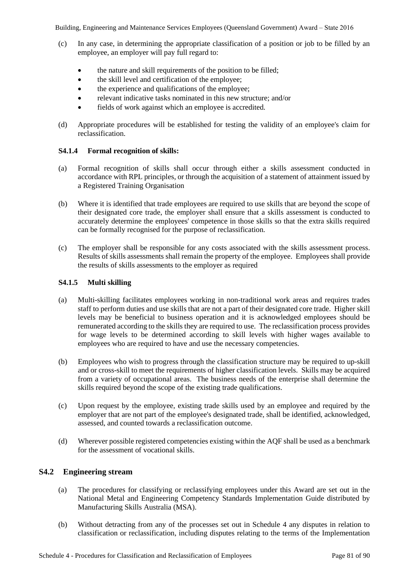- (c) In any case, in determining the appropriate classification of a position or job to be filled by an employee, an employer will pay full regard to:
	- the nature and skill requirements of the position to be filled;
	- the skill level and certification of the employee;
	- the experience and qualifications of the employee;
	- relevant indicative tasks nominated in this new structure; and/or
	- fields of work against which an employee is accredited.
- (d) Appropriate procedures will be established for testing the validity of an employee's claim for reclassification.

# **S4.1.4 Formal recognition of skills:**

- (a) Formal recognition of skills shall occur through either a skills assessment conducted in accordance with RPL principles, or through the acquisition of a statement of attainment issued by a Registered Training Organisation
- (b) Where it is identified that trade employees are required to use skills that are beyond the scope of their designated core trade, the employer shall ensure that a skills assessment is conducted to accurately determine the employees' competence in those skills so that the extra skills required can be formally recognised for the purpose of reclassification.
- (c) The employer shall be responsible for any costs associated with the skills assessment process. Results of skills assessments shall remain the property of the employee. Employees shall provide the results of skills assessments to the employer as required

# **S4.1.5 Multi skilling**

- (a) Multi-skilling facilitates employees working in non-traditional work areas and requires trades staff to perform duties and use skills that are not a part of their designated core trade. Higher skill levels may be beneficial to business operation and it is acknowledged employees should be remunerated according to the skills they are required to use. The reclassification process provides for wage levels to be determined according to skill levels with higher wages available to employees who are required to have and use the necessary competencies.
- (b) Employees who wish to progress through the classification structure may be required to up-skill and or cross-skill to meet the requirements of higher classification levels. Skills may be acquired from a variety of occupational areas. The business needs of the enterprise shall determine the skills required beyond the scope of the existing trade qualifications.
- (c) Upon request by the employee, existing trade skills used by an employee and required by the employer that are not part of the employee's designated trade, shall be identified, acknowledged, assessed, and counted towards a reclassification outcome.
- (d) Wherever possible registered competencies existing within the AQF shall be used as a benchmark for the assessment of vocational skills.

# **S4.2 Engineering stream**

- (a) The procedures for classifying or reclassifying employees under this Award are set out in the National Metal and Engineering Competency Standards Implementation Guide distributed by Manufacturing Skills Australia (MSA).
- (b) Without detracting from any of the processes set out in Schedule 4 any disputes in relation to classification or reclassification, including disputes relating to the terms of the Implementation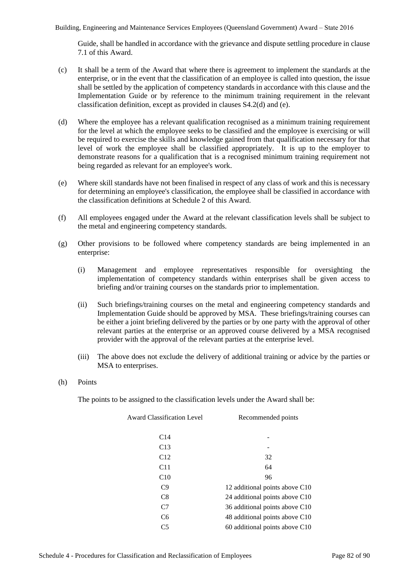Guide, shall be handled in accordance with the grievance and dispute settling procedure in clause 7.1 of this Award.

- (c) It shall be a term of the Award that where there is agreement to implement the standards at the enterprise, or in the event that the classification of an employee is called into question, the issue shall be settled by the application of competency standards in accordance with this clause and the Implementation Guide or by reference to the minimum training requirement in the relevant classification definition, except as provided in clauses S4.2(d) and (e).
- (d) Where the employee has a relevant qualification recognised as a minimum training requirement for the level at which the employee seeks to be classified and the employee is exercising or will be required to exercise the skills and knowledge gained from that qualification necessary for that level of work the employee shall be classified appropriately. It is up to the employer to demonstrate reasons for a qualification that is a recognised minimum training requirement not being regarded as relevant for an employee's work.
- (e) Where skill standards have not been finalised in respect of any class of work and this is necessary for determining an employee's classification, the employee shall be classified in accordance with the classification definitions at Schedule 2 of this Award.
- (f) All employees engaged under the Award at the relevant classification levels shall be subject to the metal and engineering competency standards.
- (g) Other provisions to be followed where competency standards are being implemented in an enterprise:
	- (i) Management and employee representatives responsible for oversighting the implementation of competency standards within enterprises shall be given access to briefing and/or training courses on the standards prior to implementation.
	- (ii) Such briefings/training courses on the metal and engineering competency standards and Implementation Guide should be approved by MSA. These briefings/training courses can be either a joint briefing delivered by the parties or by one party with the approval of other relevant parties at the enterprise or an approved course delivered by a MSA recognised provider with the approval of the relevant parties at the enterprise level.
	- (iii) The above does not exclude the delivery of additional training or advice by the parties or MSA to enterprises.
- (h) Points

The points to be assigned to the classification levels under the Award shall be:

| <b>Award Classification Level</b> | Recommended points             |
|-----------------------------------|--------------------------------|
| C <sub>14</sub>                   |                                |
| C13                               |                                |
| C12                               | 32                             |
| C11                               | 64                             |
| C10                               | 96                             |
| C9                                | 12 additional points above C10 |
| C8                                | 24 additional points above C10 |
| C7                                | 36 additional points above C10 |
| C <sub>6</sub>                    | 48 additional points above C10 |
| C <sub>5</sub>                    | 60 additional points above C10 |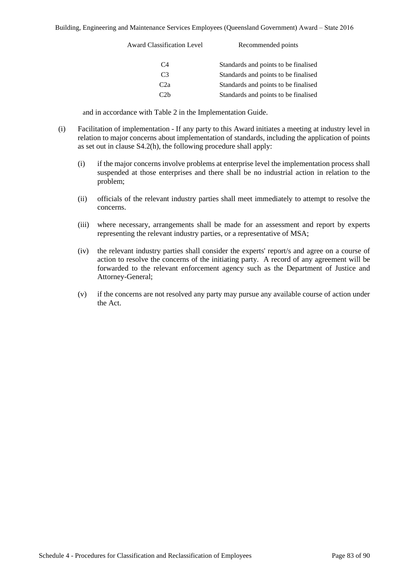| <b>Award Classification Level</b> | Recommended points                   |
|-----------------------------------|--------------------------------------|
| C4                                | Standards and points to be finalised |
| C3                                | Standards and points to be finalised |
| C <sub>2</sub> a                  | Standards and points to be finalised |
| $\sim 2h$                         | Standards and points to be finalised |

and in accordance with Table 2 in the Implementation Guide.

- (i) Facilitation of implementation If any party to this Award initiates a meeting at industry level in relation to major concerns about implementation of standards, including the application of points as set out in clause S4.2(h), the following procedure shall apply:
	- (i) if the major concerns involve problems at enterprise level the implementation process shall suspended at those enterprises and there shall be no industrial action in relation to the problem;
	- (ii) officials of the relevant industry parties shall meet immediately to attempt to resolve the concerns.
	- (iii) where necessary, arrangements shall be made for an assessment and report by experts representing the relevant industry parties, or a representative of MSA;
	- (iv) the relevant industry parties shall consider the experts' report/s and agree on a course of action to resolve the concerns of the initiating party. A record of any agreement will be forwarded to the relevant enforcement agency such as the Department of Justice and Attorney-General;
	- (v) if the concerns are not resolved any party may pursue any available course of action under the Act.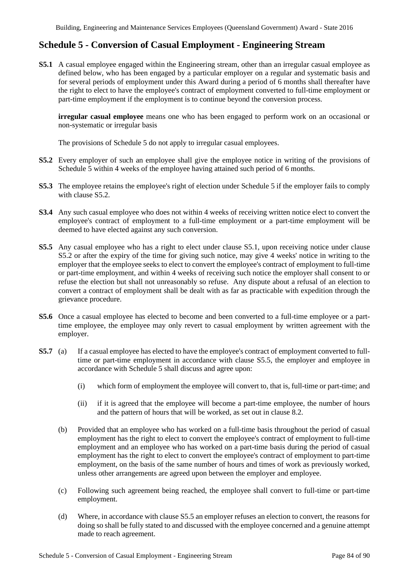# **Schedule 5 - Conversion of Casual Employment - Engineering Stream**

**S5.1** A casual employee engaged within the Engineering stream, other than an irregular casual employee as defined below, who has been engaged by a particular employer on a regular and systematic basis and for several periods of employment under this Award during a period of 6 months shall thereafter have the right to elect to have the employee's contract of employment converted to full-time employment or part-time employment if the employment is to continue beyond the conversion process.

**irregular casual employee** means one who has been engaged to perform work on an occasional or non-systematic or irregular basis

The provisions of Schedule 5 do not apply to irregular casual employees.

- **S5.2** Every employer of such an employee shall give the employee notice in writing of the provisions of Schedule 5 within 4 weeks of the employee having attained such period of 6 months.
- **S5.3** The employee retains the employee's right of election under Schedule 5 if the employer fails to comply with clause S5.2.
- **S3.4** Any such casual employee who does not within 4 weeks of receiving written notice elect to convert the employee's contract of employment to a full-time employment or a part-time employment will be deemed to have elected against any such conversion.
- **S5.5** Any casual employee who has a right to elect under clause S5.1, upon receiving notice under clause S5.2 or after the expiry of the time for giving such notice, may give 4 weeks' notice in writing to the employer that the employee seeks to elect to convert the employee's contract of employment to full-time or part-time employment, and within 4 weeks of receiving such notice the employer shall consent to or refuse the election but shall not unreasonably so refuse. Any dispute about a refusal of an election to convert a contract of employment shall be dealt with as far as practicable with expedition through the grievance procedure.
- **S5.6** Once a casual employee has elected to become and been converted to a full-time employee or a parttime employee, the employee may only revert to casual employment by written agreement with the employer.
- **S5.7** (a) If a casual employee has elected to have the employee's contract of employment converted to fulltime or part-time employment in accordance with clause S5.5, the employer and employee in accordance with Schedule 5 shall discuss and agree upon:
	- (i) which form of employment the employee will convert to, that is, full-time or part-time; and
	- (ii) if it is agreed that the employee will become a part-time employee, the number of hours and the pattern of hours that will be worked, as set out in clause 8.2.
	- (b) Provided that an employee who has worked on a full-time basis throughout the period of casual employment has the right to elect to convert the employee's contract of employment to full-time employment and an employee who has worked on a part-time basis during the period of casual employment has the right to elect to convert the employee's contract of employment to part-time employment, on the basis of the same number of hours and times of work as previously worked, unless other arrangements are agreed upon between the employer and employee.
	- (c) Following such agreement being reached, the employee shall convert to full-time or part-time employment.
	- (d) Where, in accordance with clause S5.5 an employer refuses an election to convert, the reasons for doing so shall be fully stated to and discussed with the employee concerned and a genuine attempt made to reach agreement.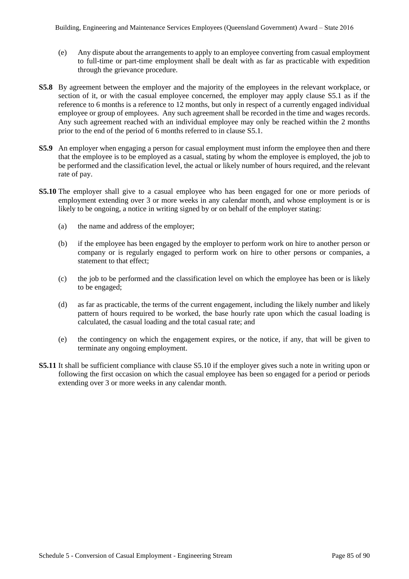- (e) Any dispute about the arrangements to apply to an employee converting from casual employment to full-time or part-time employment shall be dealt with as far as practicable with expedition through the grievance procedure.
- **S5.8** By agreement between the employer and the majority of the employees in the relevant workplace, or section of it, or with the casual employee concerned, the employer may apply clause S5.1 as if the reference to 6 months is a reference to 12 months, but only in respect of a currently engaged individual employee or group of employees. Any such agreement shall be recorded in the time and wages records. Any such agreement reached with an individual employee may only be reached within the 2 months prior to the end of the period of 6 months referred to in clause S5.1.
- **S5.9** An employer when engaging a person for casual employment must inform the employee then and there that the employee is to be employed as a casual, stating by whom the employee is employed, the job to be performed and the classification level, the actual or likely number of hours required, and the relevant rate of pay.
- **S5.10** The employer shall give to a casual employee who has been engaged for one or more periods of employment extending over 3 or more weeks in any calendar month, and whose employment is or is likely to be ongoing, a notice in writing signed by or on behalf of the employer stating:
	- (a) the name and address of the employer;
	- (b) if the employee has been engaged by the employer to perform work on hire to another person or company or is regularly engaged to perform work on hire to other persons or companies, a statement to that effect;
	- (c) the job to be performed and the classification level on which the employee has been or is likely to be engaged;
	- (d) as far as practicable, the terms of the current engagement, including the likely number and likely pattern of hours required to be worked, the base hourly rate upon which the casual loading is calculated, the casual loading and the total casual rate; and
	- (e) the contingency on which the engagement expires, or the notice, if any, that will be given to terminate any ongoing employment.
- **S5.11** It shall be sufficient compliance with clause S5.10 if the employer gives such a note in writing upon or following the first occasion on which the casual employee has been so engaged for a period or periods extending over 3 or more weeks in any calendar month.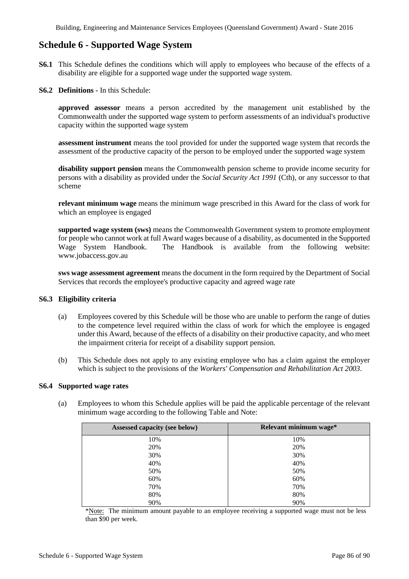# **Schedule 6 - Supported Wage System**

- **S6.1** This Schedule defines the conditions which will apply to employees who because of the effects of a disability are eligible for a supported wage under the supported wage system.
- **S6.2 Definitions -** In this Schedule:

**approved assessor** means a person accredited by the management unit established by the Commonwealth under the supported wage system to perform assessments of an individual's productive capacity within the supported wage system

**assessment instrument** means the tool provided for under the supported wage system that records the assessment of the productive capacity of the person to be employed under the supported wage system

**disability support pension** means the Commonwealth pension scheme to provide income security for persons with a disability as provided under the *Social Security Act 1991* (Cth), or any successor to that scheme

**relevant minimum wage** means the minimum wage prescribed in this Award for the class of work for which an employee is engaged

**supported wage system (sws)** means the Commonwealth Government system to promote employment for people who cannot work at full Award wages because of a disability, as documented in the Supported Wage System Handbook. The Handbook is available from the following website: www.jobaccess.gov.au

**sws wage assessment agreement** means the document in the form required by the Department of Social Services that records the employee's productive capacity and agreed wage rate

## **S6.3 Eligibility criteria**

- (a) Employees covered by this Schedule will be those who are unable to perform the range of duties to the competence level required within the class of work for which the employee is engaged under this Award, because of the effects of a disability on their productive capacity, and who meet the impairment criteria for receipt of a disability support pension.
- (b) This Schedule does not apply to any existing employee who has a claim against the employer which is subject to the provisions of the *Workers' Compensation and Rehabilitation Act 2003*.

#### **S6.4 Supported wage rates**

(a) Employees to whom this Schedule applies will be paid the applicable percentage of the relevant minimum wage according to the following Table and Note:

| Assessed capacity (see below) | Relevant minimum wage* |
|-------------------------------|------------------------|
| 10%                           | 10%                    |
| 20%                           | 20%                    |
| 30%                           | 30%                    |
| 40%                           | 40%                    |
| 50%                           | 50%                    |
| 60%                           | 60%                    |
| 70%                           | 70%                    |
| 80%                           | 80%                    |
| 90%                           | 90%                    |

\*Note: The minimum amount payable to an employee receiving a supported wage must not be less than \$90 per week.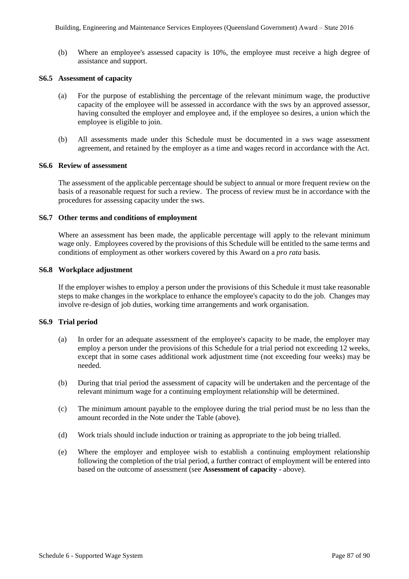(b) Where an employee's assessed capacity is 10%, the employee must receive a high degree of assistance and support.

## **S6.5 Assessment of capacity**

- (a) For the purpose of establishing the percentage of the relevant minimum wage, the productive capacity of the employee will be assessed in accordance with the sws by an approved assessor, having consulted the employer and employee and, if the employee so desires, a union which the employee is eligible to join.
- (b) All assessments made under this Schedule must be documented in a sws wage assessment agreement, and retained by the employer as a time and wages record in accordance with the Act.

#### **S6.6 Review of assessment**

The assessment of the applicable percentage should be subject to annual or more frequent review on the basis of a reasonable request for such a review. The process of review must be in accordance with the procedures for assessing capacity under the sws.

#### **S6.7 Other terms and conditions of employment**

Where an assessment has been made, the applicable percentage will apply to the relevant minimum wage only. Employees covered by the provisions of this Schedule will be entitled to the same terms and conditions of employment as other workers covered by this Award on a *pro rata* basis.

#### **S6.8 Workplace adjustment**

If the employer wishes to employ a person under the provisions of this Schedule it must take reasonable steps to make changes in the workplace to enhance the employee's capacity to do the job. Changes may involve re-design of job duties, working time arrangements and work organisation.

#### **S6.9 Trial period**

- (a) In order for an adequate assessment of the employee's capacity to be made, the employer may employ a person under the provisions of this Schedule for a trial period not exceeding 12 weeks, except that in some cases additional work adjustment time (not exceeding four weeks) may be needed.
- (b) During that trial period the assessment of capacity will be undertaken and the percentage of the relevant minimum wage for a continuing employment relationship will be determined.
- (c) The minimum amount payable to the employee during the trial period must be no less than the amount recorded in the Note under the Table (above).
- (d) Work trials should include induction or training as appropriate to the job being trialled.
- (e) Where the employer and employee wish to establish a continuing employment relationship following the completion of the trial period, a further contract of employment will be entered into based on the outcome of assessment (see **Assessment of capacity -** above).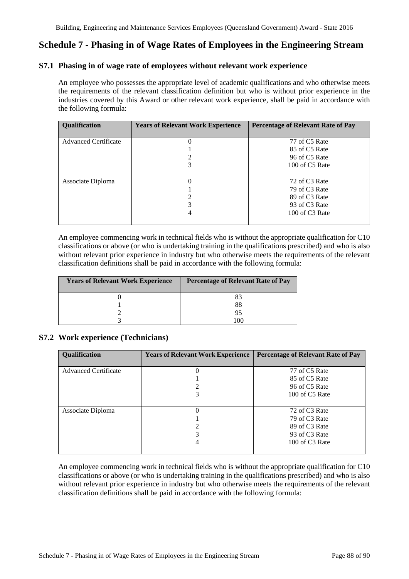# **Schedule 7 - Phasing in of Wage Rates of Employees in the Engineering Stream**

# **S7.1 Phasing in of wage rate of employees without relevant work experience**

An employee who possesses the appropriate level of academic qualifications and who otherwise meets the requirements of the relevant classification definition but who is without prior experience in the industries covered by this Award or other relevant work experience, shall be paid in accordance with the following formula:

| Qualification               | <b>Years of Relevant Work Experience</b> | <b>Percentage of Relevant Rate of Pay</b> |
|-----------------------------|------------------------------------------|-------------------------------------------|
|                             |                                          |                                           |
| <b>Advanced Certificate</b> |                                          | 77 of C5 Rate                             |
|                             |                                          | 85 of C5 Rate                             |
|                             |                                          | 96 of C5 Rate                             |
|                             |                                          | 100 of C5 Rate                            |
|                             |                                          |                                           |
| Associate Diploma           |                                          | 72 of C3 Rate                             |
|                             |                                          | 79 of C3 Rate                             |
|                             |                                          | 89 of C <sub>3</sub> Rate                 |
|                             |                                          | 93 of C <sub>3</sub> Rate                 |
|                             | 4                                        | 100 of C <sub>3</sub> Rate                |
|                             |                                          |                                           |

An employee commencing work in technical fields who is without the appropriate qualification for C10 classifications or above (or who is undertaking training in the qualifications prescribed) and who is also without relevant prior experience in industry but who otherwise meets the requirements of the relevant classification definitions shall be paid in accordance with the following formula:

| <b>Years of Relevant Work Experience</b> | <b>Percentage of Relevant Rate of Pay</b> |
|------------------------------------------|-------------------------------------------|
|                                          | 83                                        |
|                                          | 88                                        |
|                                          | 95                                        |
|                                          | . ()(1                                    |

## **S7.2 Work experience (Technicians)**

| <b>Qualification</b>        | <b>Years of Relevant Work Experience</b> | <b>Percentage of Relevant Rate of Pay</b>                                                        |
|-----------------------------|------------------------------------------|--------------------------------------------------------------------------------------------------|
| <b>Advanced Certificate</b> |                                          | 77 of C5 Rate<br>85 of C5 Rate<br>96 of C5 Rate<br>100 of C5 Rate                                |
| Associate Diploma           |                                          | 72 of C3 Rate<br>79 of C3 Rate<br>89 of C3 Rate<br>93 of C <sub>3</sub> Rate<br>100 of $C3$ Rate |

An employee commencing work in technical fields who is without the appropriate qualification for C10 classifications or above (or who is undertaking training in the qualifications prescribed) and who is also without relevant prior experience in industry but who otherwise meets the requirements of the relevant classification definitions shall be paid in accordance with the following formula: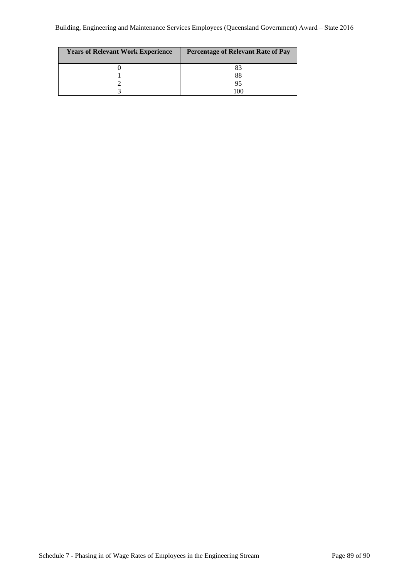| <b>Years of Relevant Work Experience</b> | <b>Percentage of Relevant Rate of Pay</b> |
|------------------------------------------|-------------------------------------------|
|                                          | 83                                        |
|                                          | 88                                        |
|                                          | 95                                        |
|                                          | $\alpha$                                  |